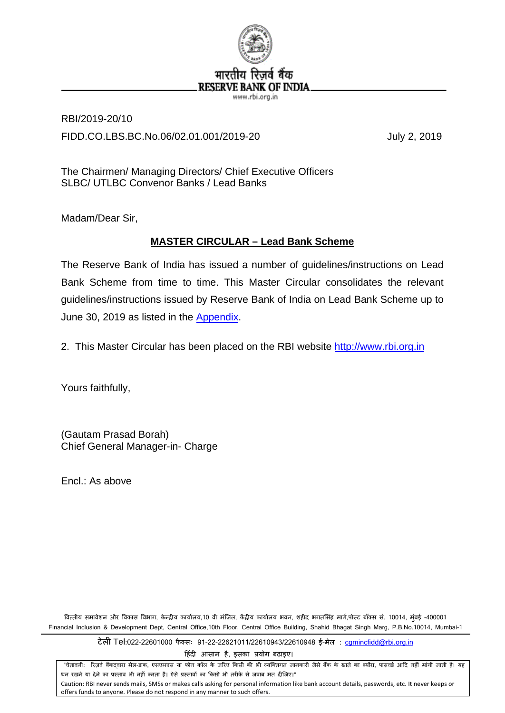

RBI/2019-20/10 FIDD.CO.LBS.BC.No.06/02.01.001/2019-20 July 2, 2019

The Chairmen/ Managing Directors/ Chief Executive Officers SLBC/ UTLBC Convenor Banks / Lead Banks

Madam/Dear Sir,

# **MASTER CIRCULAR – Lead Bank Scheme**

The Reserve Bank of India has issued a number of guidelines/instructions on Lead Bank Scheme from time to time. This [Master](http://rbi.org.in/scripts/BS_ViewMasCirculardetails.aspx?id=7402#MC) Circular consolidates the relevant guidelines/instructions issued by Reserve Bank of India on Lead Bank Scheme up to June 30, 2019 as listed in the [Appendix.](#page-66-0)

2. This Master Circular has been placed on the RBI website [http://www.rbi.org.in](http://rbi.org.in/home.aspx)

Yours faithfully,

(Gautam Prasad Borah) Chief General Manager-in- Charge

Encl.: As above

वित्तीय समावेशन और विकास विभाग, केन्द्रीय कार्यालय,10 वी मंजिल, केंद्रीय कार्यालय भवन, शहीद भगतसिंह मार्ग,पोस्ट बॉक्स सं. 10014, मुंबई -400001 Financial Inclusion & Development Dept, Central Office,10th Floor, Central Office Building, Shahid Bhagat Singh Marg, P.B.No.10014, Mumbai-1

टेल� Tel:022-22601000 फै क्सः 91-22-22621011/22610943/22610948 ई-मेल : [cgmincfidd@rbi.org.in](mailto:cgmincfidd@rbi.org.in)

हिंदी आसान है, इसका प्रयोग बढ़ाइए।

"चेतावनी: रिज़र्व बैंकदवारा मेल-डाक, एसएमएस या फोन कॉल के जरिए किसी की भी व्यक्तिगत जानकारी जैसे बैंक के खाते का ब्यौरा, पासवर्ड आदि नहीं मांगी जाती है। यह धन रखने या देने का प्रस्ताव भी नहीं करता है। ऐसे प्रस्तावों का किसी भी तरीके से जवाब मत दीजिए।" Caution: RBI never sends mails, SMSs or makes calls asking for personal information like bank account details, passwords, etc. It never keeps or offers funds to anyone. Please do not respond in any manner to such offers.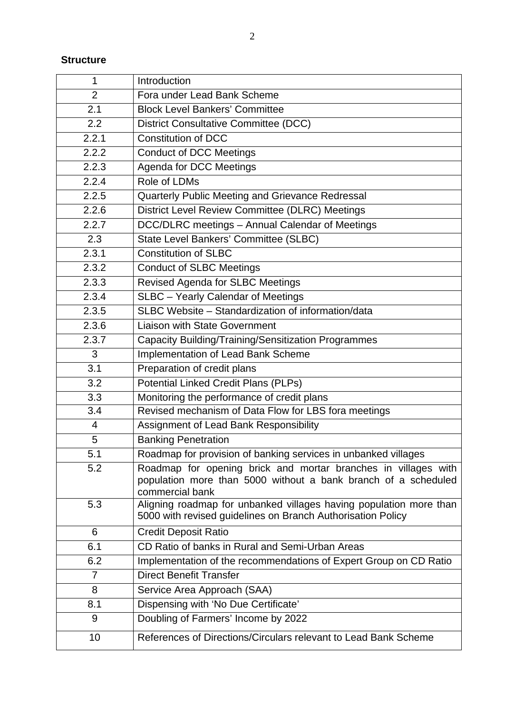# **Structure**

| 1              | Introduction                                                                                                                                        |
|----------------|-----------------------------------------------------------------------------------------------------------------------------------------------------|
| $\overline{2}$ | Fora under Lead Bank Scheme                                                                                                                         |
| 2.1            | <b>Block Level Bankers' Committee</b>                                                                                                               |
| 2.2            | <b>District Consultative Committee (DCC)</b>                                                                                                        |
| 2.2.1          | <b>Constitution of DCC</b>                                                                                                                          |
| 2.2.2          | <b>Conduct of DCC Meetings</b>                                                                                                                      |
| 2.2.3          | Agenda for DCC Meetings                                                                                                                             |
| 2.2.4          | Role of LDMs                                                                                                                                        |
| 2.2.5          | Quarterly Public Meeting and Grievance Redressal                                                                                                    |
| 2.2.6          | District Level Review Committee (DLRC) Meetings                                                                                                     |
| 2.2.7          | DCC/DLRC meetings - Annual Calendar of Meetings                                                                                                     |
| 2.3            | State Level Bankers' Committee (SLBC)                                                                                                               |
| 2.3.1          | <b>Constitution of SLBC</b>                                                                                                                         |
| 2.3.2          | <b>Conduct of SLBC Meetings</b>                                                                                                                     |
| 2.3.3          | Revised Agenda for SLBC Meetings                                                                                                                    |
| 2.3.4          | SLBC - Yearly Calendar of Meetings                                                                                                                  |
| 2.3.5          | SLBC Website - Standardization of information/data                                                                                                  |
| 2.3.6          | <b>Liaison with State Government</b>                                                                                                                |
| 2.3.7          | Capacity Building/Training/Sensitization Programmes                                                                                                 |
| 3              | Implementation of Lead Bank Scheme                                                                                                                  |
| 3.1            | Preparation of credit plans                                                                                                                         |
| 3.2            | Potential Linked Credit Plans (PLPs)                                                                                                                |
| 3.3            | Monitoring the performance of credit plans                                                                                                          |
| 3.4            | Revised mechanism of Data Flow for LBS fora meetings                                                                                                |
| $\overline{4}$ | Assignment of Lead Bank Responsibility                                                                                                              |
| 5              | <b>Banking Penetration</b>                                                                                                                          |
| 5.1            | Roadmap for provision of banking services in unbanked villages                                                                                      |
| 5.2            | Roadmap for opening brick and mortar branches in villages with<br>population more than 5000 without a bank branch of a scheduled<br>commercial bank |
| 5.3            | Aligning roadmap for unbanked villages having population more than<br>5000 with revised guidelines on Branch Authorisation Policy                   |
| 6              | <b>Credit Deposit Ratio</b>                                                                                                                         |
| 6.1            | CD Ratio of banks in Rural and Semi-Urban Areas                                                                                                     |
| 6.2            | Implementation of the recommendations of Expert Group on CD Ratio                                                                                   |
| 7              | <b>Direct Benefit Transfer</b>                                                                                                                      |
| 8              | Service Area Approach (SAA)                                                                                                                         |
| 8.1            | Dispensing with 'No Due Certificate'                                                                                                                |
| 9              | Doubling of Farmers' Income by 2022                                                                                                                 |
| 10             | References of Directions/Circulars relevant to Lead Bank Scheme                                                                                     |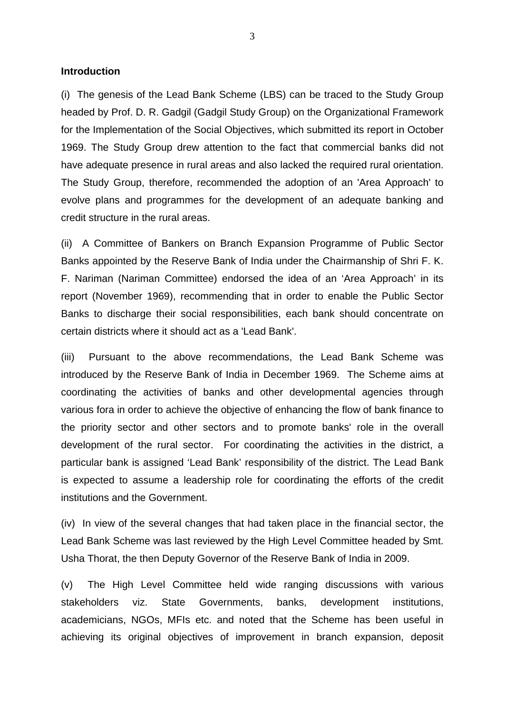**Introduction** 

(i) The genesis of the Lead Bank Scheme (LBS) can be traced to the Study Group headed by Prof. D. R. Gadgil (Gadgil Study Group) on the Organizational Framework for the Implementation of the Social Objectives, which submitted its report in October 1969. The Study Group drew attention to the fact that commercial banks did not have adequate presence in rural areas and also lacked the required rural orientation. The Study Group, therefore, recommended the adoption of an 'Area Approach' to evolve plans and programmes for the development of an adequate banking and credit structure in the rural areas.

(ii) A Committee of Bankers on Branch Expansion Programme of Public Sector Banks appointed by the Reserve Bank of India under the Chairmanship of Shri F. K. F. Nariman (Nariman Committee) endorsed the idea of an 'Area Approach' in its report (November 1969), recommending that in order to enable the Public Sector Banks to discharge their social responsibilities, each bank should concentrate on certain districts where it should act as a 'Lead Bank'.

(iii) Pursuant to the above recommendations, the Lead Bank Scheme was introduced by the Reserve Bank of India in December 1969. The Scheme aims at coordinating the activities of banks and other developmental agencies through various fora in order to achieve the objective of enhancing the flow of bank finance to the priority sector and other sectors and to promote banks' role in the overall development of the rural sector. For coordinating the activities in the district, a particular bank is assigned 'Lead Bank' responsibility of the district. The Lead Bank is expected to assume a leadership role for coordinating the efforts of the credit institutions and the Government.

(iv) In view of the several changes that had taken place in the financial sector, the Lead Bank Scheme was last reviewed by the High Level Committee headed by Smt. Usha Thorat, the then Deputy Governor of the Reserve Bank of India in 2009.

(v) The High Level Committee held wide ranging discussions with various stakeholders viz. State Governments, banks, development institutions, academicians, NGOs, MFIs etc. and noted that the Scheme has been useful in achieving its original objectives of improvement in branch expansion, deposit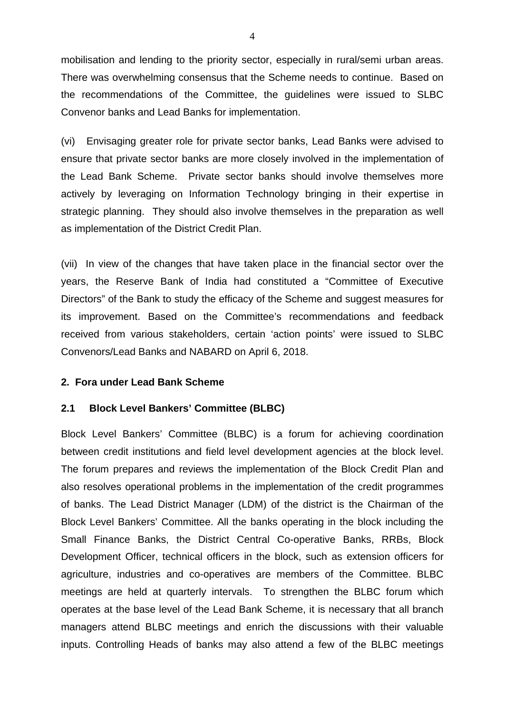mobilisation and lending to the priority sector, especially in rural/semi urban areas. There was overwhelming consensus that the Scheme needs to continue. Based on the recommendations of the Committee, the guidelines were issued to SLBC Convenor banks and Lead Banks for implementation.

(vi) Envisaging greater role for private sector banks, Lead Banks were advised to ensure that private sector banks are more closely involved in the implementation of the Lead Bank Scheme. Private sector banks should involve themselves more actively by leveraging on Information Technology bringing in their expertise in strategic planning. They should also involve themselves in the preparation as well as implementation of the District Credit Plan.

(vii) In view of the changes that have taken place in the financial sector over the years, the Reserve Bank of India had constituted a "Committee of Executive Directors" of the Bank to study the efficacy of the Scheme and suggest measures for its improvement. Based on the Committee's recommendations and feedback received from various stakeholders, certain 'action points' were issued to SLBC Convenors/Lead Banks and NABARD on April 6, 2018.

#### **2. Fora under Lead Bank Scheme**

#### **2.1 Block Level Bankers' Committee (BLBC)**

Block Level Bankers' Committee (BLBC) is a forum for achieving coordination between credit institutions and field level development agencies at the block level. The forum prepares and reviews the implementation of the Block Credit Plan and also resolves operational problems in the implementation of the credit programmes of banks. The Lead District Manager (LDM) of the district is the Chairman of the Block Level Bankers' Committee. All the banks operating in the block including the Small Finance Banks, the District Central Co-operative Banks, RRBs, Block Development Officer, technical officers in the block, such as extension officers for agriculture, industries and co-operatives are members of the Committee. BLBC meetings are held at quarterly intervals. To strengthen the BLBC forum which operates at the base level of the Lead Bank Scheme, it is necessary that all branch managers attend BLBC meetings and enrich the discussions with their valuable inputs. Controlling Heads of banks may also attend a few of the BLBC meetings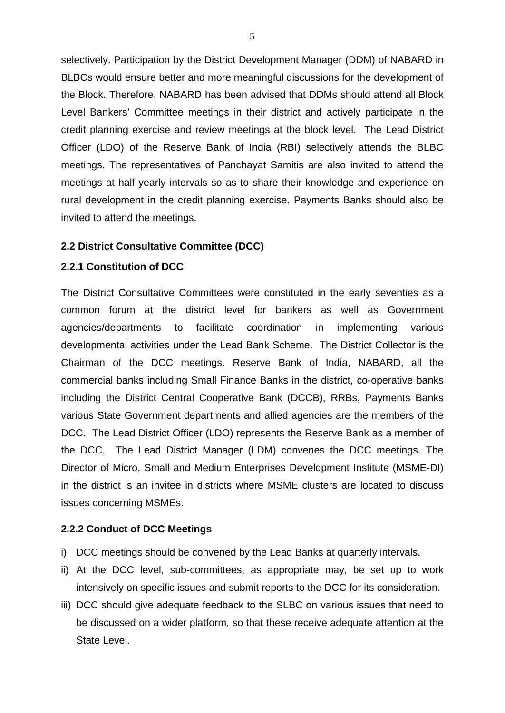selectively. Participation by the District Development Manager (DDM) of NABARD in BLBCs would ensure better and more meaningful discussions for the development of the Block. Therefore, NABARD has been advised that DDMs should attend all Block Level Bankers' Committee meetings in their district and actively participate in the credit planning exercise and review meetings at the block level. The Lead District Officer (LDO) of the Reserve Bank of India (RBI) selectively attends the BLBC meetings. The representatives of Panchayat Samitis are also invited to attend the meetings at half yearly intervals so as to share their knowledge and experience on rural development in the credit planning exercise. Payments Banks should also be invited to attend the meetings.

### **2.2 District Consultative Committee (DCC)**

#### **2.2.1 Constitution of DCC**

The District Consultative Committees were constituted in the early seventies as a common forum at the district level for bankers as well as Government agencies/departments to facilitate coordination in implementing various developmental activities under the Lead Bank Scheme. The District Collector is the Chairman of the DCC meetings. Reserve Bank of India, NABARD, all the commercial banks including Small Finance Banks in the district, co-operative banks including the District Central Cooperative Bank (DCCB), RRBs, Payments Banks various State Government departments and allied agencies are the members of the DCC. The Lead District Officer (LDO) represents the Reserve Bank as a member of the DCC. The Lead District Manager (LDM) convenes the DCC meetings. The Director of Micro, Small and Medium Enterprises Development Institute (MSME-DI) in the district is an invitee in districts where MSME clusters are located to discuss issues concerning MSMEs.

#### **2.2.2 Conduct of DCC Meetings**

- i) DCC meetings should be convened by the Lead Banks at quarterly intervals.
- ii) At the DCC level, sub-committees, as appropriate may, be set up to work intensively on specific issues and submit reports to the DCC for its consideration.
- iii) DCC should give adequate feedback to the SLBC on various issues that need to be discussed on a wider platform, so that these receive adequate attention at the State Level.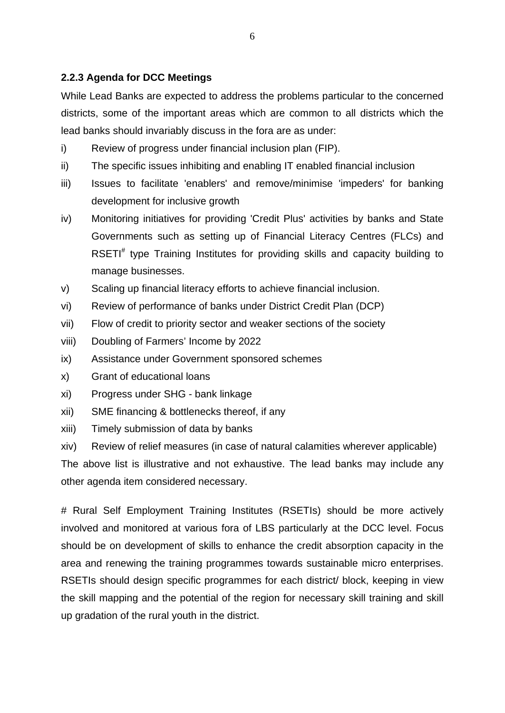# **2.2.3 Agenda for DCC Meetings**

While Lead Banks are expected to address the problems particular to the concerned districts, some of the important areas which are common to all districts which the lead banks should invariably discuss in the fora are as under:

- i) Review of progress under financial inclusion plan (FIP).
- ii) The specific issues inhibiting and enabling IT enabled financial inclusion
- iii) Issues to facilitate 'enablers' and remove/minimise 'impeders' for banking development for inclusive growth
- iv) Monitoring initiatives for providing 'Credit Plus' activities by banks and State Governments such as setting up of Financial Literacy Centres (FLCs) and RSETI<sup>#</sup> type Training Institutes for providing skills and capacity building to manage businesses.
- v) Scaling up financial literacy efforts to achieve financial inclusion.
- vi) Review of performance of banks under District Credit Plan (DCP)
- vii) Flow of credit to priority sector and weaker sections of the society
- viii) Doubling of Farmers' Income by 2022
- ix) Assistance under Government sponsored schemes
- x) Grant of educational loans
- xi) Progress under SHG bank linkage
- xii) SME financing & bottlenecks thereof, if any
- xiii) Timely submission of data by banks
- xiv) Review of relief measures (in case of natural calamities wherever applicable)

The above list is illustrative and not exhaustive. The lead banks may include any other agenda item considered necessary.

# Rural Self Employment Training Institutes (RSETIs) should be more actively involved and monitored at various fora of LBS particularly at the DCC level. Focus should be on development of skills to enhance the credit absorption capacity in the area and renewing the training programmes towards sustainable micro enterprises. RSETIs should design specific programmes for each district/ block, keeping in view the skill mapping and the potential of the region for necessary skill training and skill up gradation of the rural youth in the district.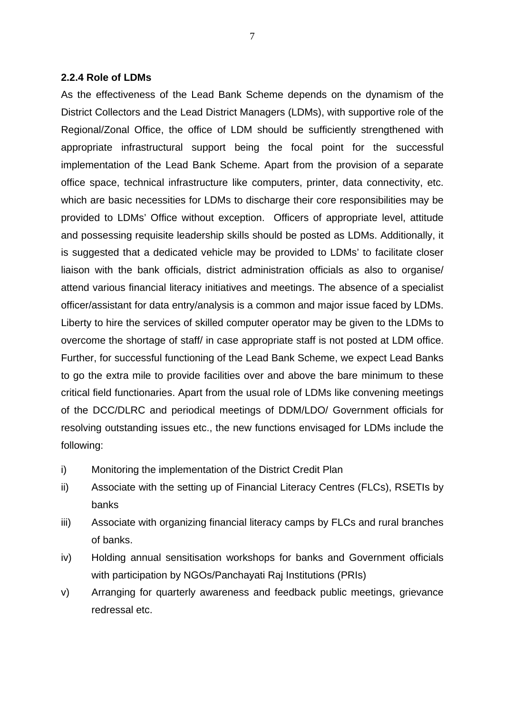#### **2.2.4 Role of LDMs**

As the effectiveness of the Lead Bank Scheme depends on the dynamism of the District Collectors and the Lead District Managers (LDMs), with supportive role of the Regional/Zonal Office, the office of LDM should be sufficiently strengthened with appropriate infrastructural support being the focal point for the successful implementation of the Lead Bank Scheme. Apart from the provision of a separate office space, technical infrastructure like computers, printer, data connectivity, etc. which are basic necessities for LDMs to discharge their core responsibilities may be provided to LDMs' Office without exception. Officers of appropriate level, attitude and possessing requisite leadership skills should be posted as LDMs. Additionally, it is suggested that a dedicated vehicle may be provided to LDMs' to facilitate closer liaison with the bank officials, district administration officials as also to organise/ attend various financial literacy initiatives and meetings. The absence of a specialist officer/assistant for data entry/analysis is a common and major issue faced by LDMs. Liberty to hire the services of skilled computer operator may be given to the LDMs to overcome the shortage of staff/ in case appropriate staff is not posted at LDM office. Further, for successful functioning of the Lead Bank Scheme, we expect Lead Banks to go the extra mile to provide facilities over and above the bare minimum to these critical field functionaries. Apart from the usual role of LDMs like convening meetings of the DCC/DLRC and periodical meetings of DDM/LDO/ Government officials for resolving outstanding issues etc., the new functions envisaged for LDMs include the following:

- i) Monitoring the implementation of the District Credit Plan
- ii) Associate with the setting up of Financial Literacy Centres (FLCs), RSETIs by banks
- iii) Associate with organizing financial literacy camps by FLCs and rural branches of banks.
- iv) Holding annual sensitisation workshops for banks and Government officials with participation by NGOs/Panchayati Raj Institutions (PRIs)
- v) Arranging for quarterly awareness and feedback public meetings, grievance redressal etc.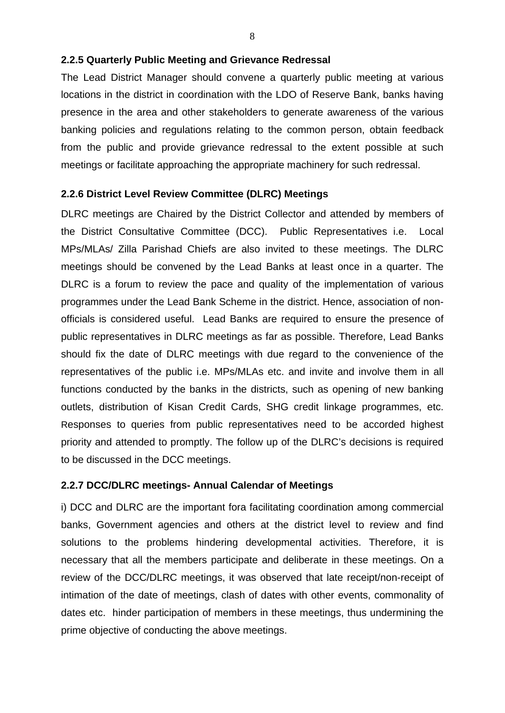## **2.2.5 Quarterly Public Meeting and Grievance Redressal**

The Lead District Manager should convene a quarterly public meeting at various locations in the district in coordination with the LDO of Reserve Bank, banks having presence in the area and other stakeholders to generate awareness of the various banking policies and regulations relating to the common person, obtain feedback from the public and provide grievance redressal to the extent possible at such meetings or facilitate approaching the appropriate machinery for such redressal.

## **2.2.6 District Level Review Committee (DLRC) Meetings**

DLRC meetings are Chaired by the District Collector and attended by members of the District Consultative Committee (DCC). Public Representatives i.e. Local MPs/MLAs/ Zilla Parishad Chiefs are also invited to these meetings. The DLRC meetings should be convened by the Lead Banks at least once in a quarter. The DLRC is a forum to review the pace and quality of the implementation of various programmes under the Lead Bank Scheme in the district. Hence, association of nonofficials is considered useful. Lead Banks are required to ensure the presence of public representatives in DLRC meetings as far as possible. Therefore, Lead Banks should fix the date of DLRC meetings with due regard to the convenience of the representatives of the public i.e. MPs/MLAs etc. and invite and involve them in all functions conducted by the banks in the districts, such as opening of new banking outlets, distribution of Kisan Credit Cards, SHG credit linkage programmes, etc. Responses to queries from public representatives need to be accorded highest priority and attended to promptly. The follow up of the DLRC's decisions is required to be discussed in the DCC meetings.

## **2.2.7 DCC/DLRC meetings- Annual Calendar of Meetings**

i) DCC and DLRC are the important fora facilitating coordination among commercial banks, Government agencies and others at the district level to review and find solutions to the problems hindering developmental activities. Therefore, it is necessary that all the members participate and deliberate in these meetings. On a review of the DCC/DLRC meetings, it was observed that late receipt/non-receipt of intimation of the date of meetings, clash of dates with other events, commonality of dates etc. hinder participation of members in these meetings, thus undermining the prime objective of conducting the above meetings.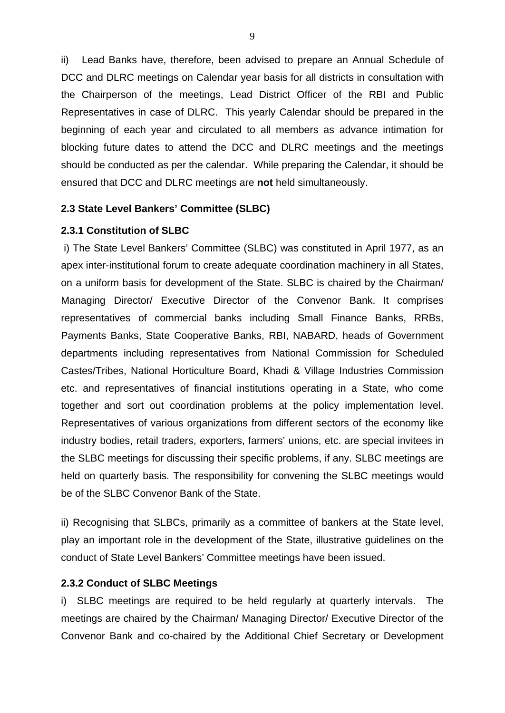ii) Lead Banks have, therefore, been advised to prepare an Annual Schedule of DCC and DLRC meetings on Calendar year basis for all districts in consultation with the Chairperson of the meetings, Lead District Officer of the RBI and Public Representatives in case of DLRC. This yearly Calendar should be prepared in the beginning of each year and circulated to all members as advance intimation for blocking future dates to attend the DCC and DLRC meetings and the meetings should be conducted as per the calendar. While preparing the Calendar, it should be ensured that DCC and DLRC meetings are **not** held simultaneously.

#### **2.3 State Level Bankers' Committee (SLBC)**

#### **2.3.1 Constitution of SLBC**

i) The State Level Bankers' Committee (SLBC) was constituted in April 1977, as an apex inter-institutional forum to create adequate coordination machinery in all States, on a uniform basis for development of the State. SLBC is chaired by the Chairman/ Managing Director/ Executive Director of the Convenor Bank. It comprises representatives of commercial banks including Small Finance Banks, RRBs, Payments Banks, State Cooperative Banks, RBI, NABARD, heads of Government departments including representatives from National Commission for Scheduled Castes/Tribes, National Horticulture Board, Khadi & Village Industries Commission etc. and representatives of financial institutions operating in a State, who come together and sort out coordination problems at the policy implementation level. Representatives of various organizations from different sectors of the economy like industry bodies, retail traders, exporters, farmers' unions, etc. are special invitees in the SLBC meetings for discussing their specific problems, if any. SLBC meetings are held on quarterly basis. The responsibility for convening the SLBC meetings would be of the SLBC Convenor Bank of the State.

ii) Recognising that SLBCs, primarily as a committee of bankers at the State level, play an important role in the development of the State, illustrative guidelines on the conduct of State Level Bankers' Committee meetings have been issued.

#### **2.3.2 Conduct of SLBC Meetings**

i) SLBC meetings are required to be held regularly at quarterly intervals. The meetings are chaired by the Chairman/ Managing Director/ Executive Director of the Convenor Bank and co-chaired by the Additional Chief Secretary or Development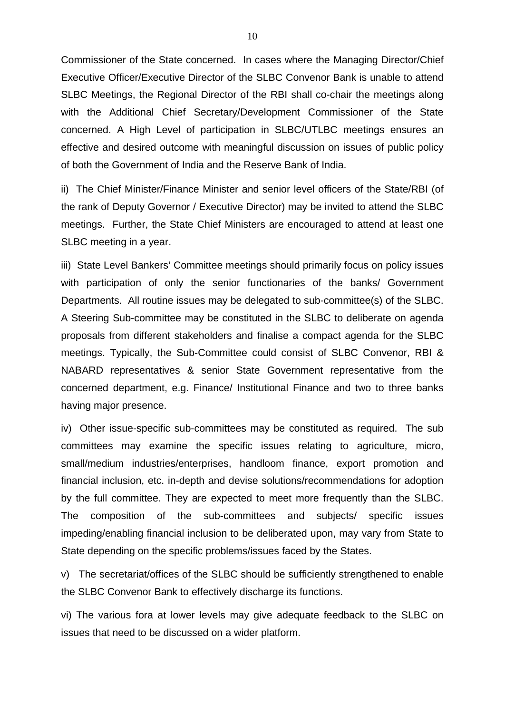Commissioner of the State concerned. In cases where the Managing Director/Chief Executive Officer/Executive Director of the SLBC Convenor Bank is unable to attend SLBC Meetings, the Regional Director of the RBI shall co-chair the meetings along with the Additional Chief Secretary/Development Commissioner of the State concerned. A High Level of participation in SLBC/UTLBC meetings ensures an effective and desired outcome with meaningful discussion on issues of public policy of both the Government of India and the Reserve Bank of India.

ii) The Chief Minister/Finance Minister and senior level officers of the State/RBI (of the rank of Deputy Governor / Executive Director) may be invited to attend the SLBC meetings. Further, the State Chief Ministers are encouraged to attend at least one SLBC meeting in a year.

iii) State Level Bankers' Committee meetings should primarily focus on policy issues with participation of only the senior functionaries of the banks/ Government Departments. All routine issues may be delegated to sub-committee(s) of the SLBC. A Steering Sub-committee may be constituted in the SLBC to deliberate on agenda proposals from different stakeholders and finalise a compact agenda for the SLBC meetings. Typically, the Sub-Committee could consist of SLBC Convenor, RBI & NABARD representatives & senior State Government representative from the concerned department, e.g. Finance/ Institutional Finance and two to three banks having major presence.

iv) Other issue-specific sub-committees may be constituted as required. The sub committees may examine the specific issues relating to agriculture, micro, small/medium industries/enterprises, handloom finance, export promotion and financial inclusion, etc. in-depth and devise solutions/recommendations for adoption by the full committee. They are expected to meet more frequently than the SLBC. The composition of the sub-committees and subjects/ specific issues impeding/enabling financial inclusion to be deliberated upon, may vary from State to State depending on the specific problems/issues faced by the States.

v) The secretariat/offices of the SLBC should be sufficiently strengthened to enable the SLBC Convenor Bank to effectively discharge its functions.

vi) The various fora at lower levels may give adequate feedback to the SLBC on issues that need to be discussed on a wider platform.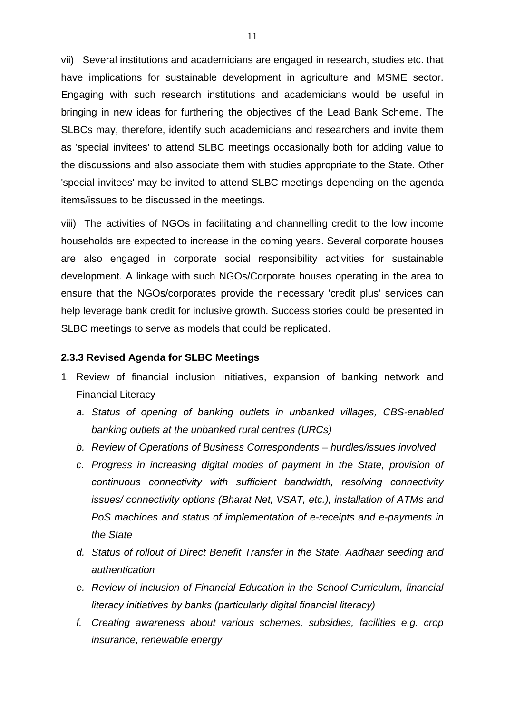vii) Several institutions and academicians are engaged in research, studies etc. that have implications for sustainable development in agriculture and MSME sector. Engaging with such research institutions and academicians would be useful in bringing in new ideas for furthering the objectives of the Lead Bank Scheme. The SLBCs may, therefore, identify such academicians and researchers and invite them as 'special invitees' to attend SLBC meetings occasionally both for adding value to the discussions and also associate them with studies appropriate to the State. Other 'special invitees' may be invited to attend SLBC meetings depending on the agenda items/issues to be discussed in the meetings.

viii) The activities of NGOs in facilitating and channelling credit to the low income households are expected to increase in the coming years. Several corporate houses are also engaged in corporate social responsibility activities for sustainable development. A linkage with such NGOs/Corporate houses operating in the area to ensure that the NGOs/corporates provide the necessary 'credit plus' services can help leverage bank credit for inclusive growth. Success stories could be presented in SLBC meetings to serve as models that could be replicated.

#### **2.3.3 Revised Agenda for SLBC Meetings**

- 1. Review of financial inclusion initiatives, expansion of banking network and Financial Literacy
	- *a. Status of opening of banking outlets in unbanked villages, CBS-enabled banking outlets at the unbanked rural centres (URCs)*
	- *b. Review of Operations of Business Correspondents – hurdles/issues involved*
	- *c. Progress in increasing digital modes of payment in the State, provision of continuous connectivity with sufficient bandwidth, resolving connectivity issues/ connectivity options (Bharat Net, VSAT, etc.), installation of ATMs and PoS machines and status of implementation of e-receipts and e-payments in the State*
	- *d. Status of rollout of Direct Benefit Transfer in the State, Aadhaar seeding and authentication*
	- *e. Review of inclusion of Financial Education in the School Curriculum, financial literacy initiatives by banks (particularly digital financial literacy)*
	- *f. Creating awareness about various schemes, subsidies, facilities e.g. crop insurance, renewable energy*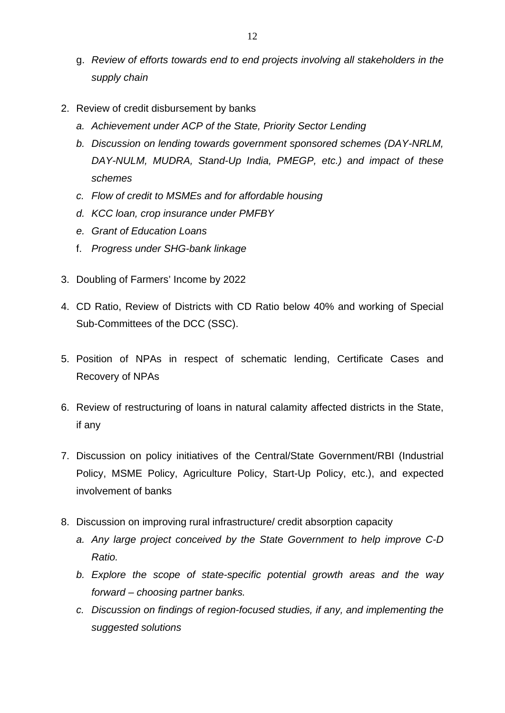- g. *Review of efforts towards end to end projects involving all stakeholders in the supply chain*
- 2. Review of credit disbursement by banks
	- *a. Achievement under ACP of the State, Priority Sector Lending*
	- *b. Discussion on lending towards government sponsored schemes (DAY-NRLM, DAY-NULM, MUDRA, Stand-Up India, PMEGP, etc.) and impact of these schemes*
	- *c. Flow of credit to MSMEs and for affordable housing*
	- *d. KCC loan, crop insurance under PMFBY*
	- *e. Grant of Education Loans*
	- f. *Progress under SHG-bank linkage*
- 3. Doubling of Farmers' Income by 2022
- 4. CD Ratio, Review of Districts with CD Ratio below 40% and working of Special Sub-Committees of the DCC (SSC).
- 5. Position of NPAs in respect of schematic lending, Certificate Cases and Recovery of NPAs
- 6. Review of restructuring of loans in natural calamity affected districts in the State, if any
- 7. Discussion on policy initiatives of the Central/State Government/RBI (Industrial Policy, MSME Policy, Agriculture Policy, Start-Up Policy, etc.), and expected involvement of banks
- 8. Discussion on improving rural infrastructure/ credit absorption capacity
	- *a. Any large project conceived by the State Government to help improve C-D Ratio.*
	- *b. Explore the scope of state-specific potential growth areas and the way forward – choosing partner banks.*
	- *c. Discussion on findings of region-focused studies, if any, and implementing the suggested solutions*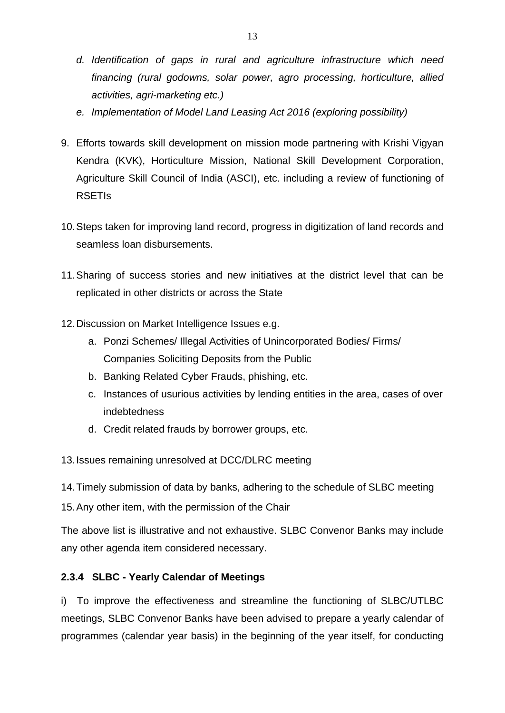- *d. Identification of gaps in rural and agriculture infrastructure which need financing (rural godowns, solar power, agro processing, horticulture, allied activities, agri-marketing etc.)*
- *e. Implementation of Model Land Leasing Act 2016 (exploring possibility)*
- 9. Efforts towards skill development on mission mode partnering with Krishi Vigyan Kendra (KVK), Horticulture Mission, National Skill Development Corporation, Agriculture Skill Council of India (ASCI), etc. including a review of functioning of RSETIs
- 10.Steps taken for improving land record, progress in digitization of land records and seamless loan disbursements.
- 11.Sharing of success stories and new initiatives at the district level that can be replicated in other districts or across the State
- 12.Discussion on Market Intelligence Issues e.g.
	- a. Ponzi Schemes/ Illegal Activities of Unincorporated Bodies/ Firms/ Companies Soliciting Deposits from the Public
	- b. Banking Related Cyber Frauds, phishing, etc.
	- c. Instances of usurious activities by lending entities in the area, cases of over indebtedness
	- d. Credit related frauds by borrower groups, etc.

13.Issues remaining unresolved at DCC/DLRC meeting

14.Timely submission of data by banks, adhering to the schedule of SLBC meeting

15.Any other item, with the permission of the Chair

The above list is illustrative and not exhaustive. SLBC Convenor Banks may include any other agenda item considered necessary.

# **2.3.4 SLBC - Yearly Calendar of Meetings**

i) To improve the effectiveness and streamline the functioning of SLBC/UTLBC meetings, SLBC Convenor Banks have been advised to prepare a yearly calendar of programmes (calendar year basis) in the beginning of the year itself, for conducting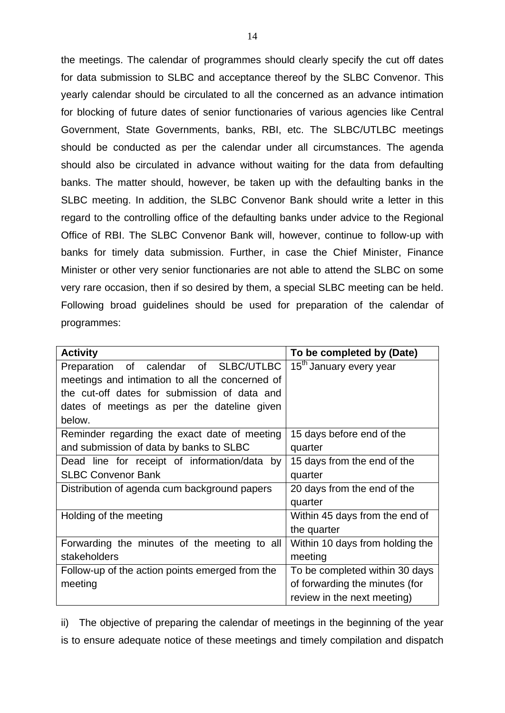the meetings. The calendar of programmes should clearly specify the cut off dates for data submission to SLBC and acceptance thereof by the SLBC Convenor. This yearly calendar should be circulated to all the concerned as an advance intimation for blocking of future dates of senior functionaries of various agencies like Central Government, State Governments, banks, RBI, etc. The SLBC/UTLBC meetings should be conducted as per the calendar under all circumstances. The agenda should also be circulated in advance without waiting for the data from defaulting banks. The matter should, however, be taken up with the defaulting banks in the SLBC meeting. In addition, the SLBC Convenor Bank should write a letter in this regard to the controlling office of the defaulting banks under advice to the Regional Office of RBI. The SLBC Convenor Bank will, however, continue to follow-up with banks for timely data submission. Further, in case the Chief Minister, Finance Minister or other very senior functionaries are not able to attend the SLBC on some very rare occasion, then if so desired by them, a special SLBC meeting can be held. Following broad guidelines should be used for preparation of the calendar of programmes:

| <b>Activity</b>                                 | To be completed by (Date)           |
|-------------------------------------------------|-------------------------------------|
| Preparation of calendar of SLBC/UTLBC           | 15 <sup>th</sup> January every year |
| meetings and intimation to all the concerned of |                                     |
| the cut-off dates for submission of data and    |                                     |
| dates of meetings as per the dateline given     |                                     |
| below.                                          |                                     |
| Reminder regarding the exact date of meeting    | 15 days before end of the           |
| and submission of data by banks to SLBC         | quarter                             |
| Dead line for receipt of information/data<br>by | 15 days from the end of the         |
| <b>SLBC Convenor Bank</b>                       | quarter                             |
| Distribution of agenda cum background papers    | 20 days from the end of the         |
|                                                 | quarter                             |
| Holding of the meeting                          | Within 45 days from the end of      |
|                                                 | the quarter                         |
| Forwarding the minutes of the meeting to all    | Within 10 days from holding the     |
| stakeholders                                    | meeting                             |
| Follow-up of the action points emerged from the | To be completed within 30 days      |
| meeting                                         | of forwarding the minutes (for      |
|                                                 | review in the next meeting)         |

ii) The objective of preparing the calendar of meetings in the beginning of the year is to ensure adequate notice of these meetings and timely compilation and dispatch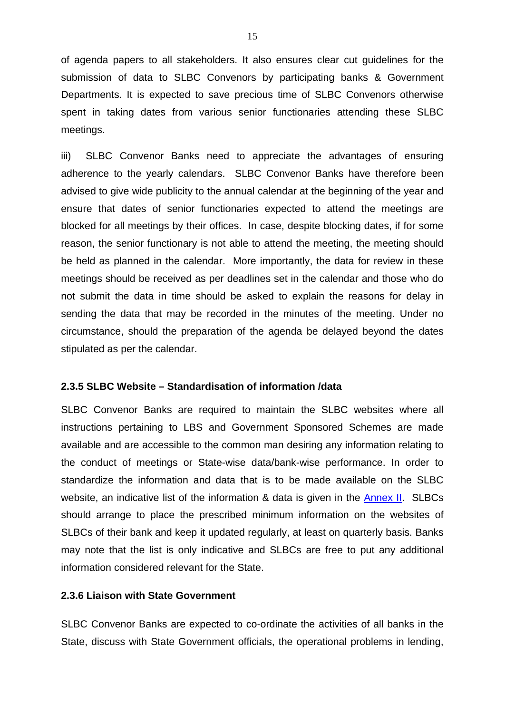of agenda papers to all stakeholders. It also ensures clear cut guidelines for the submission of data to SLBC Convenors by participating banks & Government Departments. It is expected to save precious time of SLBC Convenors otherwise spent in taking dates from various senior functionaries attending these SLBC meetings.

iii) SLBC Convenor Banks need to appreciate the advantages of ensuring adherence to the yearly calendars. SLBC Convenor Banks have therefore been advised to give wide publicity to the annual calendar at the beginning of the year and ensure that dates of senior functionaries expected to attend the meetings are blocked for all meetings by their offices. In case, despite blocking dates, if for some reason, the senior functionary is not able to attend the meeting, the meeting should be held as planned in the calendar. More importantly, the data for review in these meetings should be received as per deadlines set in the calendar and those who do not submit the data in time should be asked to explain the reasons for delay in sending the data that may be recorded in the minutes of the meeting. Under no circumstance, should the preparation of the agenda be delayed beyond the dates stipulated as per the calendar.

## **2.3.5 SLBC Website – Standardisation of information /data**

SLBC Convenor Banks are required to maintain the SLBC websites where all instructions pertaining to LBS and Government Sponsored Schemes are made available and are accessible to the common man desiring any information relating to the conduct of meetings or State-wise data/bank-wise performance. In order to standardize the information and data that is to be made available on the SLBC website, an indicative list of the information & data is given in the [Annex II.](#page-47-0) SLBCs should arrange to place the prescribed minimum information on the websites of SLBCs of their bank and keep it updated regularly, at least on quarterly basis. Banks may note that the list is only indicative and SLBCs are free to put any additional information considered relevant for the State.

### **2.3.6 Liaison with State Government**

SLBC Convenor Banks are expected to co-ordinate the activities of all banks in the State, discuss with State Government officials, the operational problems in lending,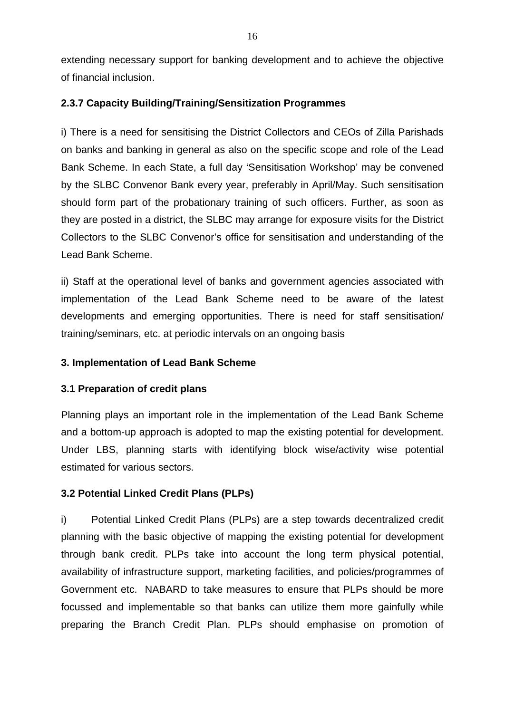extending necessary support for banking development and to achieve the objective of financial inclusion.

## **2.3.7 Capacity Building/Training/Sensitization Programmes**

i) There is a need for sensitising the District Collectors and CEOs of Zilla Parishads on banks and banking in general as also on the specific scope and role of the Lead Bank Scheme. In each State, a full day 'Sensitisation Workshop' may be convened by the SLBC Convenor Bank every year, preferably in April/May. Such sensitisation should form part of the probationary training of such officers. Further, as soon as they are posted in a district, the SLBC may arrange for exposure visits for the District Collectors to the SLBC Convenor's office for sensitisation and understanding of the Lead Bank Scheme.

ii) Staff at the operational level of banks and government agencies associated with implementation of the Lead Bank Scheme need to be aware of the latest developments and emerging opportunities. There is need for staff sensitisation/ training/seminars, etc. at periodic intervals on an ongoing basis

# **3. Implementation of Lead Bank Scheme**

# **3.1 Preparation of credit plans**

Planning plays an important role in the implementation of the Lead Bank Scheme and a bottom-up approach is adopted to map the existing potential for development. Under LBS, planning starts with identifying block wise/activity wise potential estimated for various sectors.

# **3.2 Potential Linked Credit Plans (PLPs)**

i) Potential Linked Credit Plans (PLPs) are a step towards decentralized credit planning with the basic objective of mapping the existing potential for development through bank credit. PLPs take into account the long term physical potential, availability of infrastructure support, marketing facilities, and policies/programmes of Government etc. NABARD to take measures to ensure that PLPs should be more focussed and implementable so that banks can utilize them more gainfully while preparing the Branch Credit Plan. PLPs should emphasise on promotion of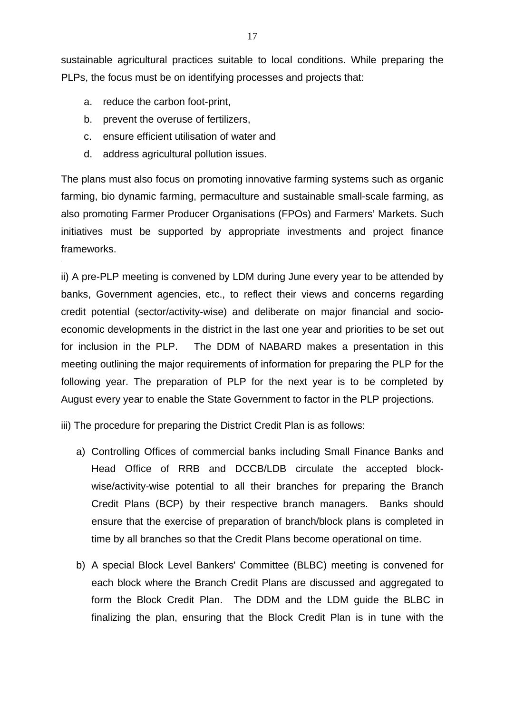sustainable agricultural practices suitable to local conditions. While preparing the PLPs, the focus must be on identifying processes and projects that:

- a. reduce the carbon foot-print,
- b. prevent the overuse of fertilizers,
- c. ensure efficient utilisation of water and
- d. address agricultural pollution issues.

The plans must also focus on promoting innovative farming systems such as organic farming, bio dynamic farming, permaculture and sustainable small-scale farming, as also promoting Farmer Producer Organisations (FPOs) and Farmers' Markets. Such initiatives must be supported by appropriate investments and project finance frameworks.

ii) A pre-PLP meeting is convened by LDM during June every year to be attended by banks, Government agencies, etc., to reflect their views and concerns regarding credit potential (sector/activity-wise) and deliberate on major financial and socioeconomic developments in the district in the last one year and priorities to be set out for inclusion in the PLP. The DDM of NABARD makes a presentation in this meeting outlining the major requirements of information for preparing the PLP for the following year. The preparation of PLP for the next year is to be completed by August every year to enable the State Government to factor in the PLP projections.

iii) The procedure for preparing the District Credit Plan is as follows:

- a) Controlling Offices of commercial banks including Small Finance Banks and Head Office of RRB and DCCB/LDB circulate the accepted blockwise/activity-wise potential to all their branches for preparing the Branch Credit Plans (BCP) by their respective branch managers. Banks should ensure that the exercise of preparation of branch/block plans is completed in time by all branches so that the Credit Plans become operational on time.
- b) A special Block Level Bankers' Committee (BLBC) meeting is convened for each block where the Branch Credit Plans are discussed and aggregated to form the Block Credit Plan. The DDM and the LDM guide the BLBC in finalizing the plan, ensuring that the Block Credit Plan is in tune with the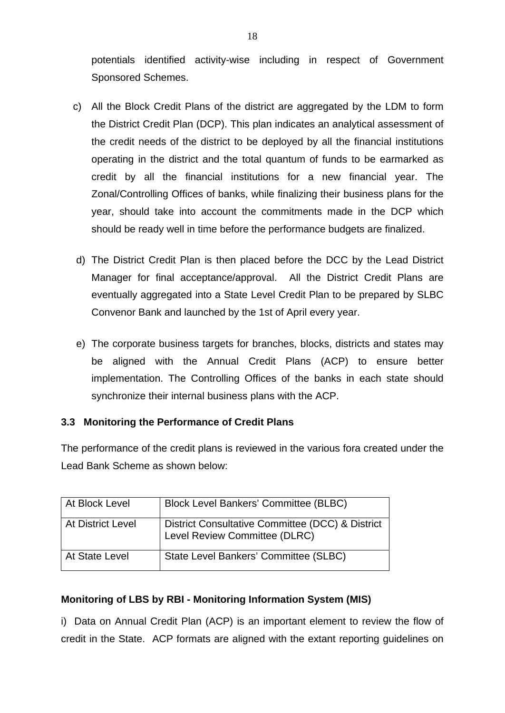potentials identified activity-wise including in respect of Government Sponsored Schemes.

- c) All the Block Credit Plans of the district are aggregated by the LDM to form the District Credit Plan (DCP). This plan indicates an analytical assessment of the credit needs of the district to be deployed by all the financial institutions operating in the district and the total quantum of funds to be earmarked as credit by all the financial institutions for a new financial year. The Zonal/Controlling Offices of banks, while finalizing their business plans for the year, should take into account the commitments made in the DCP which should be ready well in time before the performance budgets are finalized.
- d) The District Credit Plan is then placed before the DCC by the Lead District Manager for final acceptance/approval. All the District Credit Plans are eventually aggregated into a State Level Credit Plan to be prepared by SLBC Convenor Bank and launched by the 1st of April every year.
- e) The corporate business targets for branches, blocks, districts and states may be aligned with the Annual Credit Plans (ACP) to ensure better implementation. The Controlling Offices of the banks in each state should synchronize their internal business plans with the ACP.

# **3.3 Monitoring the Performance of Credit Plans**

The performance of the credit plans is reviewed in the various fora created under the Lead Bank Scheme as shown below:

| At Block Level           | <b>Block Level Bankers' Committee (BLBC)</b>                                      |
|--------------------------|-----------------------------------------------------------------------------------|
| <b>At District Level</b> | District Consultative Committee (DCC) & District<br>Level Review Committee (DLRC) |
| At State Level           | State Level Bankers' Committee (SLBC)                                             |

# **Monitoring of LBS by RBI - Monitoring Information System (MIS)**

i) Data on Annual Credit Plan (ACP) is an important element to review the flow of credit in the State. ACP formats are aligned with the extant reporting guidelines on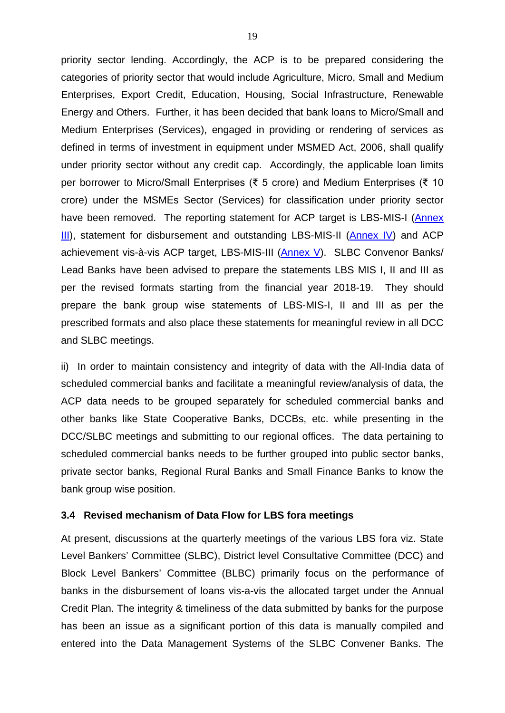priority sector lending. Accordingly, the ACP is to be prepared considering the categories of priority sector that would include Agriculture, Micro, Small and Medium Enterprises, Export Credit, Education, Housing, Social Infrastructure, Renewable Energy and Others. Further, it has been decided that bank loans to Micro/Small and Medium Enterprises (Services), engaged in providing or rendering of services as defined in terms of investment in equipment under MSMED Act, 2006, shall qualify under priority sector without any credit cap. Accordingly, the applicable loan limits per borrower to Micro/Small Enterprises (₹ 5 crore) and Medium Enterprises (₹ 10 crore) under the MSMEs Sector (Services) for classification under priority sector have been removed. The reporting statement for ACP target is LBS-MIS-I (Annex **III**), statement for disbursement and outstanding LBS-MIS-II [\(Annex IV\)](#page-64-0) and ACP achievement vis-à-vis ACP target, LBS-MIS-III [\(Annex V\)](#page-65-0). SLBC Convenor Banks/ Lead Banks have been advised to prepare the statements LBS MIS I, II and III as per the revised formats starting from the financial year 2018-19. They should prepare the bank group wise statements of LBS-MIS-I, II and III as per the prescribed formats and also place these statements for meaningful review in all DCC and SLBC meetings.

ii) In order to maintain consistency and integrity of data with the All-India data of scheduled commercial banks and facilitate a meaningful review/analysis of data, the ACP data needs to be grouped separately for scheduled commercial banks and other banks like State Cooperative Banks, DCCBs, etc. while presenting in the DCC/SLBC meetings and submitting to our regional offices. The data pertaining to scheduled commercial banks needs to be further grouped into public sector banks, private sector banks, Regional Rural Banks and Small Finance Banks to know the bank group wise position.

#### **3.4 Revised mechanism of Data Flow for LBS fora meetings**

At present, discussions at the quarterly meetings of the various LBS fora viz. State Level Bankers' Committee (SLBC), District level Consultative Committee (DCC) and Block Level Bankers' Committee (BLBC) primarily focus on the performance of banks in the disbursement of loans vis-a-vis the allocated target under the Annual Credit Plan. The integrity & timeliness of the data submitted by banks for the purpose has been an issue as a significant portion of this data is manually compiled and entered into the Data Management Systems of the SLBC Convener Banks. The

19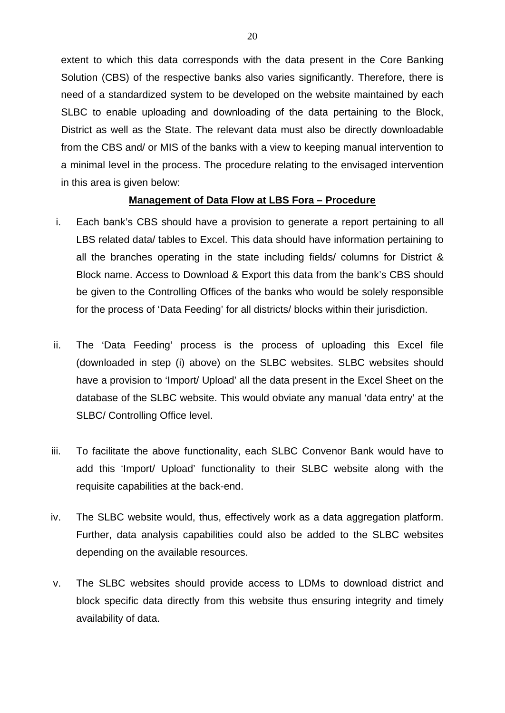extent to which this data corresponds with the data present in the Core Banking Solution (CBS) of the respective banks also varies significantly. Therefore, there is need of a standardized system to be developed on the website maintained by each SLBC to enable uploading and downloading of the data pertaining to the Block, District as well as the State. The relevant data must also be directly downloadable from the CBS and/ or MIS of the banks with a view to keeping manual intervention to a minimal level in the process. The procedure relating to the envisaged intervention in this area is given below:

#### **Management of Data Flow at LBS Fora – Procedure**

- i. Each bank's CBS should have a provision to generate a report pertaining to all LBS related data/ tables to Excel. This data should have information pertaining to all the branches operating in the state including fields/ columns for District & Block name. Access to Download & Export this data from the bank's CBS should be given to the Controlling Offices of the banks who would be solely responsible for the process of 'Data Feeding' for all districts/ blocks within their jurisdiction.
- ii. The 'Data Feeding' process is the process of uploading this Excel file (downloaded in step (i) above) on the SLBC websites. SLBC websites should have a provision to 'Import/ Upload' all the data present in the Excel Sheet on the database of the SLBC website. This would obviate any manual 'data entry' at the SLBC/ Controlling Office level.
- iii. To facilitate the above functionality, each SLBC Convenor Bank would have to add this 'Import/ Upload' functionality to their SLBC website along with the requisite capabilities at the back-end.
- iv. The SLBC website would, thus, effectively work as a data aggregation platform. Further, data analysis capabilities could also be added to the SLBC websites depending on the available resources.
- v. The SLBC websites should provide access to LDMs to download district and block specific data directly from this website thus ensuring integrity and timely availability of data.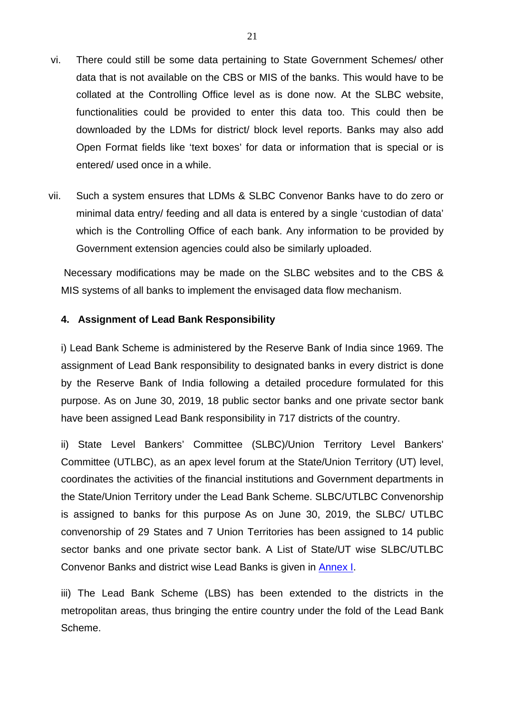- vi. There could still be some data pertaining to State Government Schemes/ other data that is not available on the CBS or MIS of the banks. This would have to be collated at the Controlling Office level as is done now. At the SLBC website, functionalities could be provided to enter this data too. This could then be downloaded by the LDMs for district/ block level reports. Banks may also add Open Format fields like 'text boxes' for data or information that is special or is entered/ used once in a while.
- vii. Such a system ensures that LDMs & SLBC Convenor Banks have to do zero or minimal data entry/ feeding and all data is entered by a single 'custodian of data' which is the Controlling Office of each bank. Any information to be provided by Government extension agencies could also be similarly uploaded.

Necessary modifications may be made on the SLBC websites and to the CBS & MIS systems of all banks to implement the envisaged data flow mechanism.

## **4. Assignment of Lead Bank Responsibility**

i) Lead Bank Scheme is administered by the Reserve Bank of India since 1969. The assignment of Lead Bank responsibility to designated banks in every district is done by the Reserve Bank of India following a detailed procedure formulated for this purpose. As on June 30, 2019, 18 public sector banks and one private sector bank have been assigned Lead Bank responsibility in 717 districts of the country.

ii) State Level Bankers' Committee (SLBC)/Union Territory Level Bankers' Committee (UTLBC), as an apex level forum at the State/Union Territory (UT) level, coordinates the activities of the financial institutions and Government departments in the State/Union Territory under the Lead Bank Scheme. SLBC/UTLBC Convenorship is assigned to banks for this purpose As on June 30, 2019, the SLBC/ UTLBC convenorship of 29 States and 7 Union Territories has been assigned to 14 public sector banks and one private sector bank. A List of State/UT wise SLBC/UTLBC Convenor Banks and district wise Lead Banks is given in [Annex](#page-31-0) I.

iii) The Lead Bank Scheme (LBS) has been extended to the districts in the metropolitan areas, thus bringing the entire country under the fold of the Lead Bank Scheme.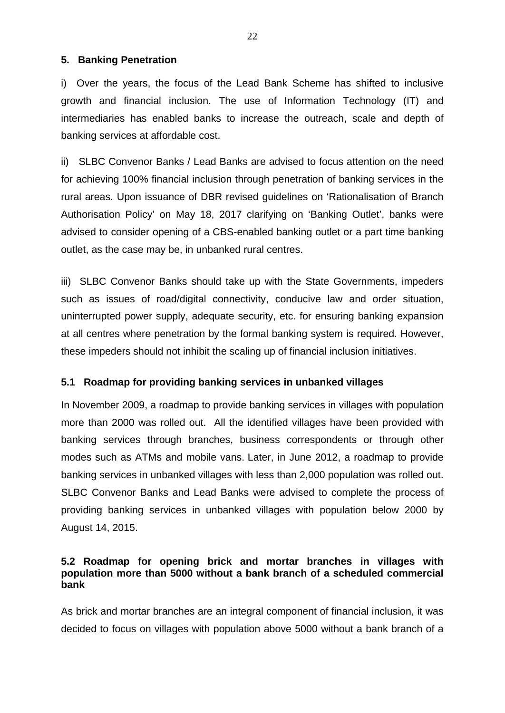## **5. Banking Penetration**

i) Over the years, the focus of the Lead Bank Scheme has shifted to inclusive growth and financial inclusion. The use of Information Technology (IT) and intermediaries has enabled banks to increase the outreach, scale and depth of banking services at affordable cost.

ii) SLBC Convenor Banks / Lead Banks are advised to focus attention on the need for achieving 100% financial inclusion through penetration of banking services in the rural areas. Upon issuance of DBR revised guidelines on 'Rationalisation of Branch Authorisation Policy' on May 18, 2017 clarifying on 'Banking Outlet', banks were advised to consider opening of a CBS-enabled banking outlet or a part time banking outlet, as the case may be, in unbanked rural centres.

iii) SLBC Convenor Banks should take up with the State Governments, impeders such as issues of road/digital connectivity, conducive law and order situation, uninterrupted power supply, adequate security, etc. for ensuring banking expansion at all centres where penetration by the formal banking system is required. However, these impeders should not inhibit the scaling up of financial inclusion initiatives.

## **5.1 Roadmap for providing banking services in unbanked villages**

In November 2009, a roadmap to provide banking services in villages with population more than 2000 was rolled out. All the identified villages have been provided with banking services through branches, business correspondents or through other modes such as ATMs and mobile vans. Later, in June 2012, a roadmap to provide banking services in unbanked villages with less than 2,000 population was rolled out. SLBC Convenor Banks and Lead Banks were advised to complete the process of providing banking services in unbanked villages with population below 2000 by August 14, 2015.

## **5.2 Roadmap for opening brick and mortar branches in villages with population more than 5000 without a bank branch of a scheduled commercial bank**

As brick and mortar branches are an integral component of financial inclusion, it was decided to focus on villages with population above 5000 without a bank branch of a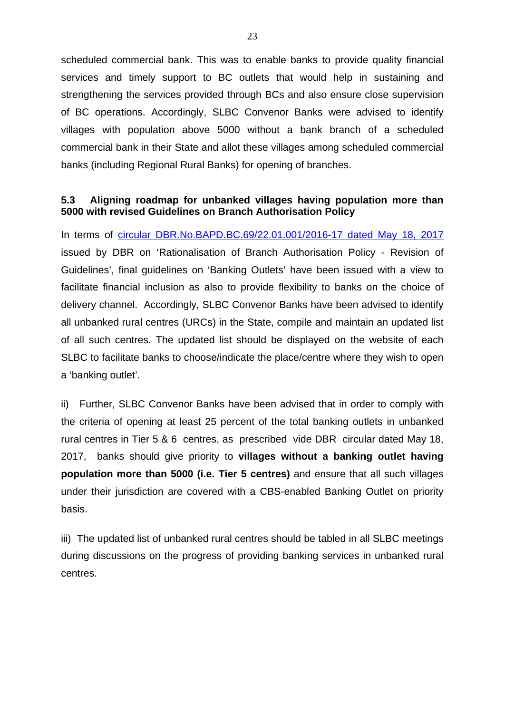scheduled commercial bank. This was to enable banks to provide quality financial services and timely support to BC outlets that would help in sustaining and strengthening the services provided through BCs and also ensure close supervision of BC operations. Accordingly, SLBC Convenor Banks were advised to identify villages with population above 5000 without a bank branch of a scheduled commercial bank in their State and allot these villages among scheduled commercial banks (including Regional Rural Banks) for opening of branches.

## **5.3 Aligning roadmap for unbanked villages having population more than 5000 with revised Guidelines on Branch Authorisation Policy**

In terms of [circular DBR.No.BAPD.BC.69/22.01.001/2016-17 dated May 18, 2017](https://rbi.org.in/Scripts/NotificationUser.aspx?Id=10972&Mode=0) issued by DBR on 'Rationalisation of Branch Authorisation Policy - Revision of Guidelines', final guidelines on 'Banking Outlets' have been issued with a view to facilitate financial inclusion as also to provide flexibility to banks on the choice of delivery channel. Accordingly, SLBC Convenor Banks have been advised to identify all unbanked rural centres (URCs) in the State, compile and maintain an updated list of all such centres. The updated list should be displayed on the website of each SLBC to facilitate banks to choose/indicate the place/centre where they wish to open a 'banking outlet'.

ii) Further, SLBC Convenor Banks have been advised that in order to comply with the criteria of opening at least 25 percent of the total banking outlets in unbanked rural centres in Tier 5 & 6 centres, as prescribed vide DBR circular dated May 18, 2017, banks should give priority to **villages without a banking outlet having population more than 5000 (i.e. Tier 5 centres)** and ensure that all such villages under their jurisdiction are covered with a CBS-enabled Banking Outlet on priority basis.

iii) The updated list of unbanked rural centres should be tabled in all SLBC meetings during discussions on the progress of providing banking services in unbanked rural centres.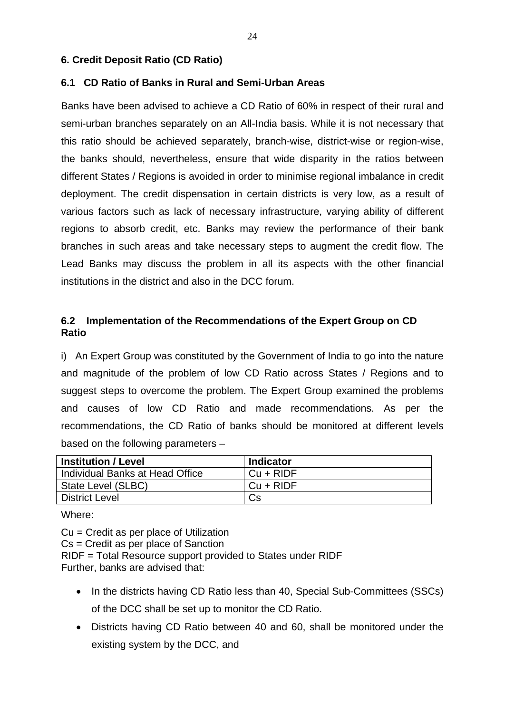## **6. Credit Deposit Ratio (CD Ratio)**

## **6.1 CD Ratio of Banks in Rural and Semi-Urban Areas**

Banks have been advised to achieve a CD Ratio of 60% in respect of their rural and semi-urban branches separately on an All-India basis. While it is not necessary that this ratio should be achieved separately, branch-wise, district-wise or region-wise, the banks should, nevertheless, ensure that wide disparity in the ratios between different States / Regions is avoided in order to minimise regional imbalance in credit deployment. The credit dispensation in certain districts is very low, as a result of various factors such as lack of necessary infrastructure, varying ability of different regions to absorb credit, etc. Banks may review the performance of their bank branches in such areas and take necessary steps to augment the credit flow. The Lead Banks may discuss the problem in all its aspects with the other financial institutions in the district and also in the DCC forum.

# **6.2 Implementation of the Recommendations of the Expert Group on CD Ratio**

i) An Expert Group was constituted by the Government of India to go into the nature and magnitude of the problem of low CD Ratio across States / Regions and to suggest steps to overcome the problem. The Expert Group examined the problems and causes of low CD Ratio and made recommendations. As per the recommendations, the CD Ratio of banks should be monitored at different levels based on the following parameters –

| <b>Institution / Level</b>      | <b>Indicator</b> |
|---------------------------------|------------------|
| Individual Banks at Head Office | $Cu + RIDF$      |
| State Level (SLBC)              | Cu + RIDF        |
| <b>District Level</b>           | Cs               |

Where:

Cu = Credit as per place of Utilization Cs = Credit as per place of Sanction RIDF = Total Resource support provided to States under RIDF Further, banks are advised that:

- In the districts having CD Ratio less than 40, Special Sub-Committees (SSCs) of the DCC shall be set up to monitor the CD Ratio.
- Districts having CD Ratio between 40 and 60, shall be monitored under the existing system by the DCC, and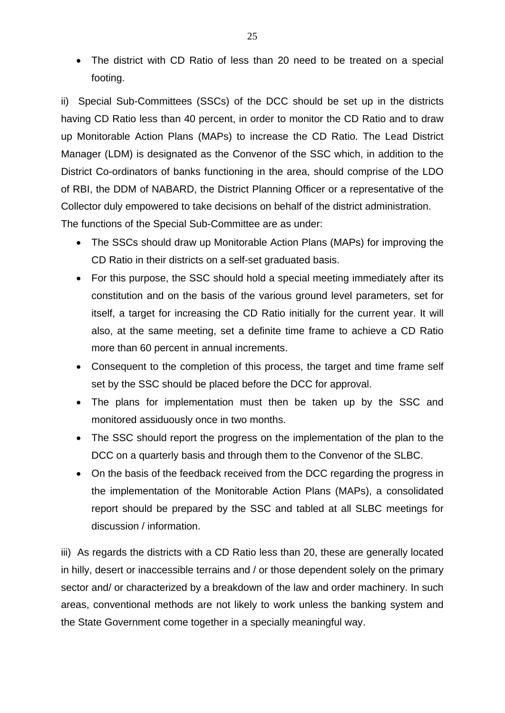• The district with CD Ratio of less than 20 need to be treated on a special footing.

ii) Special Sub-Committees (SSCs) of the DCC should be set up in the districts having CD Ratio less than 40 percent, in order to monitor the CD Ratio and to draw up Monitorable Action Plans (MAPs) to increase the CD Ratio. The Lead District Manager (LDM) is designated as the Convenor of the SSC which, in addition to the District Co-ordinators of banks functioning in the area, should comprise of the LDO of RBI, the DDM of NABARD, the District Planning Officer or a representative of the Collector duly empowered to take decisions on behalf of the district administration. The functions of the Special Sub-Committee are as under:

- The SSCs should draw up Monitorable Action Plans (MAPs) for improving the CD Ratio in their districts on a self-set graduated basis.
- For this purpose, the SSC should hold a special meeting immediately after its constitution and on the basis of the various ground level parameters, set for itself, a target for increasing the CD Ratio initially for the current year. It will also, at the same meeting, set a definite time frame to achieve a CD Ratio more than 60 percent in annual increments.
- Consequent to the completion of this process, the target and time frame self set by the SSC should be placed before the DCC for approval.
- The plans for implementation must then be taken up by the SSC and monitored assiduously once in two months.
- The SSC should report the progress on the implementation of the plan to the DCC on a quarterly basis and through them to the Convenor of the SLBC.
- On the basis of the feedback received from the DCC regarding the progress in the implementation of the Monitorable Action Plans (MAPs), a consolidated report should be prepared by the SSC and tabled at all SLBC meetings for discussion / information.

iii) As regards the districts with a CD Ratio less than 20, these are generally located in hilly, desert or inaccessible terrains and / or those dependent solely on the primary sector and/ or characterized by a breakdown of the law and order machinery. In such areas, conventional methods are not likely to work unless the banking system and the State Government come together in a specially meaningful way.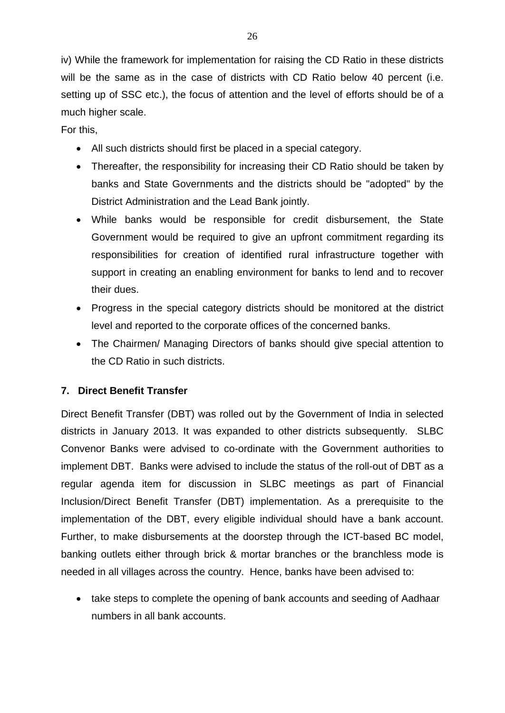iv) While the framework for implementation for raising the CD Ratio in these districts will be the same as in the case of districts with CD Ratio below 40 percent (i.e. setting up of SSC etc.), the focus of attention and the level of efforts should be of a much higher scale.

For this,

- All such districts should first be placed in a special category.
- Thereafter, the responsibility for increasing their CD Ratio should be taken by banks and State Governments and the districts should be "adopted" by the District Administration and the Lead Bank jointly.
- While banks would be responsible for credit disbursement, the State Government would be required to give an upfront commitment regarding its responsibilities for creation of identified rural infrastructure together with support in creating an enabling environment for banks to lend and to recover their dues.
- Progress in the special category districts should be monitored at the district level and reported to the corporate offices of the concerned banks.
- The Chairmen/ Managing Directors of banks should give special attention to the CD Ratio in such districts.

# **7. Direct Benefit Transfer**

Direct Benefit Transfer (DBT) was rolled out by the Government of India in selected districts in January 2013. It was expanded to other districts subsequently. SLBC Convenor Banks were advised to co-ordinate with the Government authorities to implement DBT. Banks were advised to include the status of the roll-out of DBT as a regular agenda item for discussion in SLBC meetings as part of Financial Inclusion/Direct Benefit Transfer (DBT) implementation. As a prerequisite to the implementation of the DBT, every eligible individual should have a bank account. Further, to make disbursements at the doorstep through the ICT-based BC model, banking outlets either through brick & mortar branches or the branchless mode is needed in all villages across the country. Hence, banks have been advised to:

• take steps to complete the opening of bank accounts and seeding of Aadhaar numbers in all bank accounts.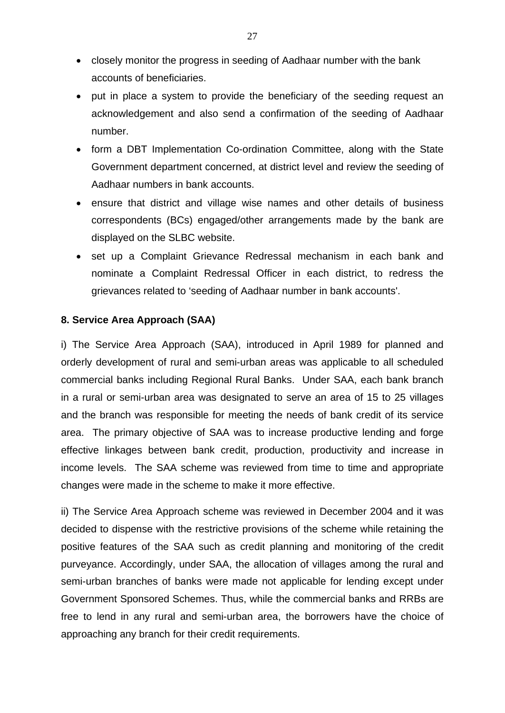- closely monitor the progress in seeding of Aadhaar number with the bank accounts of beneficiaries.
- put in place a system to provide the beneficiary of the seeding request an acknowledgement and also send a confirmation of the seeding of Aadhaar number.
- form a DBT Implementation Co-ordination Committee, along with the State Government department concerned, at district level and review the seeding of Aadhaar numbers in bank accounts.
- ensure that district and village wise names and other details of business correspondents (BCs) engaged/other arrangements made by the bank are displayed on the SLBC website.
- set up a Complaint Grievance Redressal mechanism in each bank and nominate a Complaint Redressal Officer in each district, to redress the grievances related to 'seeding of Aadhaar number in bank accounts'.

## **8. Service Area Approach (SAA)**

i) The Service Area Approach (SAA), introduced in April 1989 for planned and orderly development of rural and semi-urban areas was applicable to all scheduled commercial banks including Regional Rural Banks. Under SAA, each bank branch in a rural or semi-urban area was designated to serve an area of 15 to 25 villages and the branch was responsible for meeting the needs of bank credit of its service area. The primary objective of SAA was to increase productive lending and forge effective linkages between bank credit, production, productivity and increase in income levels. The SAA scheme was reviewed from time to time and appropriate changes were made in the scheme to make it more effective.

ii) The Service Area Approach scheme was reviewed in December 2004 and it was decided to dispense with the restrictive provisions of the scheme while retaining the positive features of the SAA such as credit planning and monitoring of the credit purveyance. Accordingly, under SAA, the allocation of villages among the rural and semi-urban branches of banks were made not applicable for lending except under Government Sponsored Schemes. Thus, while the commercial banks and RRBs are free to lend in any rural and semi-urban area, the borrowers have the choice of approaching any branch for their credit requirements.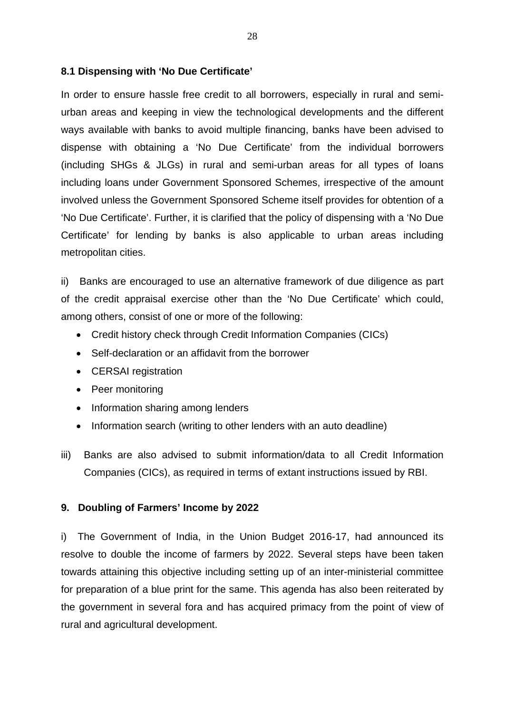## **8.1 Dispensing with 'No Due Certificate'**

In order to ensure hassle free credit to all borrowers, especially in rural and semiurban areas and keeping in view the technological developments and the different ways available with banks to avoid multiple financing, banks have been advised to dispense with obtaining a 'No Due Certificate' from the individual borrowers (including SHGs & JLGs) in rural and semi-urban areas for all types of loans including loans under Government Sponsored Schemes, irrespective of the amount involved unless the Government Sponsored Scheme itself provides for obtention of a 'No Due Certificate'. Further, it is clarified that the policy of dispensing with a 'No Due Certificate' for lending by banks is also applicable to urban areas including metropolitan cities.

ii) Banks are encouraged to use an alternative framework of due diligence as part of the credit appraisal exercise other than the 'No Due Certificate' which could, among others, consist of one or more of the following:

- Credit history check through Credit Information Companies (CICs)
- Self-declaration or an affidavit from the borrower
- CERSAI registration
- Peer monitoring
- Information sharing among lenders
- Information search (writing to other lenders with an auto deadline)
- iii) Banks are also advised to submit information/data to all Credit Information Companies (CICs), as required in terms of extant instructions issued by RBI.

# **9. Doubling of Farmers' Income by 2022**

i) The Government of India, in the Union Budget 2016-17, had announced its resolve to double the income of farmers by 2022. Several steps have been taken towards attaining this objective including setting up of an inter-ministerial committee for preparation of a blue print for the same. This agenda has also been reiterated by the government in several fora and has acquired primacy from the point of view of rural and agricultural development.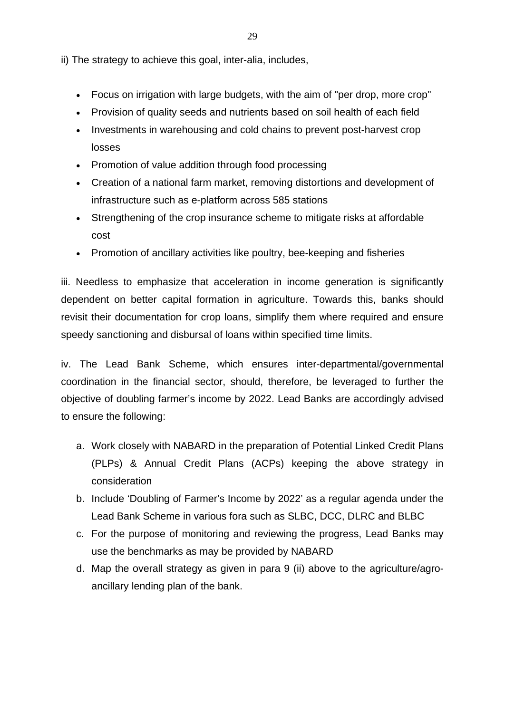ii) The strategy to achieve this goal, inter-alia, includes,

- Focus on irrigation with large budgets, with the aim of "per drop, more crop"
- Provision of quality seeds and nutrients based on soil health of each field
- Investments in warehousing and cold chains to prevent post-harvest crop losses
- Promotion of value addition through food processing
- Creation of a national farm market, removing distortions and development of infrastructure such as e-platform across 585 stations
- Strengthening of the crop insurance scheme to mitigate risks at affordable cost
- Promotion of ancillary activities like poultry, bee-keeping and fisheries

iii. Needless to emphasize that acceleration in income generation is significantly dependent on better capital formation in agriculture. Towards this, banks should revisit their documentation for crop loans, simplify them where required and ensure speedy sanctioning and disbursal of loans within specified time limits.

iv. The Lead Bank Scheme, which ensures inter-departmental/governmental coordination in the financial sector, should, therefore, be leveraged to further the objective of doubling farmer's income by 2022. Lead Banks are accordingly advised to ensure the following:

- a. Work closely with NABARD in the preparation of Potential Linked Credit Plans (PLPs) & Annual Credit Plans (ACPs) keeping the above strategy in consideration
- b. Include 'Doubling of Farmer's Income by 2022' as a regular agenda under the Lead Bank Scheme in various fora such as SLBC, DCC, DLRC and BLBC
- c. For the purpose of monitoring and reviewing the progress, Lead Banks may use the benchmarks as may be provided by NABARD
- d. Map the overall strategy as given in para 9 (ii) above to the agriculture/agroancillary lending plan of the bank.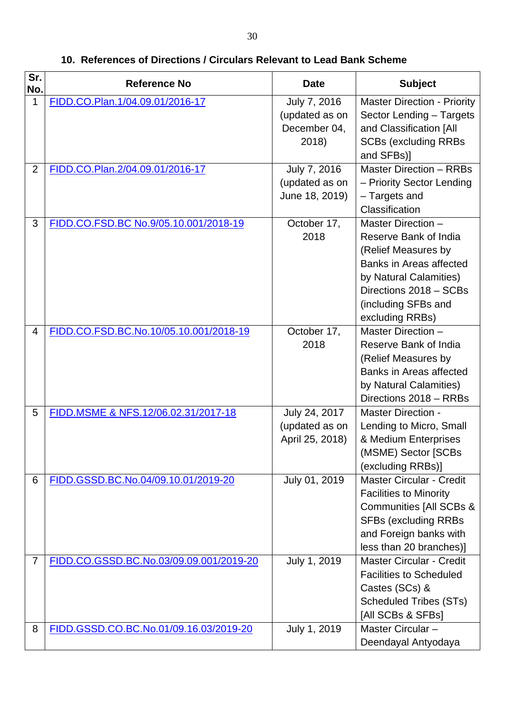| Sr.<br>No.     | <b>Reference No</b>                     | <b>Date</b>                                             | <b>Subject</b>                                                                                                                                                                                     |
|----------------|-----------------------------------------|---------------------------------------------------------|----------------------------------------------------------------------------------------------------------------------------------------------------------------------------------------------------|
| 1              | FIDD.CO.Plan.1/04.09.01/2016-17         | July 7, 2016<br>(updated as on<br>December 04,<br>2018) | <b>Master Direction - Priority</b><br>Sector Lending - Targets<br>and Classification [All<br><b>SCBs (excluding RRBs)</b><br>and SFBs)]                                                            |
| $\overline{2}$ | FIDD.CO.Plan.2/04.09.01/2016-17         | July 7, 2016<br>(updated as on<br>June 18, 2019)        | <b>Master Direction - RRBs</b><br>- Priority Sector Lending<br>- Targets and<br>Classification                                                                                                     |
| 3              | FIDD.CO.FSD.BC No.9/05.10.001/2018-19   | October 17,<br>2018                                     | Master Direction -<br>Reserve Bank of India<br>(Relief Measures by<br><b>Banks in Areas affected</b><br>by Natural Calamities)<br>Directions 2018 - SCBs<br>(including SFBs and<br>excluding RRBs) |
| $\overline{4}$ | FIDD.CO.FSD.BC.No.10/05.10.001/2018-19  | October 17,<br>2018                                     | Master Direction -<br>Reserve Bank of India<br>(Relief Measures by<br><b>Banks in Areas affected</b><br>by Natural Calamities)<br>Directions 2018 - RRBs                                           |
| 5              | FIDD.MSME & NFS.12/06.02.31/2017-18     | July 24, 2017<br>(updated as on<br>April 25, 2018)      | <b>Master Direction -</b><br>Lending to Micro, Small<br>& Medium Enterprises<br>(MSME) Sector [SCBs<br>(excluding RRBs)]                                                                           |
| 6              | FIDD.GSSD.BC.No.04/09.10.01/2019-20     | July 01, 2019                                           | <b>Master Circular - Credit</b><br><b>Facilities to Minority</b><br><b>Communities [All SCBs &amp;</b><br><b>SFBs (excluding RRBs)</b><br>and Foreign banks with<br>less than 20 branches)]        |
| $\overline{7}$ | FIDD.CO.GSSD.BC.No.03/09.09.001/2019-20 | July 1, 2019                                            | <b>Master Circular - Credit</b><br><b>Facilities to Scheduled</b><br>Castes (SCs) &<br><b>Scheduled Tribes (STs)</b><br>[All SCBs & SFBs]                                                          |
| 8              | FIDD.GSSD.CO.BC.No.01/09.16.03/2019-20  | July 1, 2019                                            | Master Circular -<br>Deendayal Antyodaya                                                                                                                                                           |

**10. References of Directions / Circulars Relevant to Lead Bank Scheme**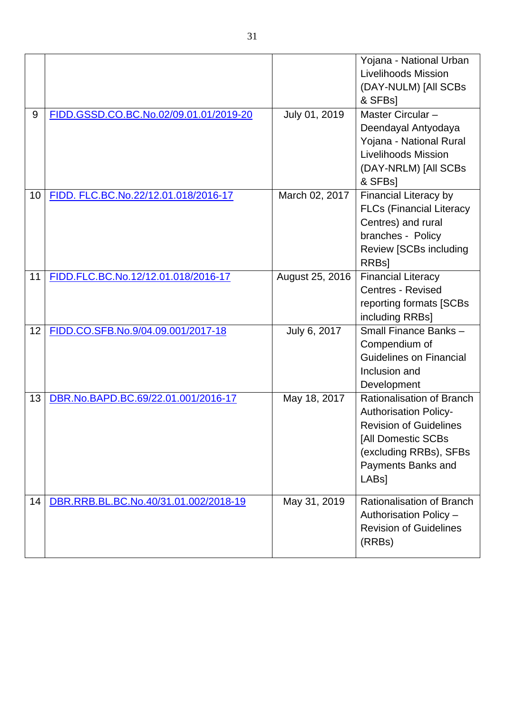|    |                                        |                 | Yojana - National Urban<br>Livelihoods Mission<br>(DAY-NULM) [All SCBs<br>& SFBs1                                                                                                      |
|----|----------------------------------------|-----------------|----------------------------------------------------------------------------------------------------------------------------------------------------------------------------------------|
| 9  | FIDD.GSSD.CO.BC.No.02/09.01.01/2019-20 | July 01, 2019   | Master Circular-<br>Deendayal Antyodaya<br>Yojana - National Rural<br>Livelihoods Mission<br>(DAY-NRLM) [All SCBs<br>& SFBs]                                                           |
| 10 | FIDD. FLC.BC.No.22/12.01.018/2016-17   | March 02, 2017  | Financial Literacy by<br><b>FLCs (Financial Literacy</b><br>Centres) and rural<br>branches - Policy<br><b>Review [SCBs including</b><br><b>RRBsl</b>                                   |
| 11 | FIDD.FLC.BC.No.12/12.01.018/2016-17    | August 25, 2016 | <b>Financial Literacy</b><br><b>Centres - Revised</b><br>reporting formats [SCBs<br>including RRBs]                                                                                    |
| 12 | FIDD.CO.SFB.No.9/04.09.001/2017-18     | July 6, 2017    | Small Finance Banks -<br>Compendium of<br><b>Guidelines on Financial</b><br>Inclusion and<br>Development                                                                               |
| 13 | DBR.No.BAPD.BC.69/22.01.001/2016-17    | May 18, 2017    | Rationalisation of Branch<br><b>Authorisation Policy-</b><br><b>Revision of Guidelines</b><br>[All Domestic SCBs<br>(excluding RRBs), SFBs<br>Payments Banks and<br>LAB <sub>s</sub> ] |
| 14 | DBR.RRB.BL.BC.No.40/31.01.002/2018-19  | May 31, 2019    | Rationalisation of Branch<br>Authorisation Policy -<br><b>Revision of Guidelines</b><br>(RRBs)                                                                                         |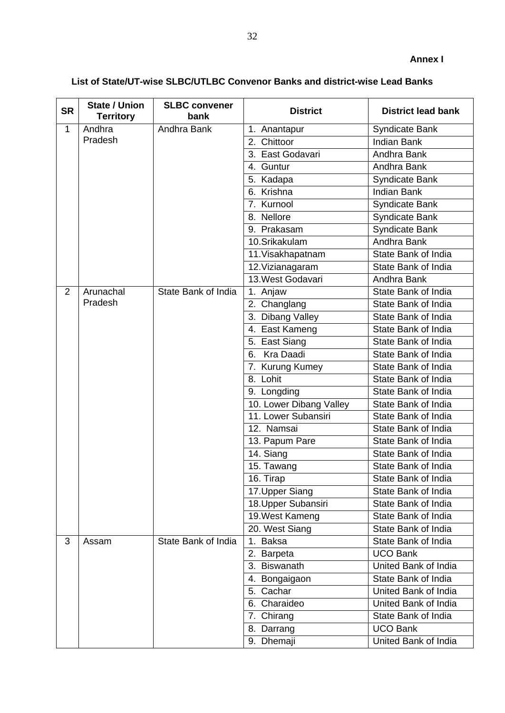# <span id="page-31-0"></span>**List of State/UT-wise SLBC/UTLBC Convenor Banks and district-wise Lead Banks**

| <b>SR</b>      | <b>State / Union</b><br><b>Territory</b> | <b>SLBC convener</b><br>bank | <b>District</b>         | <b>District lead bank</b> |
|----------------|------------------------------------------|------------------------------|-------------------------|---------------------------|
| $\mathbf{1}$   | Andhra                                   | Andhra Bank                  | 1. Anantapur            | Syndicate Bank            |
|                | Pradesh                                  |                              | 2. Chittoor             | <b>Indian Bank</b>        |
|                |                                          |                              | 3. East Godavari        | Andhra Bank               |
|                |                                          |                              | 4. Guntur               | Andhra Bank               |
|                |                                          |                              | 5. Kadapa               | Syndicate Bank            |
|                |                                          |                              | 6. Krishna              | <b>Indian Bank</b>        |
|                |                                          |                              | 7. Kurnool              | <b>Syndicate Bank</b>     |
|                |                                          |                              | 8. Nellore              | <b>Syndicate Bank</b>     |
|                |                                          |                              | 9. Prakasam             | Syndicate Bank            |
|                |                                          |                              | 10.Srikakulam           | Andhra Bank               |
|                |                                          |                              | 11. Visakhapatnam       | State Bank of India       |
|                |                                          |                              | 12. Vizianagaram        | State Bank of India       |
|                |                                          |                              | 13. West Godavari       | Andhra Bank               |
| $\overline{2}$ | Arunachal                                | State Bank of India          | 1. Anjaw                | State Bank of India       |
|                | Pradesh                                  |                              | 2. Changlang            | State Bank of India       |
|                |                                          |                              | 3. Dibang Valley        | State Bank of India       |
|                |                                          |                              | 4. East Kameng          | State Bank of India       |
|                |                                          |                              | 5. East Siang           | State Bank of India       |
|                |                                          |                              | Kra Daadi<br>6.         | State Bank of India       |
|                |                                          |                              | 7. Kurung Kumey         | State Bank of India       |
|                |                                          |                              | 8. Lohit                | State Bank of India       |
|                |                                          |                              | 9. Longding             | State Bank of India       |
|                |                                          |                              | 10. Lower Dibang Valley | State Bank of India       |
|                |                                          |                              | 11. Lower Subansiri     | State Bank of India       |
|                |                                          |                              | 12. Namsai              | State Bank of India       |
|                |                                          |                              | 13. Papum Pare          | State Bank of India       |
|                |                                          |                              | 14. Siang               | State Bank of India       |
|                |                                          |                              | 15. Tawang              | State Bank of India       |
|                |                                          |                              | 16. Tirap               | State Bank of India       |
|                |                                          |                              | 17. Upper Siang         | State Bank of India       |
|                |                                          |                              | 18. Upper Subansiri     | State Bank of India       |
|                |                                          |                              | 19. West Kameng         | State Bank of India       |
|                |                                          |                              | 20. West Siang          | State Bank of India       |
| 3              | Assam                                    | State Bank of India          | <b>Baksa</b><br>1.      | State Bank of India       |
|                |                                          |                              | 2. Barpeta              | <b>UCO Bank</b>           |
|                |                                          |                              | 3. Biswanath            | United Bank of India      |
|                |                                          |                              | 4. Bongaigaon           | State Bank of India       |
|                |                                          |                              | 5. Cachar               | United Bank of India      |
|                |                                          |                              | 6. Charaideo            | United Bank of India      |
|                |                                          |                              | 7. Chirang              | State Bank of India       |
|                |                                          |                              | 8. Darrang              | <b>UCO Bank</b>           |
|                |                                          |                              | 9. Dhemaji              | United Bank of India      |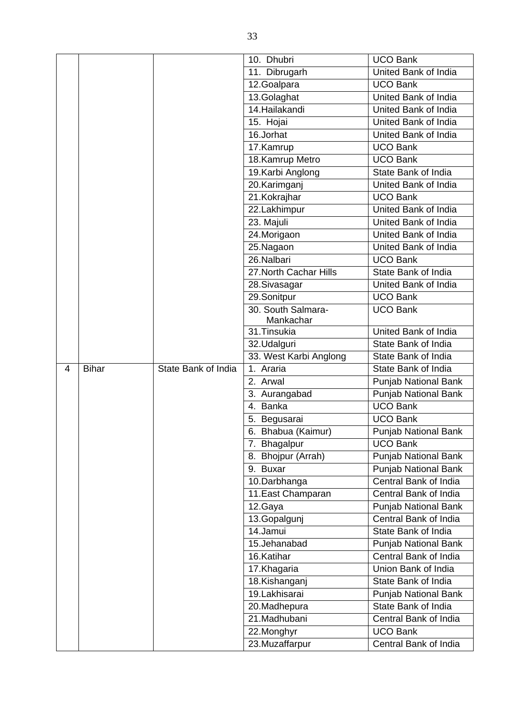|   |              |                     | 10. Dhubri             | <b>UCO Bank</b>             |
|---|--------------|---------------------|------------------------|-----------------------------|
|   |              |                     | 11. Dibrugarh          | United Bank of India        |
|   |              |                     | 12. Goalpara           | <b>UCO Bank</b>             |
|   |              |                     | 13.Golaghat            | United Bank of India        |
|   |              |                     | 14. Hailakandi         | United Bank of India        |
|   |              |                     | 15. Hojai              | United Bank of India        |
|   |              |                     | 16.Jorhat              | United Bank of India        |
|   |              |                     | 17.Kamrup              | <b>UCO Bank</b>             |
|   |              |                     | 18. Kamrup Metro       | <b>UCO Bank</b>             |
|   |              |                     | 19. Karbi Anglong      | State Bank of India         |
|   |              |                     | 20.Karimganj           | United Bank of India        |
|   |              |                     | 21.Kokrajhar           | <b>UCO Bank</b>             |
|   |              |                     | 22.Lakhimpur           | United Bank of India        |
|   |              |                     | 23. Majuli             | United Bank of India        |
|   |              |                     | 24.Morigaon            | United Bank of India        |
|   |              |                     | 25.Nagaon              | United Bank of India        |
|   |              |                     | 26.Nalbari             | <b>UCO Bank</b>             |
|   |              |                     | 27. North Cachar Hills | State Bank of India         |
|   |              |                     | 28. Sivasagar          | United Bank of India        |
|   |              |                     | 29.Sonitpur            | <b>UCO Bank</b>             |
|   |              |                     | 30. South Salmara-     | <b>UCO Bank</b>             |
|   |              |                     | Mankachar              |                             |
|   |              |                     | 31. Tinsukia           | United Bank of India        |
|   |              |                     | 32.Udalguri            | State Bank of India         |
|   |              |                     | 33. West Karbi Anglong | State Bank of India         |
| 4 | <b>Bihar</b> | State Bank of India | 1. Araria              | State Bank of India         |
|   |              |                     |                        |                             |
|   |              |                     | 2. Arwal               | <b>Punjab National Bank</b> |
|   |              |                     | 3. Aurangabad          | <b>Punjab National Bank</b> |
|   |              |                     | 4. Banka               | <b>UCO Bank</b>             |
|   |              |                     | 5. Begusarai           | <b>UCO Bank</b>             |
|   |              |                     | 6. Bhabua (Kaimur)     | Punjab National Bank        |
|   |              |                     | 7. Bhagalpur           | <b>UCO Bank</b>             |
|   |              |                     | 8. Bhojpur (Arrah)     | <b>Punjab National Bank</b> |
|   |              |                     | 9. Buxar               | Punjab National Bank        |
|   |              |                     | 10.Darbhanga           | Central Bank of India       |
|   |              |                     | 11. East Champaran     | Central Bank of India       |
|   |              |                     | 12.Gaya                | <b>Punjab National Bank</b> |
|   |              |                     | 13.Gopalgunj           | Central Bank of India       |
|   |              |                     | 14.Jamui               | State Bank of India         |
|   |              |                     | 15.Jehanabad           | Punjab National Bank        |
|   |              |                     | 16.Katihar             | Central Bank of India       |
|   |              |                     | 17.Khagaria            | Union Bank of India         |
|   |              |                     | 18.Kishanganj          | State Bank of India         |
|   |              |                     | 19.Lakhisarai          | <b>Punjab National Bank</b> |
|   |              |                     | 20.Madhepura           | State Bank of India         |
|   |              |                     | 21.Madhubani           | Central Bank of India       |
|   |              |                     | 22. Monghyr            | <b>UCO Bank</b>             |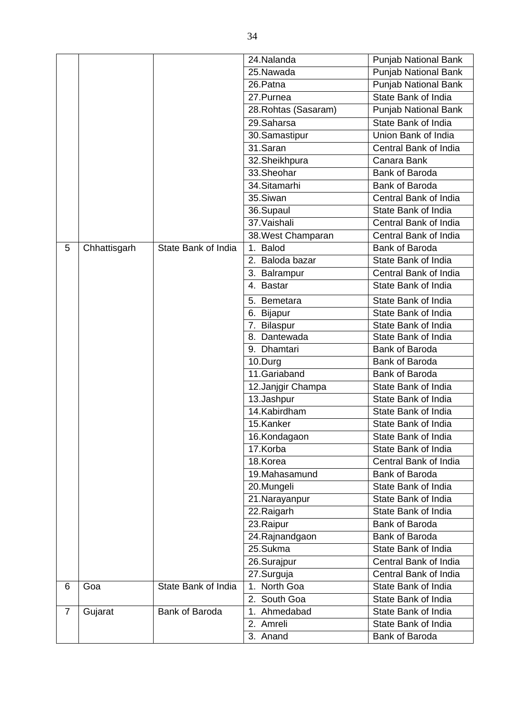|                |              |                     | 24. Nalanda                    | Punjab National Bank        |
|----------------|--------------|---------------------|--------------------------------|-----------------------------|
|                |              |                     | 25.Nawada                      | Punjab National Bank        |
|                |              |                     | 26.Patna                       | <b>Punjab National Bank</b> |
|                |              |                     | 27.Purnea                      | State Bank of India         |
|                |              |                     | 28. Rohtas (Sasaram)           | Punjab National Bank        |
|                |              |                     | 29.Saharsa                     | State Bank of India         |
|                |              |                     | 30.Samastipur                  | Union Bank of India         |
|                |              |                     | 31.Saran                       | Central Bank of India       |
|                |              |                     | 32.Sheikhpura                  | Canara Bank                 |
|                |              |                     | $33.$ Sheohar                  | Bank of Baroda              |
|                |              |                     | 34.Sitamarhi                   | <b>Bank of Baroda</b>       |
|                |              |                     | 35.Siwan                       | Central Bank of India       |
|                |              |                     | 36.Supaul                      | State Bank of India         |
|                |              |                     | 37. Vaishali                   | Central Bank of India       |
|                |              |                     | 38. West Champaran             | Central Bank of India       |
| 5              | Chhattisgarh | State Bank of India | <b>Balod</b><br>1 <sub>1</sub> | <b>Bank of Baroda</b>       |
|                |              |                     | 2. Baloda bazar                | State Bank of India         |
|                |              |                     | 3. Balrampur                   | Central Bank of India       |
|                |              |                     | 4. Bastar                      | State Bank of India         |
|                |              |                     | 5. Bemetara                    | State Bank of India         |
|                |              |                     | 6. Bijapur                     | State Bank of India         |
|                |              |                     | 7. Bilaspur                    | State Bank of India         |
|                |              |                     | 8. Dantewada                   | State Bank of India         |
|                |              |                     | 9. Dhamtari                    | Bank of Baroda              |
|                |              |                     | 10.Durg                        | Bank of Baroda              |
|                |              |                     | 11.Gariaband                   | Bank of Baroda              |
|                |              |                     | 12. Janjgir Champa             | State Bank of India         |
|                |              |                     | 13.Jashpur                     | State Bank of India         |
|                |              |                     | 14.Kabirdham                   | State Bank of India         |
|                |              |                     | 15.Kanker                      | State Bank of India         |
|                |              |                     | 16.Kondagaon                   | State Bank of India         |
|                |              |                     | 17.Korba                       | State Bank of India         |
|                |              |                     | 18.Korea                       | Central Bank of India       |
|                |              |                     | 19.Mahasamund                  | <b>Bank of Baroda</b>       |
|                |              |                     | 20.Mungeli                     | State Bank of India         |
|                |              |                     | 21. Narayanpur                 | State Bank of India         |
|                |              |                     | 22.Raigarh                     | State Bank of India         |
|                |              |                     | 23.Raipur                      | <b>Bank of Baroda</b>       |
|                |              |                     | 24. Rajnandgaon                | <b>Bank of Baroda</b>       |
|                |              |                     | 25.Sukma                       | State Bank of India         |
|                |              |                     | 26.Surajpur                    | Central Bank of India       |
|                |              |                     | 27.Surguja                     | Central Bank of India       |
| 6              | Goa          | State Bank of India | North Goa<br>1.                | State Bank of India         |
|                |              |                     | 2. South Goa                   | State Bank of India         |
| $\overline{7}$ | Gujarat      | Bank of Baroda      | 1. Ahmedabad                   | State Bank of India         |
|                |              |                     | 2. Amreli                      | State Bank of India         |
|                |              |                     | 3. Anand                       | Bank of Baroda              |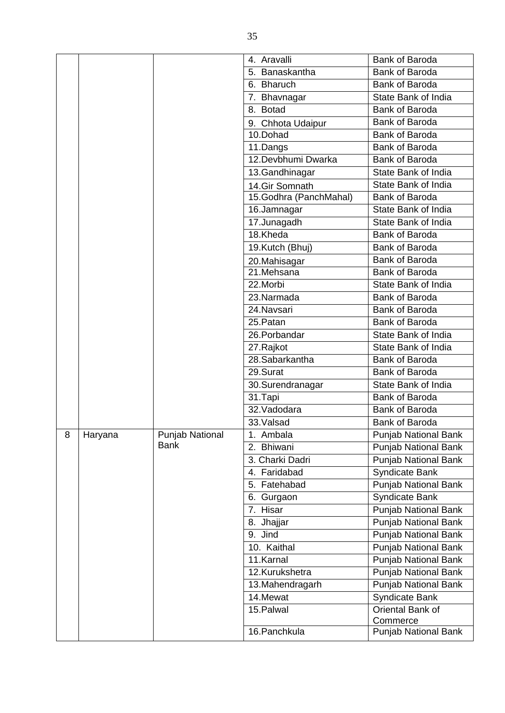|   |         |                 | 4. Aravalli            | Bank of Baroda              |
|---|---------|-----------------|------------------------|-----------------------------|
|   |         |                 | 5. Banaskantha         | Bank of Baroda              |
|   |         |                 | 6. Bharuch             | Bank of Baroda              |
|   |         |                 | 7. Bhavnagar           | State Bank of India         |
|   |         |                 | 8. Botad               | <b>Bank of Baroda</b>       |
|   |         |                 | 9. Chhota Udaipur      | Bank of Baroda              |
|   |         |                 | 10.Dohad               | Bank of Baroda              |
|   |         |                 | 11.Dangs               | Bank of Baroda              |
|   |         |                 | 12. Devbhumi Dwarka    | Bank of Baroda              |
|   |         |                 | 13.Gandhinagar         | State Bank of India         |
|   |         |                 | 14.Gir Somnath         | State Bank of India         |
|   |         |                 | 15.Godhra (PanchMahal) | Bank of Baroda              |
|   |         |                 | 16.Jamnagar            | State Bank of India         |
|   |         |                 | 17.Junagadh            | State Bank of India         |
|   |         |                 | 18.Kheda               | Bank of Baroda              |
|   |         |                 | 19.Kutch (Bhuj)        | Bank of Baroda              |
|   |         |                 | 20. Mahisagar          | Bank of Baroda              |
|   |         |                 | $21.$ Mehsana          | <b>Bank of Baroda</b>       |
|   |         |                 | 22.Morbi               | State Bank of India         |
|   |         |                 | 23.Narmada             | <b>Bank of Baroda</b>       |
|   |         |                 | 24.Navsari             | Bank of Baroda              |
|   |         |                 | 25. Patan              | Bank of Baroda              |
|   |         |                 | 26. Porbandar          | State Bank of India         |
|   |         |                 | 27.Rajkot              | State Bank of India         |
|   |         |                 | 28.Sabarkantha         | Bank of Baroda              |
|   |         |                 | 29.Surat               | Bank of Baroda              |
|   |         |                 | 30.Surendranagar       | State Bank of India         |
|   |         |                 | 31.Tapi                | Bank of Baroda              |
|   |         |                 | 32. Vadodara           | Bank of Baroda              |
|   |         |                 | 33.Valsad              | Bank of Baroda              |
| 8 | Haryana | Punjab National | 1. Ambala              | <b>Punjab National Bank</b> |
|   |         | <b>Bank</b>     | 2. Bhiwani             | <b>Punjab National Bank</b> |
|   |         |                 | 3. Charki Dadri        | Punjab National Bank        |
|   |         |                 | 4. Faridabad           | <b>Syndicate Bank</b>       |
|   |         |                 | 5. Fatehabad           | <b>Punjab National Bank</b> |
|   |         |                 | 6. Gurgaon             | Syndicate Bank              |
|   |         |                 | 7. Hisar               | <b>Punjab National Bank</b> |
|   |         |                 | 8. Jhajjar             | Punjab National Bank        |
|   |         |                 | 9. Jind                | <b>Punjab National Bank</b> |
|   |         |                 | 10. Kaithal            | Punjab National Bank        |
|   |         |                 | 11.Karnal              | <b>Punjab National Bank</b> |
|   |         |                 | 12.Kurukshetra         | <b>Punjab National Bank</b> |
|   |         |                 | 13. Mahendragarh       | Punjab National Bank        |
|   |         |                 | 14.Mewat               | Syndicate Bank              |
|   |         |                 | 15. Palwal             | Oriental Bank of            |
|   |         |                 |                        | Commerce                    |
|   |         |                 | 16. Panchkula          | Punjab National Bank        |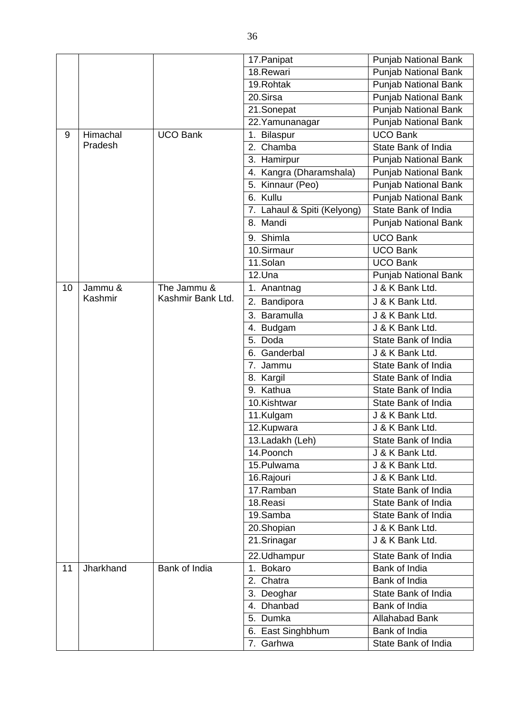|    |           |                   | 17. Panipat                 | <b>Punjab National Bank</b> |
|----|-----------|-------------------|-----------------------------|-----------------------------|
|    |           |                   | 18.Rewari                   | Punjab National Bank        |
|    |           |                   | 19. Rohtak                  | <b>Punjab National Bank</b> |
|    |           |                   | 20.Sirsa                    | <b>Punjab National Bank</b> |
|    |           |                   | 21.Sonepat                  | Punjab National Bank        |
|    |           |                   | 22. Yamunanagar             | <b>Punjab National Bank</b> |
| 9  | Himachal  | <b>UCO Bank</b>   | <b>Bilaspur</b><br>1.       | <b>UCO Bank</b>             |
|    | Pradesh   |                   | 2. Chamba                   | State Bank of India         |
|    |           |                   | 3. Hamirpur                 | <b>Punjab National Bank</b> |
|    |           |                   | 4. Kangra (Dharamshala)     | Punjab National Bank        |
|    |           |                   | 5. Kinnaur (Peo)            | <b>Punjab National Bank</b> |
|    |           |                   | 6. Kullu                    | <b>Punjab National Bank</b> |
|    |           |                   | 7. Lahaul & Spiti (Kelyong) | State Bank of India         |
|    |           |                   | 8. Mandi                    | Punjab National Bank        |
|    |           |                   | 9. Shimla                   | <b>UCO Bank</b>             |
|    |           |                   | 10.Sirmaur                  | <b>UCO Bank</b>             |
|    |           |                   | 11.Solan                    | <b>UCO Bank</b>             |
|    |           |                   | 12.Una                      | Punjab National Bank        |
| 10 | Jammu &   | The Jammu &       | 1. Anantnag                 | J & K Bank Ltd.             |
|    | Kashmir   | Kashmir Bank Ltd. | 2. Bandipora                | J & K Bank Ltd.             |
|    |           |                   | 3. Baramulla                | J & K Bank Ltd.             |
|    |           |                   | <b>Budgam</b><br>4.         | J & K Bank Ltd.             |
|    |           |                   | 5. Doda                     | State Bank of India         |
|    |           |                   | 6. Ganderbal                | J & K Bank Ltd.             |
|    |           |                   | 7. Jammu                    | State Bank of India         |
|    |           |                   | 8. Kargil                   | State Bank of India         |
|    |           |                   | 9. Kathua                   | State Bank of India         |
|    |           |                   | 10.Kishtwar                 | State Bank of India         |
|    |           |                   | 11.Kulgam                   | J & K Bank Ltd.             |
|    |           |                   | 12.Kupwara                  | J & K Bank Ltd.             |
|    |           |                   | 13. Ladakh (Leh)            | State Bank of India         |
|    |           |                   | 14. Poonch                  | J & K Bank Ltd.             |
|    |           |                   | 15.Pulwama                  | J & K Bank Ltd.             |
|    |           |                   | 16.Rajouri                  | J & K Bank Ltd.             |
|    |           |                   | 17.Ramban                   | State Bank of India         |
|    |           |                   | 18.Reasi                    | State Bank of India         |
|    |           |                   | 19.Samba                    | State Bank of India         |
|    |           |                   | 20.Shopian                  | J & K Bank Ltd.             |
|    |           |                   | 21.Srinagar                 | J & K Bank Ltd.             |
|    |           |                   | 22.Udhampur                 | State Bank of India         |
| 11 | Jharkhand | Bank of India     | Bokaro<br>1 <sub>1</sub>    | Bank of India               |
|    |           |                   | 2. Chatra                   | Bank of India               |
|    |           |                   | 3. Deoghar                  | State Bank of India         |
|    |           |                   | 4. Dhanbad                  | Bank of India               |
|    |           |                   | 5. Dumka                    | <b>Allahabad Bank</b>       |
|    |           |                   | 6. East Singhbhum           | Bank of India               |
|    |           |                   | 7. Garhwa                   | State Bank of India         |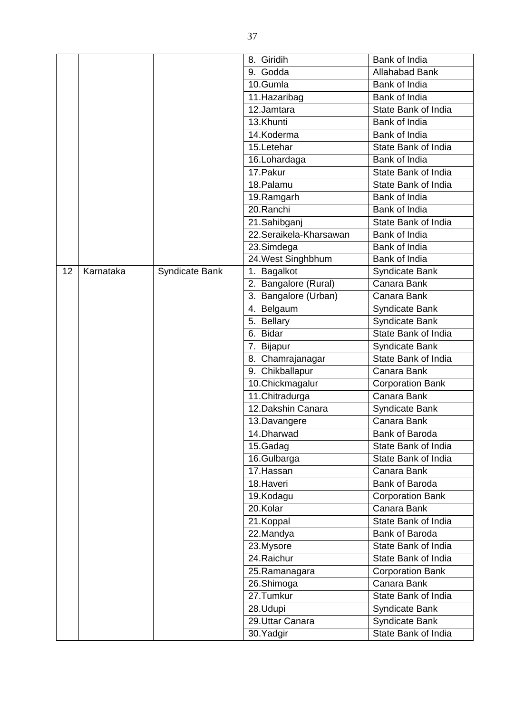|    |           |                       | 8. Giridih                     | Bank of India           |
|----|-----------|-----------------------|--------------------------------|-------------------------|
|    |           |                       | 9. Godda                       | <b>Allahabad Bank</b>   |
|    |           |                       | 10.Gumla                       | Bank of India           |
|    |           |                       | 11. Hazaribag                  | Bank of India           |
|    |           |                       | 12.Jamtara                     | State Bank of India     |
|    |           |                       | 13.Khunti                      | Bank of India           |
|    |           |                       | 14.Koderma                     | Bank of India           |
|    |           |                       | 15.Letehar                     | State Bank of India     |
|    |           |                       | 16.Lohardaga                   | Bank of India           |
|    |           |                       | 17. Pakur                      | State Bank of India     |
|    |           |                       | 18. Palamu                     | State Bank of India     |
|    |           |                       | 19. Ramgarh                    | Bank of India           |
|    |           |                       | 20.Ranchi                      | Bank of India           |
|    |           |                       | 21.Sahibganj                   | State Bank of India     |
|    |           |                       | 22.Seraikela-Kharsawan         | Bank of India           |
|    |           |                       | 23.Simdega                     | Bank of India           |
|    |           |                       | 24. West Singhbhum             | Bank of India           |
| 12 | Karnataka | <b>Syndicate Bank</b> | 1. Bagalkot                    | Syndicate Bank          |
|    |           |                       | 2. Bangalore (Rural)           | Canara Bank             |
|    |           |                       | 3. Bangalore (Urban)           | Canara Bank             |
|    |           |                       | 4. Belgaum                     | Syndicate Bank          |
|    |           |                       | 5. Bellary                     | Syndicate Bank          |
|    |           |                       | 6. Bidar                       | State Bank of India     |
|    |           |                       | 7. Bijapur                     | Syndicate Bank          |
|    |           |                       | $\overline{8}$ . Chamrajanagar | State Bank of India     |
|    |           |                       | 9. Chikballapur                | Canara Bank             |
|    |           |                       | 10. Chickmagalur               | <b>Corporation Bank</b> |
|    |           |                       | 11.Chitradurga                 | Canara Bank             |
|    |           |                       | 12. Dakshin Canara             | Syndicate Bank          |
|    |           |                       | 13.Davangere                   | Canara Bank             |
|    |           |                       | 14.Dharwad                     | Bank of Baroda          |
|    |           |                       | 15.Gadag                       | State Bank of India     |
|    |           |                       | 16.Gulbarga                    | State Bank of India     |
|    |           |                       | 17. Hassan                     | Canara Bank             |
|    |           |                       | 18. Haveri                     | Bank of Baroda          |
|    |           |                       | 19.Kodagu                      | <b>Corporation Bank</b> |
|    |           |                       | 20.Kolar                       | Canara Bank             |
|    |           |                       | 21.Koppal                      | State Bank of India     |
|    |           |                       | 22.Mandya                      | Bank of Baroda          |
|    |           |                       | 23.Mysore                      | State Bank of India     |
|    |           |                       | 24. Raichur                    | State Bank of India     |
|    |           |                       | 25.Ramanagara                  | <b>Corporation Bank</b> |
|    |           |                       | 26.Shimoga                     | Canara Bank             |
|    |           |                       | 27.Tumkur                      | State Bank of India     |
|    |           |                       | 28.Udupi                       | Syndicate Bank          |
|    |           |                       | 29.Uttar Canara                | Syndicate Bank          |
|    |           |                       | 30. Yadgir                     | State Bank of India     |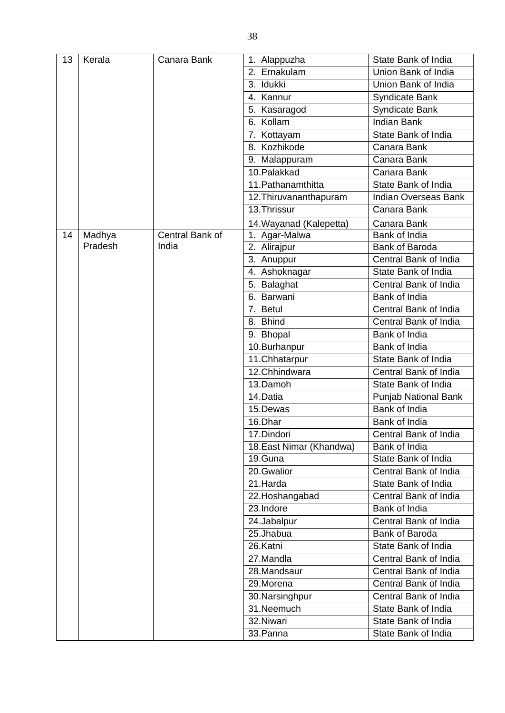| 13 | Kerala  | Canara Bank     | 1. Alappuzha             | State Bank of India         |
|----|---------|-----------------|--------------------------|-----------------------------|
|    |         |                 | 2. Ernakulam             | Union Bank of India         |
|    |         |                 | 3. Idukki                | Union Bank of India         |
|    |         |                 | 4. Kannur                | <b>Syndicate Bank</b>       |
|    |         |                 | 5. Kasaragod             | <b>Syndicate Bank</b>       |
|    |         |                 | 6. Kollam                | <b>Indian Bank</b>          |
|    |         |                 | 7. Kottayam              | State Bank of India         |
|    |         |                 | 8. Kozhikode             | Canara Bank                 |
|    |         |                 | 9. Malappuram            | Canara Bank                 |
|    |         |                 | 10.Palakkad              | Canara Bank                 |
|    |         |                 | 11. Pathanamthitta       | State Bank of India         |
|    |         |                 | 12. Thiruvananthapuram   | <b>Indian Overseas Bank</b> |
|    |         |                 | 13. Thrissur             | Canara Bank                 |
|    |         |                 | 14. Wayanad (Kalepetta)  | Canara Bank                 |
| 14 | Madhya  | Central Bank of | 1. Agar-Malwa            | Bank of India               |
|    | Pradesh | India           | 2. Alirajpur             | Bank of Baroda              |
|    |         |                 | 3. Anuppur               | Central Bank of India       |
|    |         |                 | 4. Ashoknagar            | State Bank of India         |
|    |         |                 | 5. Balaghat              | Central Bank of India       |
|    |         |                 | 6. Barwani               | Bank of India               |
|    |         |                 | 7. Betul                 | Central Bank of India       |
|    |         |                 | 8. Bhind                 | Central Bank of India       |
|    |         |                 | 9. Bhopal                | Bank of India               |
|    |         |                 | 10.Burhanpur             | Bank of India               |
|    |         |                 | 11. Chhatarpur           | State Bank of India         |
|    |         |                 | 12.Chhindwara            | Central Bank of India       |
|    |         |                 | 13.Damoh                 | State Bank of India         |
|    |         |                 | 14.Datia                 | <b>Punjab National Bank</b> |
|    |         |                 | 15.Dewas                 | Bank of India               |
|    |         |                 | 16.Dhar                  | Bank of India               |
|    |         |                 | 17.Dindori               | Central Bank of India       |
|    |         |                 | 18. East Nimar (Khandwa) | Bank of India               |
|    |         |                 | 19.Guna                  | State Bank of India         |
|    |         |                 | 20.Gwalior               | Central Bank of India       |
|    |         |                 | 21.Harda                 | State Bank of India         |
|    |         |                 | 22. Hoshangabad          | Central Bank of India       |
|    |         |                 | 23.Indore                | Bank of India               |
|    |         |                 | 24.Jabalpur              | Central Bank of India       |
|    |         |                 | 25.Jhabua                | Bank of Baroda              |
|    |         |                 | 26.Katni                 | State Bank of India         |
|    |         |                 | 27.Mandla                | Central Bank of India       |
|    |         |                 | 28.Mandsaur              | Central Bank of India       |
|    |         |                 | 29.Morena                | Central Bank of India       |
|    |         |                 | 30. Narsinghpur          | Central Bank of India       |
|    |         |                 | 31.Neemuch               | State Bank of India         |
|    |         |                 | 32.Niwari                | State Bank of India         |
|    |         |                 | 33.Panna                 | State Bank of India         |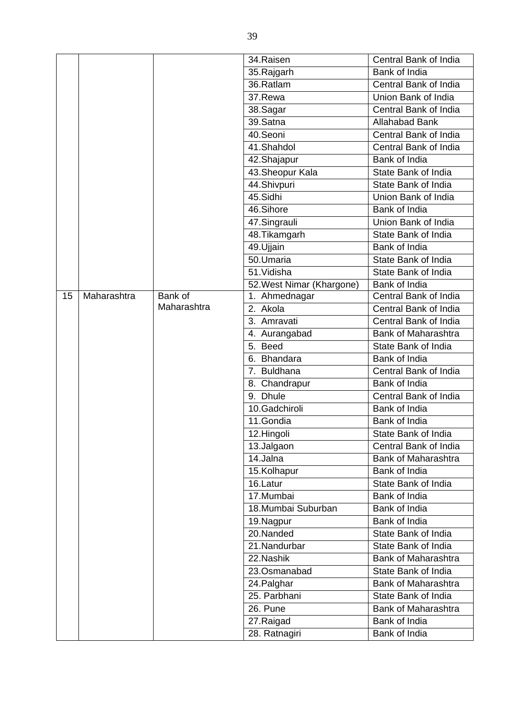|    |             |             | 34.Raisen                   | Central Bank of India                      |
|----|-------------|-------------|-----------------------------|--------------------------------------------|
|    |             |             | 35.Rajgarh                  | Bank of India                              |
|    |             |             | 36.Ratlam                   | Central Bank of India                      |
|    |             |             | 37.Rewa                     | Union Bank of India                        |
|    |             |             | 38.Sagar                    | Central Bank of India                      |
|    |             |             | 39.Satna                    | <b>Allahabad Bank</b>                      |
|    |             |             | 40.Seoni                    | Central Bank of India                      |
|    |             |             | 41.Shahdol                  | Central Bank of India                      |
|    |             |             | 42. Shajapur                | Bank of India                              |
|    |             |             | 43. Sheopur Kala            | State Bank of India                        |
|    |             |             | 44.Shivpuri                 | State Bank of India                        |
|    |             |             | 45.Sidhi                    | Union Bank of India                        |
|    |             |             | 46.Sihore                   | Bank of India                              |
|    |             |             | 47.Singrauli                | Union Bank of India                        |
|    |             |             | 48. Tikamgarh               | State Bank of India                        |
|    |             |             | 49. Ujjain                  | Bank of India                              |
|    |             |             | $\overline{50.}$ Umaria     | State Bank of India                        |
|    |             |             | 51. Vidisha                 | State Bank of India                        |
|    |             |             | 52. West Nimar (Khargone)   | Bank of India                              |
| 15 | Maharashtra | Bank of     | 1. Ahmednagar               | Central Bank of India                      |
|    |             | Maharashtra | 2. Akola                    | Central Bank of India                      |
|    |             |             | 3. Amravati                 | Central Bank of India                      |
|    |             |             | 4. Aurangabad               | <b>Bank of Maharashtra</b>                 |
|    |             |             | 5. Beed                     | State Bank of India                        |
|    |             |             | 6. Bhandara                 | Bank of India                              |
|    |             |             | 7. Buldhana                 | Central Bank of India                      |
|    |             |             | 8. Chandrapur               | Bank of India                              |
|    |             |             | 9. Dhule                    | Central Bank of India                      |
|    |             |             | 10.Gadchiroli               | Bank of India                              |
|    |             |             | 11.Gondia                   | Bank of India                              |
|    |             |             | 12.Hingoli                  | State Bank of India                        |
|    |             |             | 13.Jalgaon                  | Central Bank of India                      |
|    |             |             | 14.Jalna                    | <b>Bank of Maharashtra</b>                 |
|    |             |             | 15.Kolhapur                 | Bank of India<br>State Bank of India       |
|    |             |             | 16.Latur                    |                                            |
|    |             |             | 17.Mumbai                   | Bank of India<br>Bank of India             |
|    |             |             | 18.Mumbai Suburban          | Bank of India                              |
|    |             |             | 19. Nagpur<br>20.Nanded     | State Bank of India                        |
|    |             |             |                             |                                            |
|    |             |             | 21. Nandurbar<br>22. Nashik | State Bank of India<br>Bank of Maharashtra |
|    |             |             | 23.Osmanabad                | State Bank of India                        |
|    |             |             |                             |                                            |
|    |             |             | 24. Palghar                 | <b>Bank of Maharashtra</b>                 |
|    |             |             | 25. Parbhani                | State Bank of India                        |
|    |             |             | 26. Pune                    | <b>Bank of Maharashtra</b>                 |
|    |             |             | 27.Raigad                   | Bank of India                              |
|    |             |             | 28. Ratnagiri               | Bank of India                              |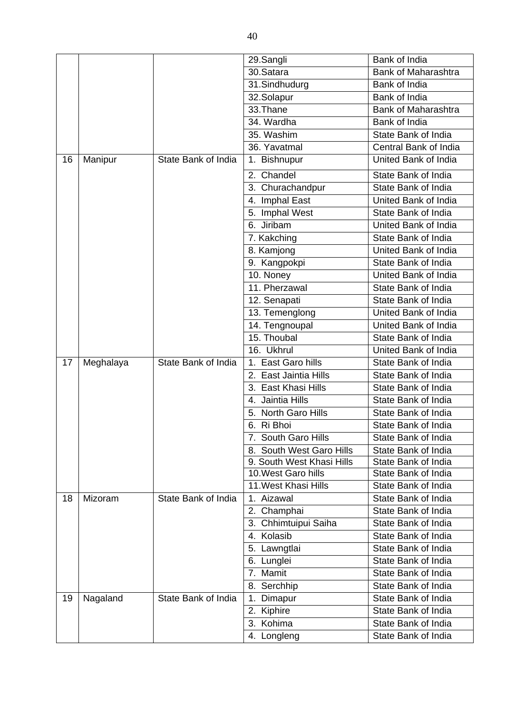|    |           |                     | 29.Sangli                         | Bank of India              |
|----|-----------|---------------------|-----------------------------------|----------------------------|
|    |           |                     | 30.Satara                         | <b>Bank of Maharashtra</b> |
|    |           |                     | 31.Sindhudurg                     | Bank of India              |
|    |           |                     | 32.Solapur                        | Bank of India              |
|    |           |                     | 33.Thane                          | <b>Bank of Maharashtra</b> |
|    |           |                     | 34. Wardha                        | Bank of India              |
|    |           |                     | 35. Washim                        | State Bank of India        |
|    |           |                     | 36. Yavatmal                      | Central Bank of India      |
| 16 | Manipur   | State Bank of India | 1. Bishnupur                      | United Bank of India       |
|    |           |                     | 2. Chandel                        | State Bank of India        |
|    |           |                     | 3. Churachandpur                  | State Bank of India        |
|    |           |                     | 4. Imphal East                    | United Bank of India       |
|    |           |                     | 5. Imphal West                    | State Bank of India        |
|    |           |                     | 6. Jiribam                        | United Bank of India       |
|    |           |                     | 7. Kakching                       | State Bank of India        |
|    |           |                     | 8. Kamjong                        | United Bank of India       |
|    |           |                     | 9. Kangpokpi                      | State Bank of India        |
|    |           |                     | 10. Noney                         | United Bank of India       |
|    |           |                     | 11. Pherzawal                     | State Bank of India        |
|    |           |                     | 12. Senapati                      | State Bank of India        |
|    |           |                     | 13. Temenglong                    | United Bank of India       |
|    |           |                     | 14. Tengnoupal                    | United Bank of India       |
|    |           |                     | 15. Thoubal                       | State Bank of India        |
|    |           |                     | 16. Ukhrul                        | United Bank of India       |
| 17 | Meghalaya | State Bank of India | East Garo hills<br>1 <sub>1</sub> | State Bank of India        |
|    |           |                     | 2. East Jaintia Hills             | State Bank of India        |
|    |           |                     | 3. East Khasi Hills               | State Bank of India        |
|    |           |                     | 4. Jaintia Hills                  | State Bank of India        |
|    |           |                     | 5. North Garo Hills               | State Bank of India        |
|    |           |                     | 6. Ri Bhoi                        | State Bank of India        |
|    |           |                     | 7. South Garo Hills               | State Bank of India        |
|    |           |                     | South West Garo Hills             | State Bank of India        |
|    |           |                     | 9. South West Khasi Hills         | State Bank of India        |
|    |           |                     | 10. West Garo hills               | State Bank of India        |
|    |           |                     | 11. West Khasi Hills              | State Bank of India        |
| 18 | Mizoram   | State Bank of India | Aizawal<br>1.                     | State Bank of India        |
|    |           |                     | Champhai<br>2.                    | State Bank of India        |
|    |           |                     | Chhimtuipui Saiha<br>3.           | State Bank of India        |
|    |           |                     | Kolasib<br>4.                     | State Bank of India        |
|    |           |                     | Lawngtlai<br>5.                   | State Bank of India        |
|    |           |                     | 6. Lunglei                        | State Bank of India        |
|    |           |                     | Mamit<br>7.                       | State Bank of India        |
|    |           |                     | 8. Serchhip                       | State Bank of India        |
| 19 | Nagaland  | State Bank of India | Dimapur<br>1.                     | State Bank of India        |
|    |           |                     | 2. Kiphire                        | State Bank of India        |
|    |           |                     | Kohima<br>3.                      | State Bank of India        |
|    |           |                     | 4. Longleng                       | State Bank of India        |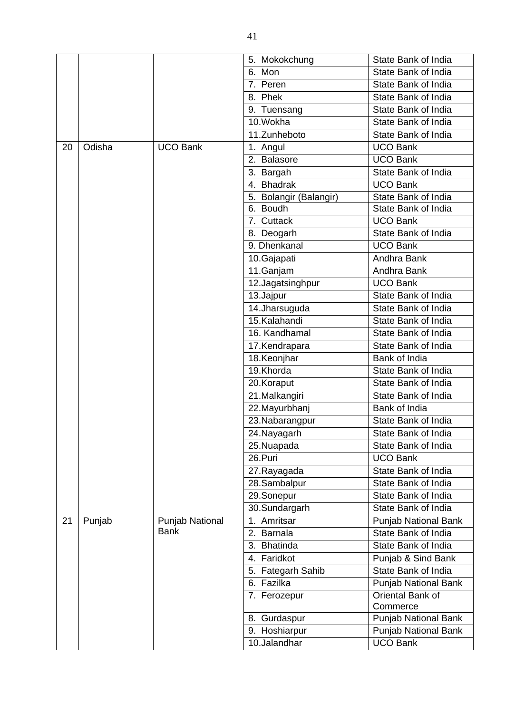|    |        |                 | 5. Mokokchung          | State Bank of India         |
|----|--------|-----------------|------------------------|-----------------------------|
|    |        |                 | 6. Mon                 | State Bank of India         |
|    |        |                 | 7. Peren               | State Bank of India         |
|    |        |                 | 8. Phek                | State Bank of India         |
|    |        |                 | 9. Tuensang            | State Bank of India         |
|    |        |                 | 10.Wokha               | State Bank of India         |
|    |        |                 | 11.Zunheboto           | State Bank of India         |
| 20 | Odisha | <b>UCO Bank</b> | 1. Angul               | <b>UCO Bank</b>             |
|    |        |                 | 2. Balasore            | <b>UCO Bank</b>             |
|    |        |                 | 3. Bargah              | State Bank of India         |
|    |        |                 | 4. Bhadrak             | <b>UCO Bank</b>             |
|    |        |                 | 5. Bolangir (Balangir) | State Bank of India         |
|    |        |                 | 6. Boudh               | State Bank of India         |
|    |        |                 | 7. Cuttack             | <b>UCO Bank</b>             |
|    |        |                 | 8. Deogarh             | State Bank of India         |
|    |        |                 | 9. Dhenkanal           | <b>UCO Bank</b>             |
|    |        |                 | 10.Gajapati            | Andhra Bank                 |
|    |        |                 | 11.Ganjam              | Andhra Bank                 |
|    |        |                 | 12.Jagatsinghpur       | <b>UCO Bank</b>             |
|    |        |                 | 13.Jajpur              | State Bank of India         |
|    |        |                 | 14.Jharsuguda          | State Bank of India         |
|    |        |                 | 15.Kalahandi           | State Bank of India         |
|    |        |                 | 16. Kandhamal          | State Bank of India         |
|    |        |                 | 17.Kendrapara          | State Bank of India         |
|    |        |                 | 18.Keonjhar            | Bank of India               |
|    |        |                 | 19.Khorda              | State Bank of India         |
|    |        |                 | 20.Koraput             | State Bank of India         |
|    |        |                 | 21.Malkangiri          | State Bank of India         |
|    |        |                 | 22. Mayurbhanj         | Bank of India               |
|    |        |                 | 23. Nabarangpur        | State Bank of India         |
|    |        |                 | 24. Nayagarh           | State Bank of India         |
|    |        |                 | 25.Nuapada             | State Bank of India         |
|    |        |                 | 26.Puri                | <b>UCO Bank</b>             |
|    |        |                 | 27. Rayagada           | State Bank of India         |
|    |        |                 | 28.Sambalpur           | State Bank of India         |
|    |        |                 | 29.Sonepur             | State Bank of India         |
|    |        |                 | 30.Sundargarh          | State Bank of India         |
| 21 | Punjab | Punjab National | 1. Amritsar            | <b>Punjab National Bank</b> |
|    |        | <b>Bank</b>     | 2. Barnala             | State Bank of India         |
|    |        |                 | 3. Bhatinda            | State Bank of India         |
|    |        |                 | 4. Faridkot            | Punjab & Sind Bank          |
|    |        |                 | 5. Fategarh Sahib      | State Bank of India         |
|    |        |                 | 6. Fazilka             | <b>Punjab National Bank</b> |
|    |        |                 | 7. Ferozepur           | Oriental Bank of            |
|    |        |                 |                        | Commerce                    |
|    |        |                 | 8. Gurdaspur           | <b>Punjab National Bank</b> |
|    |        |                 | 9. Hoshiarpur          | Punjab National Bank        |
|    |        |                 | 10.Jalandhar           | <b>UCO Bank</b>             |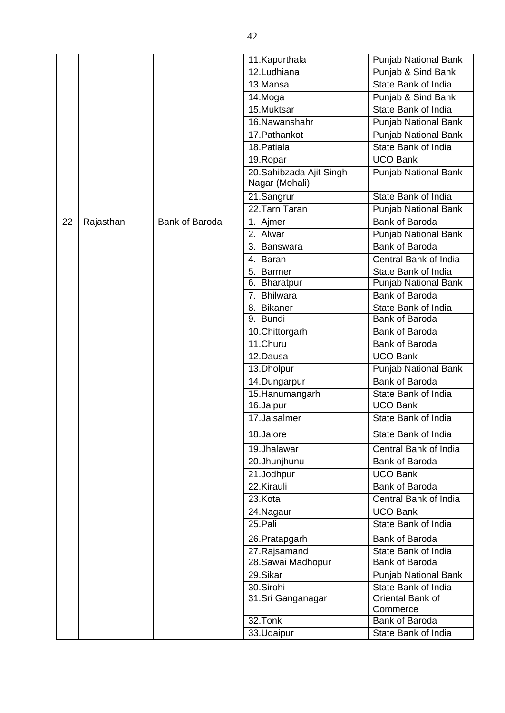|    |           |                       | 11.Kapurthala           | Punjab National Bank        |
|----|-----------|-----------------------|-------------------------|-----------------------------|
|    |           |                       | 12.Ludhiana             | Punjab & Sind Bank          |
|    |           |                       | 13.Mansa                | State Bank of India         |
|    |           |                       | 14.Moga                 | Punjab & Sind Bank          |
|    |           |                       | 15.Muktsar              | State Bank of India         |
|    |           |                       | 16.Nawanshahr           | <b>Punjab National Bank</b> |
|    |           |                       | 17. Pathankot           | <b>Punjab National Bank</b> |
|    |           |                       | 18. Patiala             | State Bank of India         |
|    |           |                       | 19. Ropar               | <b>UCO Bank</b>             |
|    |           |                       | 20.Sahibzada Ajit Singh | Punjab National Bank        |
|    |           |                       | Nagar (Mohali)          |                             |
|    |           |                       | 21.Sangrur              | State Bank of India         |
|    |           |                       | 22.Tarn Taran           | <b>Punjab National Bank</b> |
| 22 | Rajasthan | <b>Bank of Baroda</b> | 1. Ajmer                | Bank of Baroda              |
|    |           |                       | 2. Alwar                | <b>Punjab National Bank</b> |
|    |           |                       | 3. Banswara             | <b>Bank of Baroda</b>       |
|    |           |                       | 4. Baran                | Central Bank of India       |
|    |           |                       | 5. Barmer               | State Bank of India         |
|    |           |                       | 6. Bharatpur            | Punjab National Bank        |
|    |           |                       | 7. Bhilwara             | Bank of Baroda              |
|    |           |                       | 8. Bikaner              | State Bank of India         |
|    |           |                       | 9. Bundi                | Bank of Baroda              |
|    |           |                       | 10.Chittorgarh          | Bank of Baroda              |
|    |           |                       | 11.Churu                | Bank of Baroda              |
|    |           |                       | 12.Dausa                | <b>UCO Bank</b>             |
|    |           |                       | 13.Dholpur              | Punjab National Bank        |
|    |           |                       | 14.Dungarpur            | Bank of Baroda              |
|    |           |                       | 15. Hanumangarh         | State Bank of India         |
|    |           |                       | 16.Jaipur               | <b>UCO Bank</b>             |
|    |           |                       | 17.Jaisalmer            | State Bank of India         |
|    |           |                       | 18.Jalore               | State Bank of India         |
|    |           |                       | 19.Jhalawar             | Central Bank of India       |
|    |           |                       | 20.Jhunjhunu            | Bank of Baroda              |
|    |           |                       | 21.Jodhpur              | <b>UCO Bank</b>             |
|    |           |                       | 22.Kirauli              | Bank of Baroda              |
|    |           |                       | 23.Kota                 | Central Bank of India       |
|    |           |                       | 24. Nagaur              | <b>UCO Bank</b>             |
|    |           |                       | 25.Pali                 | State Bank of India         |
|    |           |                       | 26. Pratapgarh          | Bank of Baroda              |
|    |           |                       | 27.Rajsamand            | State Bank of India         |
|    |           |                       | 28. Sawai Madhopur      | Bank of Baroda              |
|    |           |                       | 29.Sikar                | Punjab National Bank        |
|    |           |                       | 30.Sirohi               | State Bank of India         |
|    |           |                       | 31.Sri Ganganagar       | Oriental Bank of            |
|    |           |                       |                         | Commerce                    |
|    |           |                       | 32.Tonk                 | Bank of Baroda              |
|    |           |                       | 33.Udaipur              | State Bank of India         |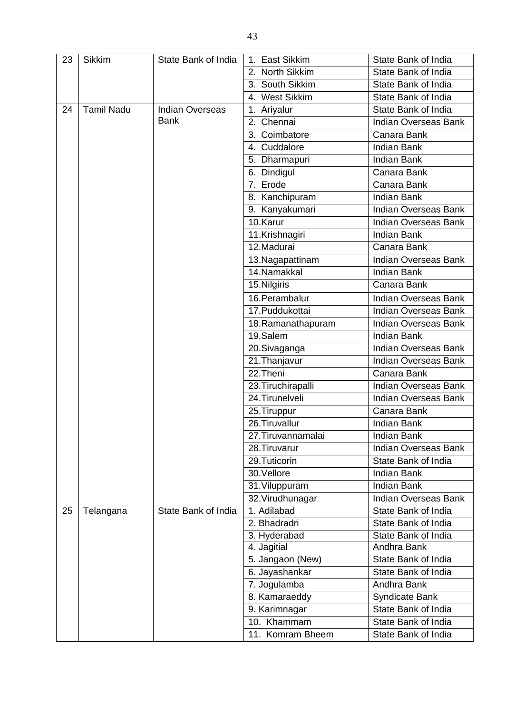| 23 | <b>Sikkim</b>     | State Bank of India    | 1. East Sikkim     | State Bank of India         |
|----|-------------------|------------------------|--------------------|-----------------------------|
|    |                   |                        | 2. North Sikkim    | State Bank of India         |
|    |                   |                        | 3. South Sikkim    | State Bank of India         |
|    |                   |                        | 4. West Sikkim     | State Bank of India         |
| 24 | <b>Tamil Nadu</b> | <b>Indian Overseas</b> | 1. Ariyalur        | State Bank of India         |
|    |                   | <b>Bank</b>            | 2. Chennai         | <b>Indian Overseas Bank</b> |
|    |                   |                        | 3. Coimbatore      | Canara Bank                 |
|    |                   |                        | 4. Cuddalore       | <b>Indian Bank</b>          |
|    |                   |                        | 5. Dharmapuri      | <b>Indian Bank</b>          |
|    |                   |                        | 6. Dindigul        | Canara Bank                 |
|    |                   |                        | 7. Erode           | Canara Bank                 |
|    |                   |                        | 8. Kanchipuram     | <b>Indian Bank</b>          |
|    |                   |                        | 9. Kanyakumari     | <b>Indian Overseas Bank</b> |
|    |                   |                        | 10.Karur           | Indian Overseas Bank        |
|    |                   |                        | 11.Krishnagiri     | <b>Indian Bank</b>          |
|    |                   |                        | 12.Madurai         | Canara Bank                 |
|    |                   |                        | 13. Nagapattinam   | Indian Overseas Bank        |
|    |                   |                        | 14.Namakkal        | <b>Indian Bank</b>          |
|    |                   |                        | 15.Nilgiris        | Canara Bank                 |
|    |                   |                        | 16. Perambalur     | Indian Overseas Bank        |
|    |                   |                        | 17. Puddukottai    | <b>Indian Overseas Bank</b> |
|    |                   |                        | 18. Ramanathapuram | <b>Indian Overseas Bank</b> |
|    |                   |                        | 19.Salem           | <b>Indian Bank</b>          |
|    |                   |                        | 20.Sivaganga       | <b>Indian Overseas Bank</b> |
|    |                   |                        | 21. Thanjavur      | Indian Overseas Bank        |
|    |                   |                        | 22. Theni          | Canara Bank                 |
|    |                   |                        | 23. Tiruchirapalli | Indian Overseas Bank        |
|    |                   |                        | 24. Tirunelveli    | Indian Overseas Bank        |
|    |                   |                        | 25. Tiruppur       | Canara Bank                 |
|    |                   |                        | 26. Tiruvallur     | <b>Indian Bank</b>          |
|    |                   |                        | 27. Tiruvannamalai | <b>Indian Bank</b>          |
|    |                   |                        | 28. Tiruvarur      | <b>Indian Overseas Bank</b> |
|    |                   |                        | 29.Tuticorin       | State Bank of India         |
|    |                   |                        | 30.Vellore         | <b>Indian Bank</b>          |
|    |                   |                        | 31. Viluppuram     | <b>Indian Bank</b>          |
|    |                   |                        | 32. Virudhunagar   | <b>Indian Overseas Bank</b> |
| 25 | Telangana         | State Bank of India    | 1. Adilabad        | State Bank of India         |
|    |                   |                        | 2. Bhadradri       | State Bank of India         |
|    |                   |                        | 3. Hyderabad       | State Bank of India         |
|    |                   |                        | 4. Jagitial        | Andhra Bank                 |
|    |                   |                        | 5. Jangaon (New)   | State Bank of India         |
|    |                   |                        | 6. Jayashankar     | State Bank of India         |
|    |                   |                        | 7. Jogulamba       | Andhra Bank                 |
|    |                   |                        | 8. Kamaraeddy      | <b>Syndicate Bank</b>       |
|    |                   |                        | 9. Karimnagar      | State Bank of India         |
|    |                   |                        | 10. Khammam        | State Bank of India         |
|    |                   |                        | 11. Komram Bheem   | State Bank of India         |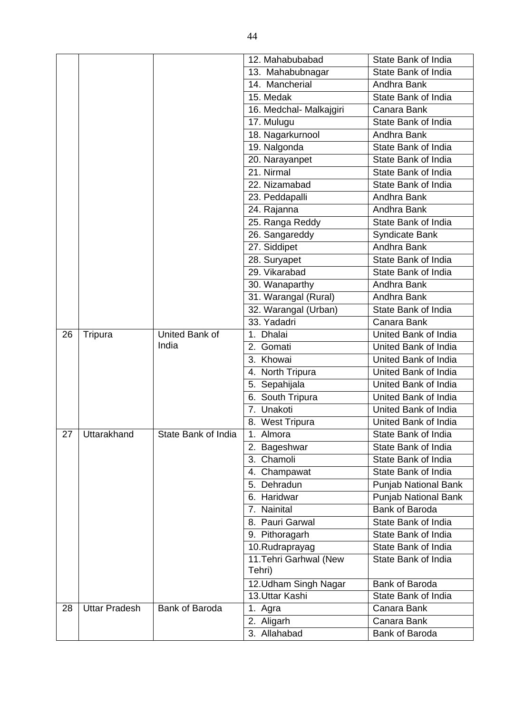|    |                      |                     | 12. Mahabubabad             | State Bank of India         |
|----|----------------------|---------------------|-----------------------------|-----------------------------|
|    |                      |                     | 13. Mahabubnagar            | State Bank of India         |
|    |                      |                     | 14. Mancherial              | Andhra Bank                 |
|    |                      |                     | 15. Medak                   | State Bank of India         |
|    |                      |                     | 16. Medchal- Malkajgiri     | Canara Bank                 |
|    |                      |                     | 17. Mulugu                  | State Bank of India         |
|    |                      |                     | 18. Nagarkurnool            | Andhra Bank                 |
|    |                      |                     | 19. Nalgonda                | State Bank of India         |
|    |                      |                     | 20. Narayanpet              | State Bank of India         |
|    |                      |                     | 21. Nirmal                  | State Bank of India         |
|    |                      |                     | $\overline{22}$ . Nizamabad | State Bank of India         |
|    |                      |                     | 23. Peddapalli              | Andhra Bank                 |
|    |                      |                     | 24. Rajanna                 | Andhra Bank                 |
|    |                      |                     | 25. Ranga Reddy             | State Bank of India         |
|    |                      |                     | 26. Sangareddy              | Syndicate Bank              |
|    |                      |                     | 27. Siddipet                | Andhra Bank                 |
|    |                      |                     | 28. Suryapet                | State Bank of India         |
|    |                      |                     | 29. Vikarabad               | State Bank of India         |
|    |                      |                     | 30. Wanaparthy              | Andhra Bank                 |
|    |                      |                     | 31. Warangal (Rural)        | Andhra Bank                 |
|    |                      |                     | 32. Warangal (Urban)        | State Bank of India         |
|    |                      |                     | 33. Yadadri                 | Canara Bank                 |
| 26 | Tripura              | United Bank of      | 1. Dhalai                   | United Bank of India        |
|    |                      | India               | 2. Gomati                   | United Bank of India        |
|    |                      |                     | 3. Khowai                   | United Bank of India        |
|    |                      |                     | 4. North Tripura            | United Bank of India        |
|    |                      |                     | 5. Sepahijala               | United Bank of India        |
|    |                      |                     | 6. South Tripura            | United Bank of India        |
|    |                      |                     | 7. Unakoti                  | United Bank of India        |
|    |                      |                     | 8. West Tripura             | United Bank of India        |
|    | 27 Uttarakhand       | State Bank of India | $\overline{1}$ . Almora     | State Bank of India         |
|    |                      |                     | 2. Bageshwar                | State Bank of India         |
|    |                      |                     | 3. Chamoli                  | State Bank of India         |
|    |                      |                     | 4. Champawat                | State Bank of India         |
|    |                      |                     | 5. Dehradun                 | <b>Punjab National Bank</b> |
|    |                      |                     | 6. Haridwar                 | <b>Punjab National Bank</b> |
|    |                      |                     | 7. Nainital                 | <b>Bank of Baroda</b>       |
|    |                      |                     | 8. Pauri Garwal             | State Bank of India         |
|    |                      |                     | 9. Pithoragarh              | State Bank of India         |
|    |                      |                     | 10.Rudraprayag              | State Bank of India         |
|    |                      |                     | 11. Tehri Garhwal (New      | State Bank of India         |
|    |                      |                     | Tehri)                      |                             |
|    |                      |                     | 12.Udham Singh Nagar        | Bank of Baroda              |
|    |                      |                     | 13. Uttar Kashi             | State Bank of India         |
| 28 | <b>Uttar Pradesh</b> | Bank of Baroda      | Agra<br>1.                  | Canara Bank                 |
|    |                      |                     | 2. Aligarh                  | Canara Bank                 |
|    |                      |                     | 3. Allahabad                | Bank of Baroda              |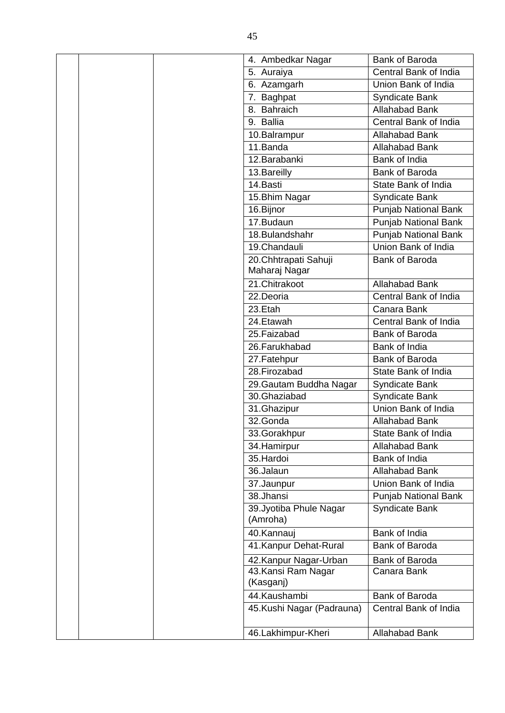|  | 4. Ambedkar Nagar                     | <b>Bank of Baroda</b>                  |
|--|---------------------------------------|----------------------------------------|
|  | 5. Auraiya                            | Central Bank of India                  |
|  | 6. Azamgarh                           | Union Bank of India                    |
|  | 7. Baghpat                            | Syndicate Bank                         |
|  | 8. Bahraich                           | <b>Allahabad Bank</b>                  |
|  | 9. Ballia                             | Central Bank of India                  |
|  | 10.Balrampur                          | Allahabad Bank                         |
|  | 11.Banda                              | <b>Allahabad Bank</b>                  |
|  | 12. Barabanki                         | Bank of India                          |
|  | 13. Bareilly                          | Bank of Baroda                         |
|  | 14.Basti                              | State Bank of India                    |
|  | 15. Bhim Nagar                        | <b>Syndicate Bank</b>                  |
|  | 16.Bijnor                             | Punjab National Bank                   |
|  | 17.Budaun                             | <b>Punjab National Bank</b>            |
|  | 18.Bulandshahr                        | <b>Punjab National Bank</b>            |
|  | 19.Chandauli                          | Union Bank of India                    |
|  | 20.Chhtrapati Sahuji<br>Maharaj Nagar | Bank of Baroda                         |
|  | 21.Chitrakoot                         | Allahabad Bank                         |
|  | 22.Deoria                             | Central Bank of India                  |
|  | 23.Etah                               | Canara Bank                            |
|  | 24.Etawah                             | Central Bank of India                  |
|  | 25. Faizabad                          | Bank of Baroda                         |
|  | 26. Farukhabad                        | Bank of India                          |
|  | 27. Fatehpur                          | Bank of Baroda                         |
|  | 28. Firozabad                         | State Bank of India                    |
|  | 29. Gautam Buddha Nagar               | Syndicate Bank                         |
|  | 30.Ghaziabad                          | Syndicate Bank                         |
|  | 31.Ghazipur                           | Union Bank of India                    |
|  | 32.Gonda                              | <b>Allahabad Bank</b>                  |
|  | 33.Gorakhpur                          | State Bank of India                    |
|  | 34. Hamirpur<br>35.Hardoi             | Allahabad Bank                         |
|  | 36.Jalaun                             | Bank of India<br><b>Allahabad Bank</b> |
|  |                                       | Union Bank of India                    |
|  | 37.Jaunpur<br>38.Jhansi               |                                        |
|  | 39. Jyotiba Phule Nagar               | Punjab National Bank<br>Syndicate Bank |
|  | (Amroha)                              |                                        |
|  | 40.Kannauj                            | Bank of India                          |
|  | 41. Kanpur Dehat-Rural                | Bank of Baroda                         |
|  | 42. Kanpur Nagar-Urban                | Bank of Baroda                         |
|  | 43. Kansi Ram Nagar<br>(Kasganj)      | Canara Bank                            |
|  | 44.Kaushambi                          | Bank of Baroda                         |
|  | 45.Kushi Nagar (Padrauna)             | Central Bank of India                  |
|  | 46.Lakhimpur-Kheri                    | <b>Allahabad Bank</b>                  |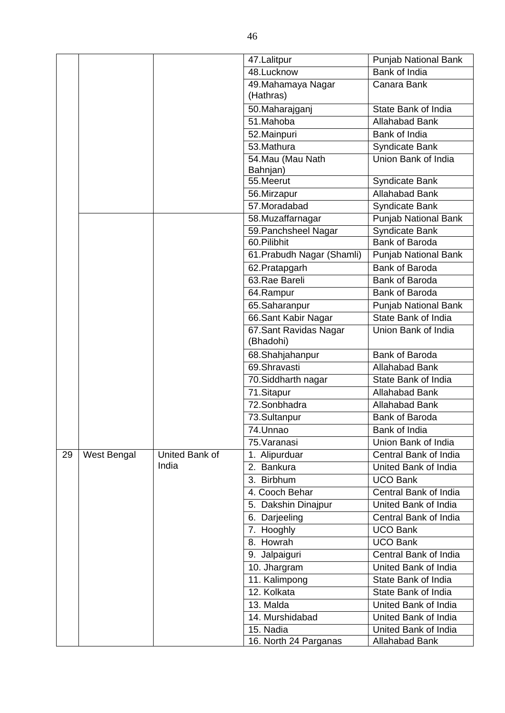|    |             |                | 47. Lalitpur                        | <b>Punjab National Bank</b> |
|----|-------------|----------------|-------------------------------------|-----------------------------|
|    |             |                | 48.Lucknow                          | Bank of India               |
|    |             |                | 49.Mahamaya Nagar<br>(Hathras)      | Canara Bank                 |
|    |             |                | 50.Maharajganj                      | State Bank of India         |
|    |             |                | 51.Mahoba                           | <b>Allahabad Bank</b>       |
|    |             |                | 52. Mainpuri                        | Bank of India               |
|    |             |                | 53. Mathura                         | Syndicate Bank              |
|    |             |                | 54. Mau (Mau Nath<br>Bahnjan)       | Union Bank of India         |
|    |             |                | 55.Meerut                           | Syndicate Bank              |
|    |             |                | 56.Mirzapur                         | <b>Allahabad Bank</b>       |
|    |             |                | 57. Moradabad                       | Syndicate Bank              |
|    |             |                | 58.Muzaffarnagar                    | Punjab National Bank        |
|    |             |                | 59. Panchsheel Nagar                | <b>Syndicate Bank</b>       |
|    |             |                | 60.Pilibhit                         | Bank of Baroda              |
|    |             |                | 61. Prabudh Nagar (Shamli)          | <b>Punjab National Bank</b> |
|    |             |                | 62. Pratapgarh                      | <b>Bank of Baroda</b>       |
|    |             |                | 63.Rae Bareli                       | Bank of Baroda              |
|    |             |                | 64.Rampur                           | Bank of Baroda              |
|    |             |                | 65.Saharanpur                       | <b>Punjab National Bank</b> |
|    |             |                | 66.Sant Kabir Nagar                 | State Bank of India         |
|    |             |                | 67. Sant Ravidas Nagar<br>(Bhadohi) | Union Bank of India         |
|    |             |                | 68.Shahjahanpur                     | Bank of Baroda              |
|    |             |                | 69.Shravasti                        | <b>Allahabad Bank</b>       |
|    |             |                | 70. Siddharth nagar                 | State Bank of India         |
|    |             |                | 71.Sitapur                          | <b>Allahabad Bank</b>       |
|    |             |                | 72.Sonbhadra                        | <b>Allahabad Bank</b>       |
|    |             |                | 73.Sultanpur                        | <b>Bank of Baroda</b>       |
|    |             |                | 74.Unnao                            | Bank of India               |
|    |             |                | 75. Varanasi                        | Union Bank of India         |
| 29 | West Bengal | United Bank of | 1. Alipurduar                       | Central Bank of India       |
|    |             | India          | <b>Bankura</b><br>2.                | United Bank of India        |
|    |             |                | 3. Birbhum                          | <b>UCO Bank</b>             |
|    |             |                | 4. Cooch Behar                      | Central Bank of India       |
|    |             |                | 5. Dakshin Dinajpur                 | United Bank of India        |
|    |             |                | 6. Darjeeling                       | Central Bank of India       |
|    |             |                | 7. Hooghly                          | <b>UCO Bank</b>             |
|    |             |                | 8. Howrah                           | <b>UCO Bank</b>             |
|    |             |                | 9. Jalpaiguri                       | Central Bank of India       |
|    |             |                | $\overline{10}$ . Jhargram          | United Bank of India        |
|    |             |                | 11. Kalimpong                       | State Bank of India         |
|    |             |                | 12. Kolkata                         | State Bank of India         |
|    |             |                | 13. Malda                           | United Bank of India        |
|    |             |                | $\overline{14}$ . Murshidabad       | United Bank of India        |
|    |             |                | 15. Nadia                           | United Bank of India        |
|    |             |                | 16. North 24 Parganas               | Allahabad Bank              |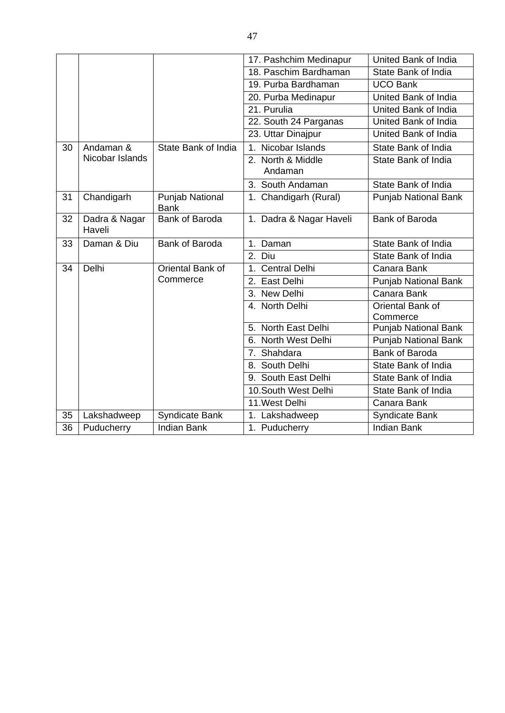|    |                         |                                | 17. Pashchim Medinapur            | United Bank of India        |
|----|-------------------------|--------------------------------|-----------------------------------|-----------------------------|
|    |                         |                                | 18. Paschim Bardhaman             | State Bank of India         |
|    |                         |                                | 19. Purba Bardhaman               | <b>UCO Bank</b>             |
|    |                         |                                | 20. Purba Medinapur               | United Bank of India        |
|    |                         |                                | 21. Purulia                       | United Bank of India        |
|    |                         |                                | 22. South 24 Parganas             | United Bank of India        |
|    |                         |                                | 23. Uttar Dinajpur                | United Bank of India        |
| 30 | Andaman &               | State Bank of India            | Nicobar Islands<br>1 <sub>1</sub> | State Bank of India         |
|    | Nicobar Islands         |                                | 2. North & Middle                 | State Bank of India         |
|    |                         |                                | Andaman                           |                             |
|    |                         |                                | 3. South Andaman                  | State Bank of India         |
| 31 | Chandigarh              | Punjab National<br><b>Bank</b> | 1. Chandigarh (Rural)             | Punjab National Bank        |
| 32 | Dadra & Nagar<br>Haveli | Bank of Baroda                 | 1. Dadra & Nagar Haveli           | <b>Bank of Baroda</b>       |
| 33 | Daman & Diu             | Bank of Baroda                 | 1. Daman                          | State Bank of India         |
|    |                         |                                | 2. Diu                            | State Bank of India         |
| 34 | Delhi                   | Oriental Bank of               | 1. Central Delhi                  | Canara Bank                 |
|    |                         | Commerce                       | 2. East Delhi                     | <b>Punjab National Bank</b> |
|    |                         |                                | 3. New Delhi                      | Canara Bank                 |
|    |                         |                                | 4. North Delhi                    | Oriental Bank of            |
|    |                         |                                |                                   | Commerce                    |
|    |                         |                                | 5. North East Delhi               | Punjab National Bank        |
|    |                         |                                | 6. North West Delhi               | <b>Punjab National Bank</b> |
|    |                         |                                | 7. Shahdara                       | <b>Bank of Baroda</b>       |
|    |                         |                                | 8. South Delhi                    | State Bank of India         |
|    |                         |                                | 9. South East Delhi               | State Bank of India         |
|    |                         |                                | 10.South West Delhi               | State Bank of India         |
|    |                         |                                | 11. West Delhi                    | Canara Bank                 |
| 35 | Lakshadweep             | <b>Syndicate Bank</b>          | 1. Lakshadweep                    | Syndicate Bank              |
| 36 | Puducherry              | <b>Indian Bank</b>             | 1. Puducherry                     | <b>Indian Bank</b>          |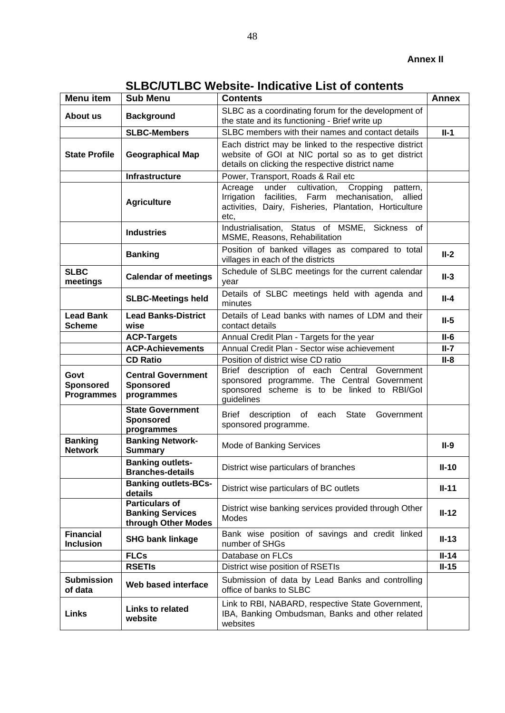| <b>SLBC/UTLBC Website- Indicative List of contents</b> |  |  |
|--------------------------------------------------------|--|--|
|                                                        |  |  |

<span id="page-47-0"></span>

| <b>Menu</b> item                              | <b>Sub Menu</b>                                                         | <b>Contents</b>                                                                                                                                                                 | <b>Annex</b> |
|-----------------------------------------------|-------------------------------------------------------------------------|---------------------------------------------------------------------------------------------------------------------------------------------------------------------------------|--------------|
| About us                                      | <b>Background</b>                                                       | SLBC as a coordinating forum for the development of<br>the state and its functioning - Brief write up                                                                           |              |
|                                               | <b>SLBC-Members</b>                                                     | SLBC members with their names and contact details                                                                                                                               | $II-1$       |
| <b>State Profile</b>                          | <b>Geographical Map</b>                                                 | Each district may be linked to the respective district<br>website of GOI at NIC portal so as to get district<br>details on clicking the respective district name                |              |
|                                               | Infrastructure                                                          | Power, Transport, Roads & Rail etc                                                                                                                                              |              |
|                                               | <b>Agriculture</b>                                                      | under cultivation,<br>Cropping<br>Acreage<br>pattern,<br>Irrigation facilities, Farm mechanisation,<br>allied<br>activities, Dairy, Fisheries, Plantation, Horticulture<br>etc, |              |
|                                               | <b>Industries</b>                                                       | Industrialisation, Status of MSME, Sickness of<br>MSME, Reasons, Rehabilitation                                                                                                 |              |
|                                               | <b>Banking</b>                                                          | Position of banked villages as compared to total<br>villages in each of the districts                                                                                           | $II-2$       |
| <b>SLBC</b><br>meetings                       | <b>Calendar of meetings</b>                                             | Schedule of SLBC meetings for the current calendar<br>year                                                                                                                      | $II-3$       |
|                                               | <b>SLBC-Meetings held</b>                                               | Details of SLBC meetings held with agenda and<br>minutes                                                                                                                        | $II-4$       |
| <b>Lead Bank</b><br><b>Scheme</b>             | <b>Lead Banks-District</b><br>wise                                      | Details of Lead banks with names of LDM and their<br>contact details                                                                                                            | $II-5$       |
|                                               | <b>ACP-Targets</b>                                                      | Annual Credit Plan - Targets for the year                                                                                                                                       | $II-6$       |
|                                               | <b>ACP-Achievements</b>                                                 | Annual Credit Plan - Sector wise achievement                                                                                                                                    | $II-7$       |
|                                               | <b>CD Ratio</b>                                                         | Position of district wise CD ratio                                                                                                                                              | $II-8$       |
| Govt<br><b>Sponsored</b><br><b>Programmes</b> | <b>Central Government</b><br><b>Sponsored</b><br>programmes             | Brief description of each Central Government<br>sponsored programme. The Central Government<br>sponsored scheme is to be linked to RBI/Gol<br>guidelines                        |              |
|                                               | <b>State Government</b><br><b>Sponsored</b><br>programmes               | Brief description of each State<br>Government<br>sponsored programme.                                                                                                           |              |
| <b>Banking</b><br><b>Network</b>              | <b>Banking Network-</b><br><b>Summary</b>                               | Mode of Banking Services                                                                                                                                                        | $II-9$       |
|                                               | <b>Banking outlets-</b><br><b>Branches-details</b>                      | District wise particulars of branches                                                                                                                                           | $II-10$      |
|                                               | <b>Banking outlets-BCs-</b><br>details                                  | District wise particulars of BC outlets                                                                                                                                         | $II-11$      |
|                                               | <b>Particulars of</b><br><b>Banking Services</b><br>through Other Modes | District wise banking services provided through Other<br>Modes                                                                                                                  | $II-12$      |
| <b>Financial</b><br><b>Inclusion</b>          | <b>SHG bank linkage</b>                                                 | Bank wise position of savings and credit linked<br>number of SHGs                                                                                                               | $II-13$      |
|                                               | <b>FLCs</b>                                                             | Database on FLCs                                                                                                                                                                | $II-14$      |
|                                               | <b>RSETIS</b>                                                           | District wise position of RSETIs                                                                                                                                                | $II-15$      |
| <b>Submission</b><br>of data                  | Web based interface                                                     | Submission of data by Lead Banks and controlling<br>office of banks to SLBC                                                                                                     |              |
| <b>Links</b>                                  | Links to related<br>website                                             | Link to RBI, NABARD, respective State Government,<br>IBA, Banking Ombudsman, Banks and other related<br>websites                                                                |              |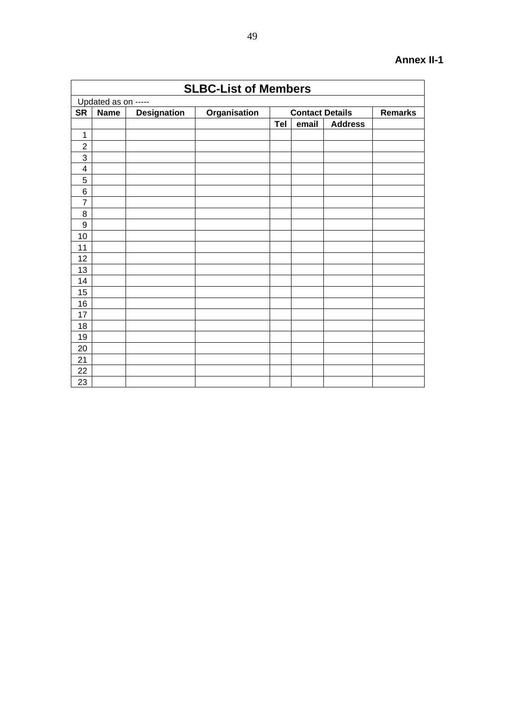| <b>SLBC-List of Members</b> |                     |                    |              |     |                        |                |                |  |  |  |  |  |
|-----------------------------|---------------------|--------------------|--------------|-----|------------------------|----------------|----------------|--|--|--|--|--|
|                             | Updated as on ----- |                    |              |     |                        |                |                |  |  |  |  |  |
| <b>SR</b>                   | <b>Name</b>         | <b>Designation</b> | Organisation |     | <b>Contact Details</b> |                | <b>Remarks</b> |  |  |  |  |  |
|                             |                     |                    |              | Tel | email                  | <b>Address</b> |                |  |  |  |  |  |
| $\mathbf 1$                 |                     |                    |              |     |                        |                |                |  |  |  |  |  |
| $\overline{2}$              |                     |                    |              |     |                        |                |                |  |  |  |  |  |
| 3                           |                     |                    |              |     |                        |                |                |  |  |  |  |  |
| $\overline{\mathbf{4}}$     |                     |                    |              |     |                        |                |                |  |  |  |  |  |
| 5                           |                     |                    |              |     |                        |                |                |  |  |  |  |  |
| 6                           |                     |                    |              |     |                        |                |                |  |  |  |  |  |
| $\overline{7}$              |                     |                    |              |     |                        |                |                |  |  |  |  |  |
| 8                           |                     |                    |              |     |                        |                |                |  |  |  |  |  |
| $\boldsymbol{9}$            |                     |                    |              |     |                        |                |                |  |  |  |  |  |
| 10                          |                     |                    |              |     |                        |                |                |  |  |  |  |  |
| 11                          |                     |                    |              |     |                        |                |                |  |  |  |  |  |
| 12                          |                     |                    |              |     |                        |                |                |  |  |  |  |  |
| 13                          |                     |                    |              |     |                        |                |                |  |  |  |  |  |
| 14                          |                     |                    |              |     |                        |                |                |  |  |  |  |  |
| 15                          |                     |                    |              |     |                        |                |                |  |  |  |  |  |
| 16                          |                     |                    |              |     |                        |                |                |  |  |  |  |  |
| 17                          |                     |                    |              |     |                        |                |                |  |  |  |  |  |
| 18                          |                     |                    |              |     |                        |                |                |  |  |  |  |  |
| 19                          |                     |                    |              |     |                        |                |                |  |  |  |  |  |
| 20                          |                     |                    |              |     |                        |                |                |  |  |  |  |  |
| 21                          |                     |                    |              |     |                        |                |                |  |  |  |  |  |
| 22                          |                     |                    |              |     |                        |                |                |  |  |  |  |  |
| 23                          |                     |                    |              |     |                        |                |                |  |  |  |  |  |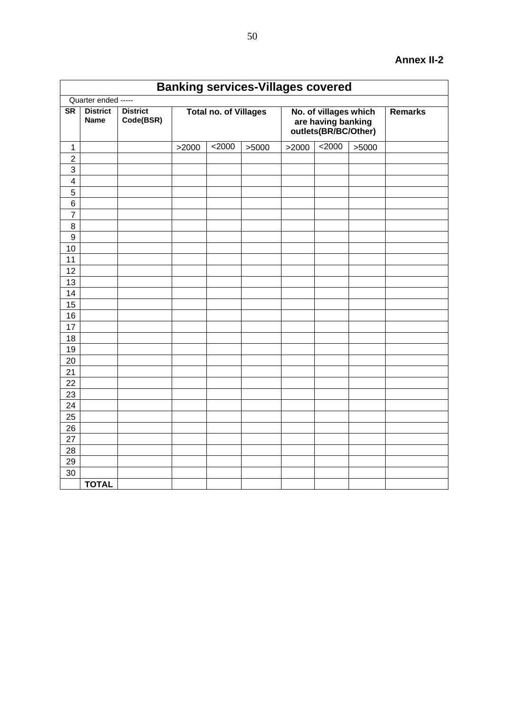|                         | <b>Banking services-Villages covered</b> |                              |                              |          |       |       |                                                                     |       |                |  |  |  |  |
|-------------------------|------------------------------------------|------------------------------|------------------------------|----------|-------|-------|---------------------------------------------------------------------|-------|----------------|--|--|--|--|
|                         | Quarter ended -----                      |                              |                              |          |       |       |                                                                     |       |                |  |  |  |  |
| $\overline{\text{SR}}$  | <b>District</b><br><b>Name</b>           | <b>District</b><br>Code(BSR) | <b>Total no. of Villages</b> |          |       |       | No. of villages which<br>are having banking<br>outlets(BR/BC/Other) |       | <b>Remarks</b> |  |  |  |  |
| 1                       |                                          |                              | >2000                        | $<$ 2000 | >5000 | >2000 | 2000                                                                | >5000 |                |  |  |  |  |
| $\overline{2}$          |                                          |                              |                              |          |       |       |                                                                     |       |                |  |  |  |  |
| $\sqrt{3}$              |                                          |                              |                              |          |       |       |                                                                     |       |                |  |  |  |  |
| $\overline{\mathbf{4}}$ |                                          |                              |                              |          |       |       |                                                                     |       |                |  |  |  |  |
| 5                       |                                          |                              |                              |          |       |       |                                                                     |       |                |  |  |  |  |
| $\,6$                   |                                          |                              |                              |          |       |       |                                                                     |       |                |  |  |  |  |
| $\overline{7}$          |                                          |                              |                              |          |       |       |                                                                     |       |                |  |  |  |  |
| $\bf 8$                 |                                          |                              |                              |          |       |       |                                                                     |       |                |  |  |  |  |
| $\boldsymbol{9}$        |                                          |                              |                              |          |       |       |                                                                     |       |                |  |  |  |  |
| 10                      |                                          |                              |                              |          |       |       |                                                                     |       |                |  |  |  |  |
| 11                      |                                          |                              |                              |          |       |       |                                                                     |       |                |  |  |  |  |
| 12                      |                                          |                              |                              |          |       |       |                                                                     |       |                |  |  |  |  |
| 13                      |                                          |                              |                              |          |       |       |                                                                     |       |                |  |  |  |  |
| 14                      |                                          |                              |                              |          |       |       |                                                                     |       |                |  |  |  |  |
| 15                      |                                          |                              |                              |          |       |       |                                                                     |       |                |  |  |  |  |
| 16                      |                                          |                              |                              |          |       |       |                                                                     |       |                |  |  |  |  |
| 17                      |                                          |                              |                              |          |       |       |                                                                     |       |                |  |  |  |  |
| 18                      |                                          |                              |                              |          |       |       |                                                                     |       |                |  |  |  |  |
| 19                      |                                          |                              |                              |          |       |       |                                                                     |       |                |  |  |  |  |
| 20                      |                                          |                              |                              |          |       |       |                                                                     |       |                |  |  |  |  |
| 21                      |                                          |                              |                              |          |       |       |                                                                     |       |                |  |  |  |  |
| 22                      |                                          |                              |                              |          |       |       |                                                                     |       |                |  |  |  |  |
| 23                      |                                          |                              |                              |          |       |       |                                                                     |       |                |  |  |  |  |
| 24                      |                                          |                              |                              |          |       |       |                                                                     |       |                |  |  |  |  |
| 25                      |                                          |                              |                              |          |       |       |                                                                     |       |                |  |  |  |  |
| 26                      |                                          |                              |                              |          |       |       |                                                                     |       |                |  |  |  |  |
| 27                      |                                          |                              |                              |          |       |       |                                                                     |       |                |  |  |  |  |
| 28                      |                                          |                              |                              |          |       |       |                                                                     |       |                |  |  |  |  |
| 29                      |                                          |                              |                              |          |       |       |                                                                     |       |                |  |  |  |  |
| 30                      |                                          |                              |                              |          |       |       |                                                                     |       |                |  |  |  |  |
|                         | <b>TOTAL</b>                             |                              |                              |          |       |       |                                                                     |       |                |  |  |  |  |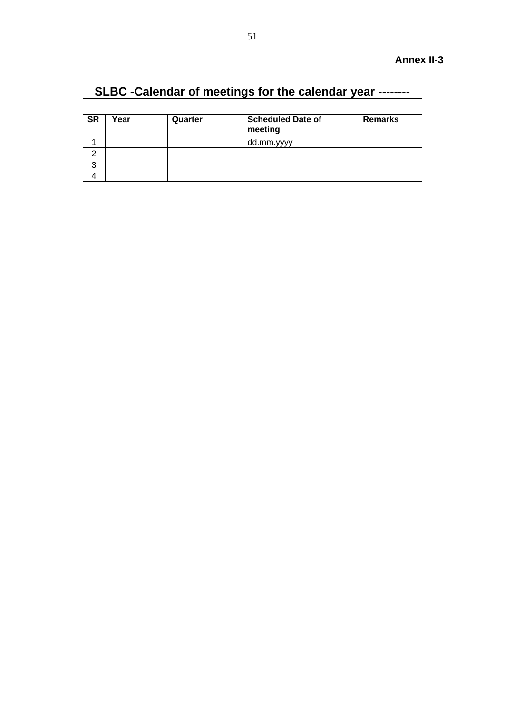|                                                                                       | SLBC - Calendar of meetings for the calendar year |  |            |  |  |  |  |  |  |  |  |  |
|---------------------------------------------------------------------------------------|---------------------------------------------------|--|------------|--|--|--|--|--|--|--|--|--|
|                                                                                       |                                                   |  |            |  |  |  |  |  |  |  |  |  |
| <b>SR</b><br><b>Scheduled Date of</b><br>Year<br><b>Remarks</b><br>Quarter<br>meeting |                                                   |  |            |  |  |  |  |  |  |  |  |  |
|                                                                                       |                                                   |  | dd.mm.yyyy |  |  |  |  |  |  |  |  |  |
| $\mathcal{P}$                                                                         |                                                   |  |            |  |  |  |  |  |  |  |  |  |
| 3                                                                                     |                                                   |  |            |  |  |  |  |  |  |  |  |  |
|                                                                                       |                                                   |  |            |  |  |  |  |  |  |  |  |  |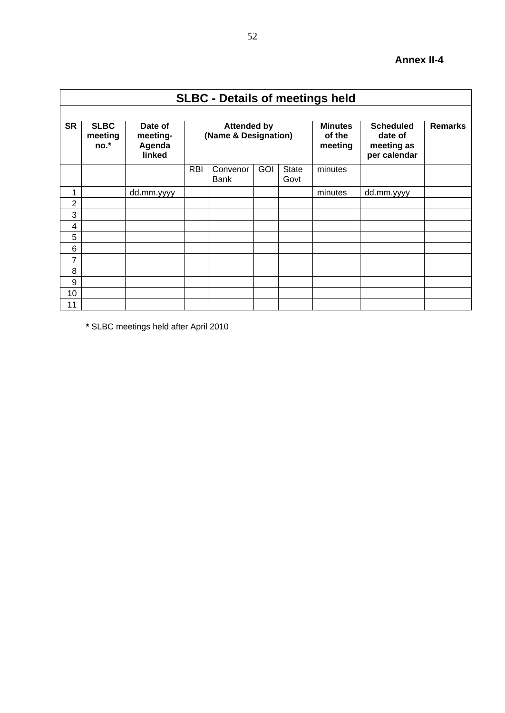|                | <b>SLBC - Details of meetings held</b> |                                         |            |                                            |            |                      |                                     |                                                           |                |  |  |  |  |  |
|----------------|----------------------------------------|-----------------------------------------|------------|--------------------------------------------|------------|----------------------|-------------------------------------|-----------------------------------------------------------|----------------|--|--|--|--|--|
|                |                                        |                                         |            |                                            |            |                      |                                     |                                                           |                |  |  |  |  |  |
| <b>SR</b>      | <b>SLBC</b><br>meeting<br>no.*         | Date of<br>meeting-<br>Agenda<br>linked |            | <b>Attended by</b><br>(Name & Designation) |            |                      | <b>Minutes</b><br>of the<br>meeting | <b>Scheduled</b><br>date of<br>meeting as<br>per calendar | <b>Remarks</b> |  |  |  |  |  |
|                |                                        |                                         | <b>RBI</b> | Convenor<br><b>Bank</b>                    | <b>GOI</b> | <b>State</b><br>Govt | minutes                             |                                                           |                |  |  |  |  |  |
| 1              |                                        | dd.mm.yyyy                              |            |                                            |            |                      | minutes                             | dd.mm.yyyy                                                |                |  |  |  |  |  |
| $\overline{2}$ |                                        |                                         |            |                                            |            |                      |                                     |                                                           |                |  |  |  |  |  |
| 3              |                                        |                                         |            |                                            |            |                      |                                     |                                                           |                |  |  |  |  |  |
| 4              |                                        |                                         |            |                                            |            |                      |                                     |                                                           |                |  |  |  |  |  |
| 5              |                                        |                                         |            |                                            |            |                      |                                     |                                                           |                |  |  |  |  |  |
| 6              |                                        |                                         |            |                                            |            |                      |                                     |                                                           |                |  |  |  |  |  |
| 7              |                                        |                                         |            |                                            |            |                      |                                     |                                                           |                |  |  |  |  |  |
| 8              |                                        |                                         |            |                                            |            |                      |                                     |                                                           |                |  |  |  |  |  |
| 9              |                                        |                                         |            |                                            |            |                      |                                     |                                                           |                |  |  |  |  |  |
| 10             |                                        |                                         |            |                                            |            |                      |                                     |                                                           |                |  |  |  |  |  |
| 11             |                                        |                                         |            |                                            |            |                      |                                     |                                                           |                |  |  |  |  |  |

**\*** SLBC meetings held after April 2010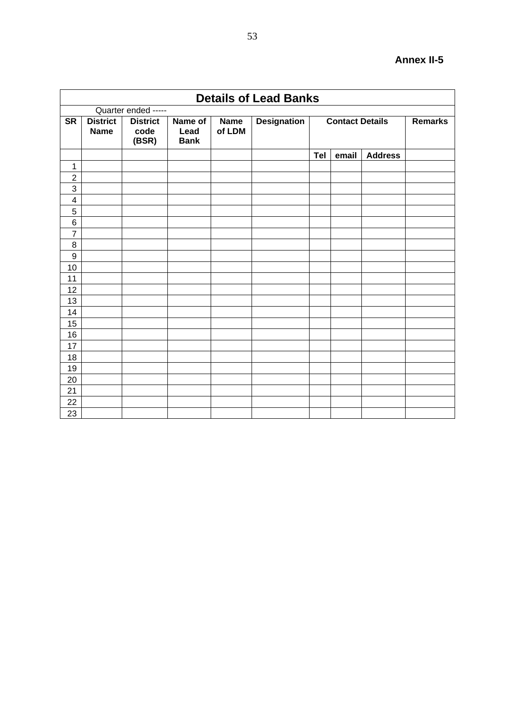|                  | <b>Details of Lead Banks</b>   |                                  |                                |                       |                    |     |                        |                |                |  |  |  |  |
|------------------|--------------------------------|----------------------------------|--------------------------------|-----------------------|--------------------|-----|------------------------|----------------|----------------|--|--|--|--|
|                  |                                | Quarter ended -----              |                                |                       |                    |     |                        |                |                |  |  |  |  |
| <b>SR</b>        | <b>District</b><br><b>Name</b> | <b>District</b><br>code<br>(BSR) | Name of<br>Lead<br><b>Bank</b> | <b>Name</b><br>of LDM | <b>Designation</b> |     | <b>Contact Details</b> |                | <b>Remarks</b> |  |  |  |  |
|                  |                                |                                  |                                |                       |                    | Tel | email                  | <b>Address</b> |                |  |  |  |  |
| $\mathbf 1$      |                                |                                  |                                |                       |                    |     |                        |                |                |  |  |  |  |
| $\overline{2}$   |                                |                                  |                                |                       |                    |     |                        |                |                |  |  |  |  |
| 3                |                                |                                  |                                |                       |                    |     |                        |                |                |  |  |  |  |
| 4                |                                |                                  |                                |                       |                    |     |                        |                |                |  |  |  |  |
| 5                |                                |                                  |                                |                       |                    |     |                        |                |                |  |  |  |  |
| 6                |                                |                                  |                                |                       |                    |     |                        |                |                |  |  |  |  |
| $\overline{7}$   |                                |                                  |                                |                       |                    |     |                        |                |                |  |  |  |  |
| 8                |                                |                                  |                                |                       |                    |     |                        |                |                |  |  |  |  |
| $\boldsymbol{9}$ |                                |                                  |                                |                       |                    |     |                        |                |                |  |  |  |  |
| 10               |                                |                                  |                                |                       |                    |     |                        |                |                |  |  |  |  |
| 11               |                                |                                  |                                |                       |                    |     |                        |                |                |  |  |  |  |
| 12               |                                |                                  |                                |                       |                    |     |                        |                |                |  |  |  |  |
| 13               |                                |                                  |                                |                       |                    |     |                        |                |                |  |  |  |  |
| 14               |                                |                                  |                                |                       |                    |     |                        |                |                |  |  |  |  |
| 15               |                                |                                  |                                |                       |                    |     |                        |                |                |  |  |  |  |
| 16               |                                |                                  |                                |                       |                    |     |                        |                |                |  |  |  |  |
| 17               |                                |                                  |                                |                       |                    |     |                        |                |                |  |  |  |  |
| 18               |                                |                                  |                                |                       |                    |     |                        |                |                |  |  |  |  |
| 19               |                                |                                  |                                |                       |                    |     |                        |                |                |  |  |  |  |
| 20               |                                |                                  |                                |                       |                    |     |                        |                |                |  |  |  |  |
| 21               |                                |                                  |                                |                       |                    |     |                        |                |                |  |  |  |  |
| 22               |                                |                                  |                                |                       |                    |     |                        |                |                |  |  |  |  |
| 23               |                                |                                  |                                |                       |                    |     |                        |                |                |  |  |  |  |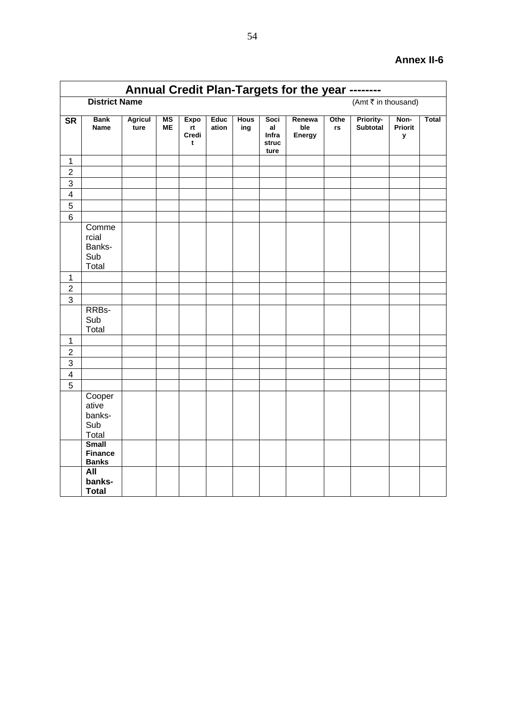|                         | Annual Credit Plan-Targets for the year -------- |                        |          |                                 |               |                    |                                      |                         |            |                              |                      |              |  |
|-------------------------|--------------------------------------------------|------------------------|----------|---------------------------------|---------------|--------------------|--------------------------------------|-------------------------|------------|------------------------------|----------------------|--------------|--|
|                         | <b>District Name</b>                             |                        |          |                                 |               |                    |                                      |                         |            | (Amt ₹ in thousand)          |                      |              |  |
| $\overline{\text{SR}}$  | <b>Bank</b><br>Name                              | <b>Agricul</b><br>ture | MS<br>MЕ | <b>Expo</b><br>rt<br>Credi<br>t | Educ<br>ation | <b>Hous</b><br>ing | Soci<br>al<br>Infra<br>struc<br>ture | Renewa<br>ble<br>Energy | Othe<br>rs | <b>Priority-</b><br>Subtotal | Non-<br>Priorit<br>у | <b>Total</b> |  |
| $\mathbf{1}$            |                                                  |                        |          |                                 |               |                    |                                      |                         |            |                              |                      |              |  |
| $\overline{2}$          |                                                  |                        |          |                                 |               |                    |                                      |                         |            |                              |                      |              |  |
| $\mathbf{3}$            |                                                  |                        |          |                                 |               |                    |                                      |                         |            |                              |                      |              |  |
| $\overline{\mathbf{4}}$ |                                                  |                        |          |                                 |               |                    |                                      |                         |            |                              |                      |              |  |
| 5                       |                                                  |                        |          |                                 |               |                    |                                      |                         |            |                              |                      |              |  |
| $\,6$                   |                                                  |                        |          |                                 |               |                    |                                      |                         |            |                              |                      |              |  |
|                         | Comme<br>rcial<br>Banks-<br>Sub<br>Total         |                        |          |                                 |               |                    |                                      |                         |            |                              |                      |              |  |
| $\mathbf{1}$            |                                                  |                        |          |                                 |               |                    |                                      |                         |            |                              |                      |              |  |
| $\overline{2}$          |                                                  |                        |          |                                 |               |                    |                                      |                         |            |                              |                      |              |  |
| 3                       |                                                  |                        |          |                                 |               |                    |                                      |                         |            |                              |                      |              |  |
|                         | RRBs-<br>Sub<br>Total                            |                        |          |                                 |               |                    |                                      |                         |            |                              |                      |              |  |
| $\mathbf{1}$            |                                                  |                        |          |                                 |               |                    |                                      |                         |            |                              |                      |              |  |
| $\overline{2}$          |                                                  |                        |          |                                 |               |                    |                                      |                         |            |                              |                      |              |  |
| $\overline{3}$          |                                                  |                        |          |                                 |               |                    |                                      |                         |            |                              |                      |              |  |
| $\overline{\mathbf{4}}$ |                                                  |                        |          |                                 |               |                    |                                      |                         |            |                              |                      |              |  |
| 5                       |                                                  |                        |          |                                 |               |                    |                                      |                         |            |                              |                      |              |  |
|                         | Cooper<br>ative<br>banks-<br>Sub<br>Total        |                        |          |                                 |               |                    |                                      |                         |            |                              |                      |              |  |
|                         | <b>Small</b><br><b>Finance</b><br><b>Banks</b>   |                        |          |                                 |               |                    |                                      |                         |            |                              |                      |              |  |
|                         | All<br>banks-<br><b>Total</b>                    |                        |          |                                 |               |                    |                                      |                         |            |                              |                      |              |  |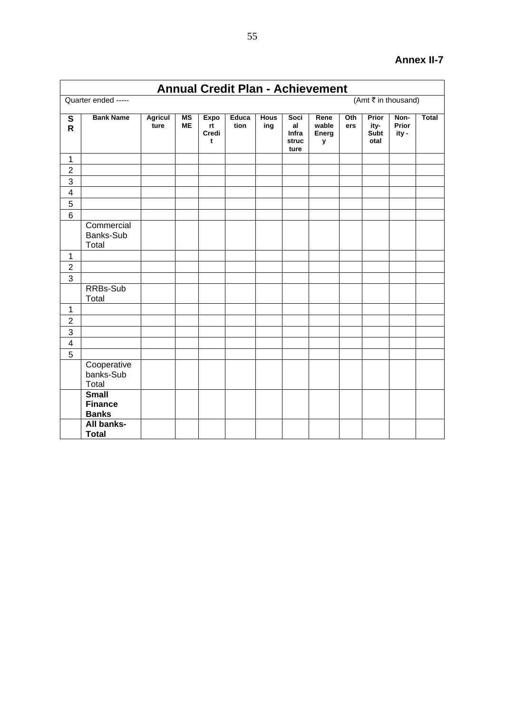|                         | <b>Annual Credit Plan - Achievement</b>        |                        |                        |                                           |                      |                    |                                      |                                    |            |                               |                        |              |
|-------------------------|------------------------------------------------|------------------------|------------------------|-------------------------------------------|----------------------|--------------------|--------------------------------------|------------------------------------|------------|-------------------------------|------------------------|--------------|
|                         | Quarter ended -----                            |                        |                        |                                           |                      |                    |                                      |                                    |            |                               | (Amt ₹ in thousand)    |              |
| S<br>$\mathsf{R}$       | <b>Bank Name</b>                               | <b>Agricul</b><br>ture | <b>MS</b><br><b>ME</b> | <b>Expo</b><br>rt<br>Credi<br>$\mathbf t$ | <b>Educa</b><br>tion | <b>Hous</b><br>ing | Soci<br>al<br>Infra<br>struc<br>ture | Rene<br>wable<br><b>Energ</b><br>у | Oth<br>ers | Prior<br>ity-<br>Subt<br>otal | Non-<br>Prior<br>ity - | <b>Total</b> |
| $\mathbf{1}$            |                                                |                        |                        |                                           |                      |                    |                                      |                                    |            |                               |                        |              |
| $\overline{2}$          |                                                |                        |                        |                                           |                      |                    |                                      |                                    |            |                               |                        |              |
| 3                       |                                                |                        |                        |                                           |                      |                    |                                      |                                    |            |                               |                        |              |
| $\overline{\mathbf{4}}$ |                                                |                        |                        |                                           |                      |                    |                                      |                                    |            |                               |                        |              |
| 5                       |                                                |                        |                        |                                           |                      |                    |                                      |                                    |            |                               |                        |              |
| 6                       |                                                |                        |                        |                                           |                      |                    |                                      |                                    |            |                               |                        |              |
|                         | Commercial<br>Banks-Sub<br>Total               |                        |                        |                                           |                      |                    |                                      |                                    |            |                               |                        |              |
| $\mathbf{1}$            |                                                |                        |                        |                                           |                      |                    |                                      |                                    |            |                               |                        |              |
| $\overline{c}$          |                                                |                        |                        |                                           |                      |                    |                                      |                                    |            |                               |                        |              |
| $\overline{3}$          |                                                |                        |                        |                                           |                      |                    |                                      |                                    |            |                               |                        |              |
|                         | RRBs-Sub<br>Total                              |                        |                        |                                           |                      |                    |                                      |                                    |            |                               |                        |              |
| $\mathbf{1}$            |                                                |                        |                        |                                           |                      |                    |                                      |                                    |            |                               |                        |              |
| $\overline{2}$          |                                                |                        |                        |                                           |                      |                    |                                      |                                    |            |                               |                        |              |
| 3                       |                                                |                        |                        |                                           |                      |                    |                                      |                                    |            |                               |                        |              |
| $\overline{\mathbf{4}}$ |                                                |                        |                        |                                           |                      |                    |                                      |                                    |            |                               |                        |              |
| $\overline{5}$          |                                                |                        |                        |                                           |                      |                    |                                      |                                    |            |                               |                        |              |
|                         | Cooperative<br>banks-Sub<br>Total              |                        |                        |                                           |                      |                    |                                      |                                    |            |                               |                        |              |
|                         | <b>Small</b><br><b>Finance</b><br><b>Banks</b> |                        |                        |                                           |                      |                    |                                      |                                    |            |                               |                        |              |
|                         | All banks-<br><b>Total</b>                     |                        |                        |                                           |                      |                    |                                      |                                    |            |                               |                        |              |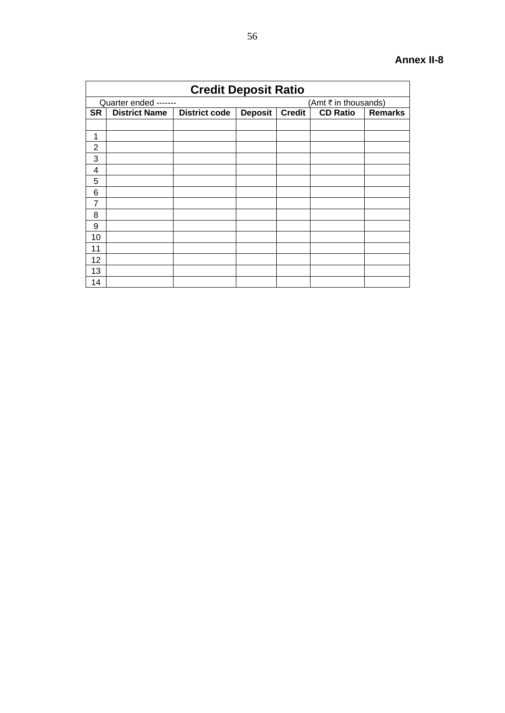|                | <b>Credit Deposit Ratio</b> |                      |                |               |                      |                |  |  |  |  |  |  |  |
|----------------|-----------------------------|----------------------|----------------|---------------|----------------------|----------------|--|--|--|--|--|--|--|
|                | Quarter ended -------       |                      |                |               | (Amt ₹ in thousands) |                |  |  |  |  |  |  |  |
| <b>SR</b>      | <b>District Name</b>        | <b>District code</b> | <b>Deposit</b> | <b>Credit</b> | <b>CD Ratio</b>      | <b>Remarks</b> |  |  |  |  |  |  |  |
|                |                             |                      |                |               |                      |                |  |  |  |  |  |  |  |
| 1              |                             |                      |                |               |                      |                |  |  |  |  |  |  |  |
| $\overline{2}$ |                             |                      |                |               |                      |                |  |  |  |  |  |  |  |
| 3              |                             |                      |                |               |                      |                |  |  |  |  |  |  |  |
| 4              |                             |                      |                |               |                      |                |  |  |  |  |  |  |  |
| 5              |                             |                      |                |               |                      |                |  |  |  |  |  |  |  |
| 6              |                             |                      |                |               |                      |                |  |  |  |  |  |  |  |
| $\overline{7}$ |                             |                      |                |               |                      |                |  |  |  |  |  |  |  |
| 8              |                             |                      |                |               |                      |                |  |  |  |  |  |  |  |
| 9              |                             |                      |                |               |                      |                |  |  |  |  |  |  |  |
| 10             |                             |                      |                |               |                      |                |  |  |  |  |  |  |  |
| 11             |                             |                      |                |               |                      |                |  |  |  |  |  |  |  |
| 12             |                             |                      |                |               |                      |                |  |  |  |  |  |  |  |
| 13             |                             |                      |                |               |                      |                |  |  |  |  |  |  |  |
| 14             |                             |                      |                |               |                      |                |  |  |  |  |  |  |  |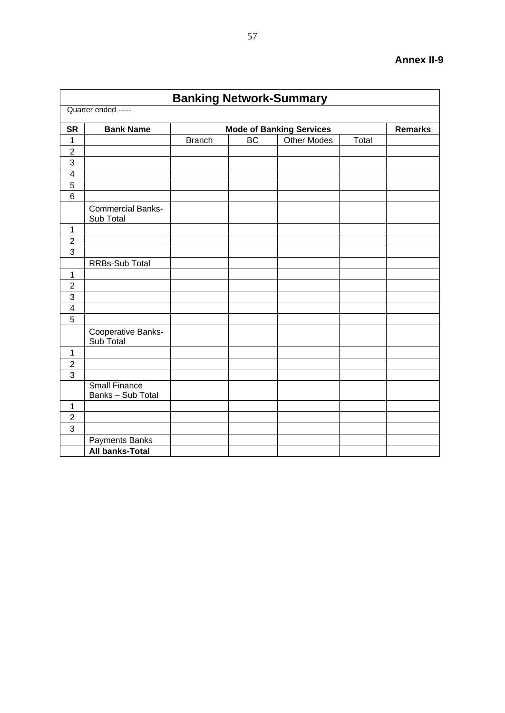|                         |                                           | <b>Banking Network-Summary</b> |           |                                 |       |                |
|-------------------------|-------------------------------------------|--------------------------------|-----------|---------------------------------|-------|----------------|
|                         | Quarter ended -----                       |                                |           |                                 |       |                |
| <b>SR</b>               | <b>Bank Name</b>                          |                                |           | <b>Mode of Banking Services</b> |       | <b>Remarks</b> |
| $\mathbf{1}$            |                                           | <b>Branch</b>                  | <b>BC</b> | <b>Other Modes</b>              | Total |                |
| $\overline{c}$          |                                           |                                |           |                                 |       |                |
| 3                       |                                           |                                |           |                                 |       |                |
| $\overline{\mathbf{4}}$ |                                           |                                |           |                                 |       |                |
| 5                       |                                           |                                |           |                                 |       |                |
| $\overline{6}$          |                                           |                                |           |                                 |       |                |
|                         | <b>Commercial Banks-</b><br>Sub Total     |                                |           |                                 |       |                |
| $\mathbf{1}$            |                                           |                                |           |                                 |       |                |
| $\overline{2}$          |                                           |                                |           |                                 |       |                |
| 3                       |                                           |                                |           |                                 |       |                |
|                         | RRBs-Sub Total                            |                                |           |                                 |       |                |
| $\mathbf{1}$            |                                           |                                |           |                                 |       |                |
| $\overline{2}$          |                                           |                                |           |                                 |       |                |
| 3                       |                                           |                                |           |                                 |       |                |
| $\overline{\mathbf{4}}$ |                                           |                                |           |                                 |       |                |
| $\overline{5}$          |                                           |                                |           |                                 |       |                |
|                         | Cooperative Banks-<br>Sub Total           |                                |           |                                 |       |                |
| 1                       |                                           |                                |           |                                 |       |                |
| $\overline{2}$          |                                           |                                |           |                                 |       |                |
| 3                       |                                           |                                |           |                                 |       |                |
|                         | <b>Small Finance</b><br>Banks - Sub Total |                                |           |                                 |       |                |
| $\mathbf{1}$            |                                           |                                |           |                                 |       |                |
| $\overline{2}$          |                                           |                                |           |                                 |       |                |
| $\overline{3}$          |                                           |                                |           |                                 |       |                |
|                         | Payments Banks                            |                                |           |                                 |       |                |
|                         | <b>All banks-Total</b>                    |                                |           |                                 |       |                |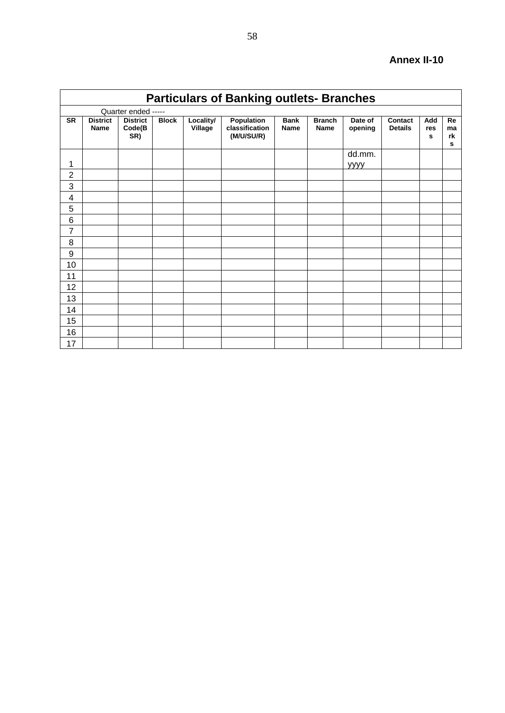|                | <b>Particulars of Banking outlets- Branches</b> |                                  |              |                      |                                            |                            |                              |                    |                           |                 |                     |  |  |  |
|----------------|-------------------------------------------------|----------------------------------|--------------|----------------------|--------------------------------------------|----------------------------|------------------------------|--------------------|---------------------------|-----------------|---------------------|--|--|--|
|                |                                                 | Quarter ended -----              |              |                      |                                            |                            |                              |                    |                           |                 |                     |  |  |  |
| <b>SR</b>      | <b>District</b><br><b>Name</b>                  | <b>District</b><br>Code(B<br>SR) | <b>Block</b> | Locality/<br>Village | Population<br>classification<br>(M/U/SU/R) | <b>Bank</b><br><b>Name</b> | <b>Branch</b><br><b>Name</b> | Date of<br>opening | Contact<br><b>Details</b> | Add<br>res<br>s | Re<br>ma<br>rk<br>s |  |  |  |
| 1              |                                                 |                                  |              |                      |                                            |                            |                              | dd.mm.<br>уууу     |                           |                 |                     |  |  |  |
| $\overline{2}$ |                                                 |                                  |              |                      |                                            |                            |                              |                    |                           |                 |                     |  |  |  |
| 3              |                                                 |                                  |              |                      |                                            |                            |                              |                    |                           |                 |                     |  |  |  |
| 4              |                                                 |                                  |              |                      |                                            |                            |                              |                    |                           |                 |                     |  |  |  |
| 5              |                                                 |                                  |              |                      |                                            |                            |                              |                    |                           |                 |                     |  |  |  |
| 6              |                                                 |                                  |              |                      |                                            |                            |                              |                    |                           |                 |                     |  |  |  |
| $\overline{7}$ |                                                 |                                  |              |                      |                                            |                            |                              |                    |                           |                 |                     |  |  |  |
| 8              |                                                 |                                  |              |                      |                                            |                            |                              |                    |                           |                 |                     |  |  |  |
| 9              |                                                 |                                  |              |                      |                                            |                            |                              |                    |                           |                 |                     |  |  |  |
| 10             |                                                 |                                  |              |                      |                                            |                            |                              |                    |                           |                 |                     |  |  |  |
| 11             |                                                 |                                  |              |                      |                                            |                            |                              |                    |                           |                 |                     |  |  |  |
| 12             |                                                 |                                  |              |                      |                                            |                            |                              |                    |                           |                 |                     |  |  |  |
| 13             |                                                 |                                  |              |                      |                                            |                            |                              |                    |                           |                 |                     |  |  |  |
| 14             |                                                 |                                  |              |                      |                                            |                            |                              |                    |                           |                 |                     |  |  |  |
| 15             |                                                 |                                  |              |                      |                                            |                            |                              |                    |                           |                 |                     |  |  |  |
| 16             |                                                 |                                  |              |                      |                                            |                            |                              |                    |                           |                 |                     |  |  |  |
| 17             |                                                 |                                  |              |                      |                                            |                            |                              |                    |                           |                 |                     |  |  |  |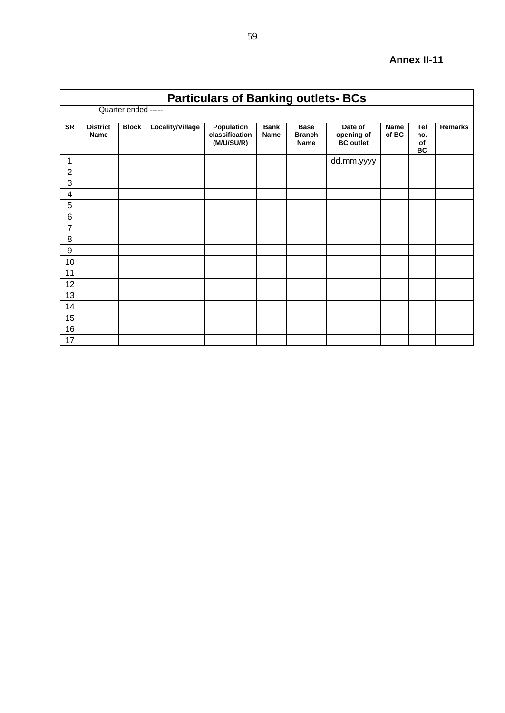|                | <b>Particulars of Banking outlets- BCs</b> |              |                  |                                            |                            |                                             |                                           |                      |                               |                |  |  |  |  |
|----------------|--------------------------------------------|--------------|------------------|--------------------------------------------|----------------------------|---------------------------------------------|-------------------------------------------|----------------------|-------------------------------|----------------|--|--|--|--|
|                | Quarter ended -----                        |              |                  |                                            |                            |                                             |                                           |                      |                               |                |  |  |  |  |
| <b>SR</b>      | <b>District</b><br><b>Name</b>             | <b>Block</b> | Locality/Village | Population<br>classification<br>(M/U/SU/R) | <b>Bank</b><br><b>Name</b> | <b>Base</b><br><b>Branch</b><br><b>Name</b> | Date of<br>opening of<br><b>BC</b> outlet | <b>Name</b><br>of BC | <b>Tel</b><br>no.<br>of<br>BC | <b>Remarks</b> |  |  |  |  |
| 1              |                                            |              |                  |                                            |                            |                                             | dd.mm.yyyy                                |                      |                               |                |  |  |  |  |
| $\overline{2}$ |                                            |              |                  |                                            |                            |                                             |                                           |                      |                               |                |  |  |  |  |
| 3              |                                            |              |                  |                                            |                            |                                             |                                           |                      |                               |                |  |  |  |  |
| 4              |                                            |              |                  |                                            |                            |                                             |                                           |                      |                               |                |  |  |  |  |
| 5              |                                            |              |                  |                                            |                            |                                             |                                           |                      |                               |                |  |  |  |  |
| 6              |                                            |              |                  |                                            |                            |                                             |                                           |                      |                               |                |  |  |  |  |
| 7              |                                            |              |                  |                                            |                            |                                             |                                           |                      |                               |                |  |  |  |  |
| 8              |                                            |              |                  |                                            |                            |                                             |                                           |                      |                               |                |  |  |  |  |
| 9              |                                            |              |                  |                                            |                            |                                             |                                           |                      |                               |                |  |  |  |  |
| 10             |                                            |              |                  |                                            |                            |                                             |                                           |                      |                               |                |  |  |  |  |
| 11             |                                            |              |                  |                                            |                            |                                             |                                           |                      |                               |                |  |  |  |  |
| 12             |                                            |              |                  |                                            |                            |                                             |                                           |                      |                               |                |  |  |  |  |
| 13             |                                            |              |                  |                                            |                            |                                             |                                           |                      |                               |                |  |  |  |  |
| 14             |                                            |              |                  |                                            |                            |                                             |                                           |                      |                               |                |  |  |  |  |
| 15             |                                            |              |                  |                                            |                            |                                             |                                           |                      |                               |                |  |  |  |  |
| 16             |                                            |              |                  |                                            |                            |                                             |                                           |                      |                               |                |  |  |  |  |
| 17             |                                            |              |                  |                                            |                            |                                             |                                           |                      |                               |                |  |  |  |  |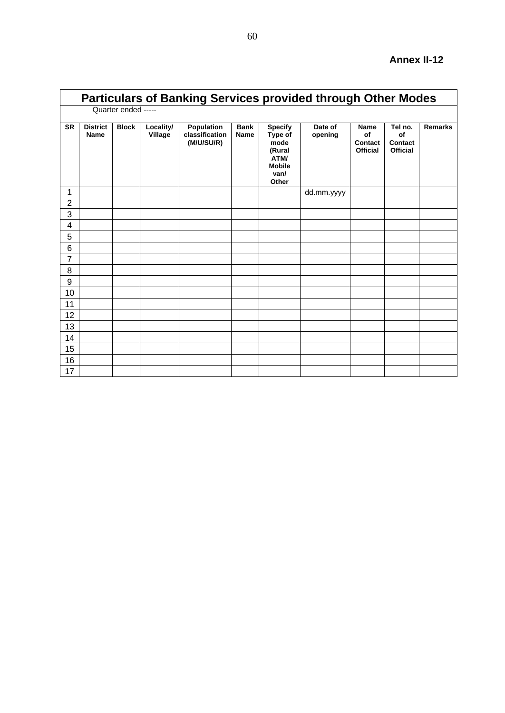|                | <b>Particulars of Banking Services provided through Other Modes</b> |                     |                      |                                            |                            |                                                                                       |                    |                                                 |                                             |                |  |  |  |  |
|----------------|---------------------------------------------------------------------|---------------------|----------------------|--------------------------------------------|----------------------------|---------------------------------------------------------------------------------------|--------------------|-------------------------------------------------|---------------------------------------------|----------------|--|--|--|--|
|                |                                                                     | Quarter ended ----- |                      |                                            |                            |                                                                                       |                    |                                                 |                                             |                |  |  |  |  |
| <b>SR</b>      | <b>District</b><br>Name                                             | <b>Block</b>        | Locality/<br>Village | Population<br>classification<br>(M/U/SU/R) | <b>Bank</b><br><b>Name</b> | <b>Specify</b><br>Type of<br>mode<br>(Rural<br>ATM/<br><b>Mobile</b><br>van/<br>Other | Date of<br>opening | <b>Name</b><br>of<br>Contact<br><b>Official</b> | Tel no.<br>of<br>Contact<br><b>Official</b> | <b>Remarks</b> |  |  |  |  |
| 1              |                                                                     |                     |                      |                                            |                            |                                                                                       | dd.mm.yyyy         |                                                 |                                             |                |  |  |  |  |
| $\overline{2}$ |                                                                     |                     |                      |                                            |                            |                                                                                       |                    |                                                 |                                             |                |  |  |  |  |
| 3              |                                                                     |                     |                      |                                            |                            |                                                                                       |                    |                                                 |                                             |                |  |  |  |  |
| 4              |                                                                     |                     |                      |                                            |                            |                                                                                       |                    |                                                 |                                             |                |  |  |  |  |
| 5              |                                                                     |                     |                      |                                            |                            |                                                                                       |                    |                                                 |                                             |                |  |  |  |  |
| 6              |                                                                     |                     |                      |                                            |                            |                                                                                       |                    |                                                 |                                             |                |  |  |  |  |
| $\overline{7}$ |                                                                     |                     |                      |                                            |                            |                                                                                       |                    |                                                 |                                             |                |  |  |  |  |
| 8              |                                                                     |                     |                      |                                            |                            |                                                                                       |                    |                                                 |                                             |                |  |  |  |  |
| 9              |                                                                     |                     |                      |                                            |                            |                                                                                       |                    |                                                 |                                             |                |  |  |  |  |
| 10             |                                                                     |                     |                      |                                            |                            |                                                                                       |                    |                                                 |                                             |                |  |  |  |  |
| 11             |                                                                     |                     |                      |                                            |                            |                                                                                       |                    |                                                 |                                             |                |  |  |  |  |
| 12             |                                                                     |                     |                      |                                            |                            |                                                                                       |                    |                                                 |                                             |                |  |  |  |  |
| 13             |                                                                     |                     |                      |                                            |                            |                                                                                       |                    |                                                 |                                             |                |  |  |  |  |
| 14             |                                                                     |                     |                      |                                            |                            |                                                                                       |                    |                                                 |                                             |                |  |  |  |  |
| 15             |                                                                     |                     |                      |                                            |                            |                                                                                       |                    |                                                 |                                             |                |  |  |  |  |
| 16             |                                                                     |                     |                      |                                            |                            |                                                                                       |                    |                                                 |                                             |                |  |  |  |  |
| 17             |                                                                     |                     |                      |                                            |                            |                                                                                       |                    |                                                 |                                             |                |  |  |  |  |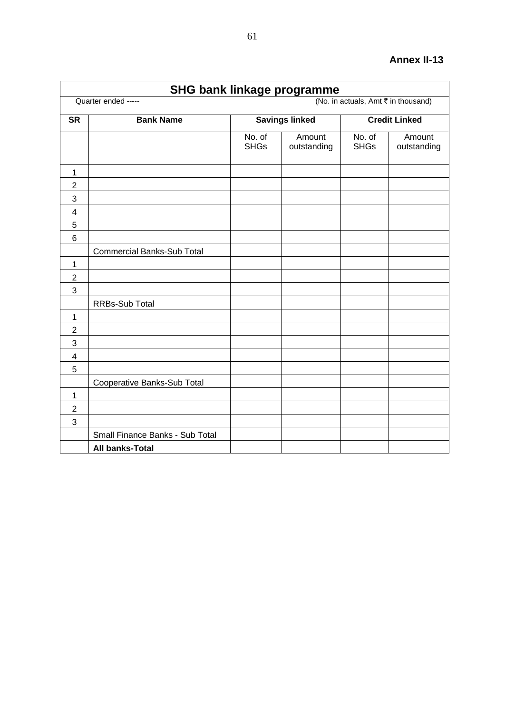### **SHG bank linkage programme** Quarter ended -----<br>
(No. in actuals, Amt ₹ in thousand) **SR Bank Name Savings linked Credit Linked** No. of SHGs Amount outstanding No. of SHGs Amount outstanding 1 2 3 4 5 6 Commercial Banks-Sub Total 1 2 3 RRBs-Sub Total 1 2 3 4 5 Cooperative Banks-Sub Total 1 2 3 Small Finance Banks - Sub Total **All banks-Total**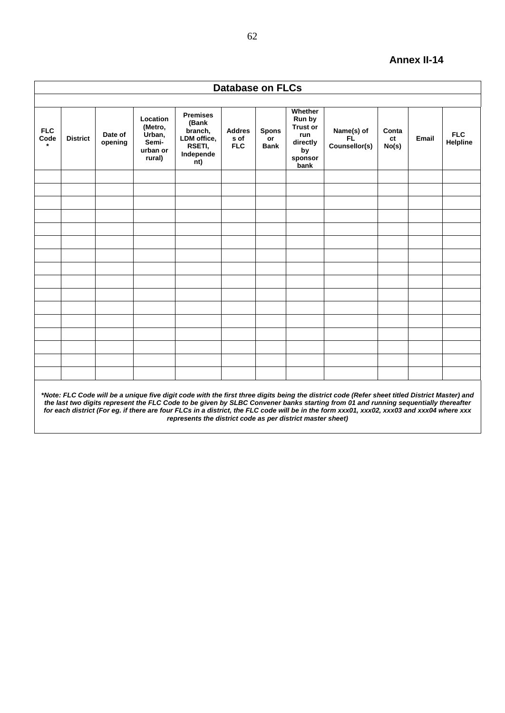|                    | <b>Database on FLCs</b>                                                                                                                                                                                                                                                                                                                                                                                                                                                                        |                    |                                                              |                                                                                  |                                     |                                   |                                                                                         |                                    |                      |       |                        |
|--------------------|------------------------------------------------------------------------------------------------------------------------------------------------------------------------------------------------------------------------------------------------------------------------------------------------------------------------------------------------------------------------------------------------------------------------------------------------------------------------------------------------|--------------------|--------------------------------------------------------------|----------------------------------------------------------------------------------|-------------------------------------|-----------------------------------|-----------------------------------------------------------------------------------------|------------------------------------|----------------------|-------|------------------------|
|                    |                                                                                                                                                                                                                                                                                                                                                                                                                                                                                                |                    |                                                              |                                                                                  |                                     |                                   |                                                                                         |                                    |                      |       |                        |
| <b>FLC</b><br>Code | <b>District</b>                                                                                                                                                                                                                                                                                                                                                                                                                                                                                | Date of<br>opening | Location<br>(Metro,<br>Urban,<br>Semi-<br>urban or<br>rural) | <b>Premises</b><br>(Bank<br>branch,<br>LDM office,<br>RSETI,<br>Independe<br>nt) | <b>Addres</b><br>s of<br><b>FLC</b> | <b>Spons</b><br>or<br><b>Bank</b> | Whether<br>Run by<br><b>Trust or</b><br><b>run</b><br>directly<br>by<br>sponsor<br>bank | Name(s) of<br>FL.<br>Counsellor(s) | Conta<br>ct<br>No(s) | Email | <b>FLC</b><br>Helpline |
|                    |                                                                                                                                                                                                                                                                                                                                                                                                                                                                                                |                    |                                                              |                                                                                  |                                     |                                   |                                                                                         |                                    |                      |       |                        |
|                    |                                                                                                                                                                                                                                                                                                                                                                                                                                                                                                |                    |                                                              |                                                                                  |                                     |                                   |                                                                                         |                                    |                      |       |                        |
|                    |                                                                                                                                                                                                                                                                                                                                                                                                                                                                                                |                    |                                                              |                                                                                  |                                     |                                   |                                                                                         |                                    |                      |       |                        |
|                    |                                                                                                                                                                                                                                                                                                                                                                                                                                                                                                |                    |                                                              |                                                                                  |                                     |                                   |                                                                                         |                                    |                      |       |                        |
|                    |                                                                                                                                                                                                                                                                                                                                                                                                                                                                                                |                    |                                                              |                                                                                  |                                     |                                   |                                                                                         |                                    |                      |       |                        |
|                    |                                                                                                                                                                                                                                                                                                                                                                                                                                                                                                |                    |                                                              |                                                                                  |                                     |                                   |                                                                                         |                                    |                      |       |                        |
|                    |                                                                                                                                                                                                                                                                                                                                                                                                                                                                                                |                    |                                                              |                                                                                  |                                     |                                   |                                                                                         |                                    |                      |       |                        |
|                    |                                                                                                                                                                                                                                                                                                                                                                                                                                                                                                |                    |                                                              |                                                                                  |                                     |                                   |                                                                                         |                                    |                      |       |                        |
|                    |                                                                                                                                                                                                                                                                                                                                                                                                                                                                                                |                    |                                                              |                                                                                  |                                     |                                   |                                                                                         |                                    |                      |       |                        |
|                    |                                                                                                                                                                                                                                                                                                                                                                                                                                                                                                |                    |                                                              |                                                                                  |                                     |                                   |                                                                                         |                                    |                      |       |                        |
|                    |                                                                                                                                                                                                                                                                                                                                                                                                                                                                                                |                    |                                                              |                                                                                  |                                     |                                   |                                                                                         |                                    |                      |       |                        |
|                    |                                                                                                                                                                                                                                                                                                                                                                                                                                                                                                |                    |                                                              |                                                                                  |                                     |                                   |                                                                                         |                                    |                      |       |                        |
|                    |                                                                                                                                                                                                                                                                                                                                                                                                                                                                                                |                    |                                                              |                                                                                  |                                     |                                   |                                                                                         |                                    |                      |       |                        |
|                    |                                                                                                                                                                                                                                                                                                                                                                                                                                                                                                |                    |                                                              |                                                                                  |                                     |                                   |                                                                                         |                                    |                      |       |                        |
|                    |                                                                                                                                                                                                                                                                                                                                                                                                                                                                                                |                    |                                                              |                                                                                  |                                     |                                   |                                                                                         |                                    |                      |       |                        |
|                    |                                                                                                                                                                                                                                                                                                                                                                                                                                                                                                |                    |                                                              |                                                                                  |                                     |                                   |                                                                                         |                                    |                      |       |                        |
|                    | *Note: FLC Code will be a unique five digit code with the first three digits being the district code (Refer sheet titled District Master) and<br>the last two digits represent the FLC Code to be given by SLBC Convener banks starting from 01 and running sequentially thereafter<br>for each district (For eg. if there are four FLCs in a district, the FLC code will be in the form xxx01, xxx02, xxx03 and xxx04 where xxx<br>represents the district code as per district master sheet) |                    |                                                              |                                                                                  |                                     |                                   |                                                                                         |                                    |                      |       |                        |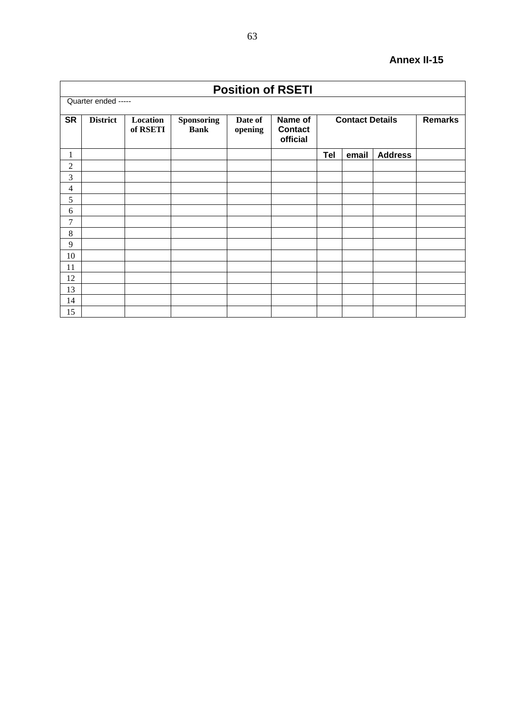|                | <b>Position of RSETI</b> |                      |                                  |                    |                                       |            |                        |                |                |
|----------------|--------------------------|----------------------|----------------------------------|--------------------|---------------------------------------|------------|------------------------|----------------|----------------|
|                | Quarter ended -----      |                      |                                  |                    |                                       |            |                        |                |                |
| <b>SR</b>      | <b>District</b>          | Location<br>of RSETI | <b>Sponsoring</b><br><b>Bank</b> | Date of<br>opening | Name of<br><b>Contact</b><br>official |            | <b>Contact Details</b> |                | <b>Remarks</b> |
| 1              |                          |                      |                                  |                    |                                       | <b>Tel</b> | email                  | <b>Address</b> |                |
| $\overline{c}$ |                          |                      |                                  |                    |                                       |            |                        |                |                |
| 3              |                          |                      |                                  |                    |                                       |            |                        |                |                |
| 4              |                          |                      |                                  |                    |                                       |            |                        |                |                |
| 5              |                          |                      |                                  |                    |                                       |            |                        |                |                |
| 6              |                          |                      |                                  |                    |                                       |            |                        |                |                |
| 7              |                          |                      |                                  |                    |                                       |            |                        |                |                |
| 8              |                          |                      |                                  |                    |                                       |            |                        |                |                |
| 9              |                          |                      |                                  |                    |                                       |            |                        |                |                |
| 10             |                          |                      |                                  |                    |                                       |            |                        |                |                |
| 11             |                          |                      |                                  |                    |                                       |            |                        |                |                |
| 12             |                          |                      |                                  |                    |                                       |            |                        |                |                |
| 13             |                          |                      |                                  |                    |                                       |            |                        |                |                |
| 14             |                          |                      |                                  |                    |                                       |            |                        |                |                |
| 15             |                          |                      |                                  |                    |                                       |            |                        |                |                |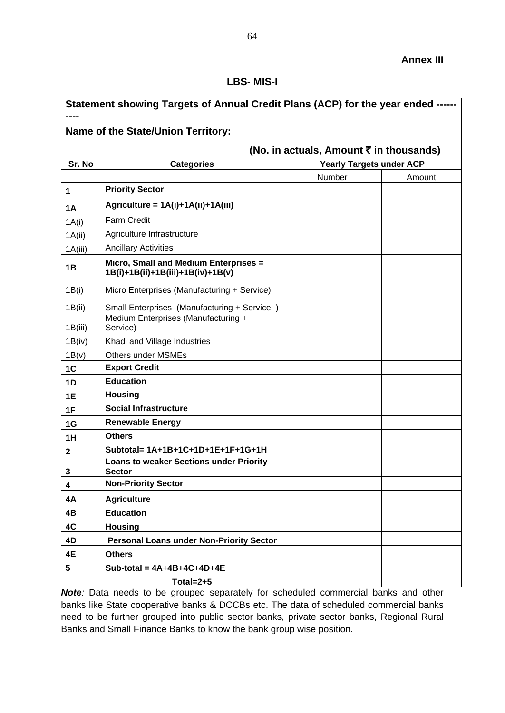#### **LBS- MIS-I**

<span id="page-63-0"></span>

| Statement showing Targets of Annual Credit Plans (ACP) for the year ended ------ |                                                                            |                                 |        |  |  |  |
|----------------------------------------------------------------------------------|----------------------------------------------------------------------------|---------------------------------|--------|--|--|--|
|                                                                                  | Name of the State/Union Territory:                                         |                                 |        |  |  |  |
|                                                                                  | (No. in actuals, Amount ₹ in thousands)                                    |                                 |        |  |  |  |
| Sr. No                                                                           | <b>Categories</b>                                                          | <b>Yearly Targets under ACP</b> |        |  |  |  |
|                                                                                  |                                                                            | Number                          | Amount |  |  |  |
| 1                                                                                | <b>Priority Sector</b>                                                     |                                 |        |  |  |  |
| <b>1A</b>                                                                        | Agriculture = 1A(i)+1A(ii)+1A(iii)                                         |                                 |        |  |  |  |
| 1A(i)                                                                            | <b>Farm Credit</b>                                                         |                                 |        |  |  |  |
| 1A(ii)                                                                           | Agriculture Infrastructure                                                 |                                 |        |  |  |  |
| 1A(iii)                                                                          | <b>Ancillary Activities</b>                                                |                                 |        |  |  |  |
| 1B                                                                               | Micro, Small and Medium Enterprises =<br>1B(i)+1B(ii)+1B(iii)+1B(iv)+1B(v) |                                 |        |  |  |  |
| 1B(i)                                                                            | Micro Enterprises (Manufacturing + Service)                                |                                 |        |  |  |  |
| 1B(ii)                                                                           | Small Enterprises (Manufacturing + Service                                 |                                 |        |  |  |  |
| 1B(iii)                                                                          | Medium Enterprises (Manufacturing +<br>Service)                            |                                 |        |  |  |  |
| 1B(iv)                                                                           | Khadi and Village Industries                                               |                                 |        |  |  |  |
| 1B(v)                                                                            | <b>Others under MSMEs</b>                                                  |                                 |        |  |  |  |
| 1C                                                                               | <b>Export Credit</b>                                                       |                                 |        |  |  |  |
| 1D                                                                               | <b>Education</b>                                                           |                                 |        |  |  |  |
| 1E                                                                               | <b>Housing</b>                                                             |                                 |        |  |  |  |
| 1F                                                                               | <b>Social Infrastructure</b>                                               |                                 |        |  |  |  |
| 1G                                                                               | <b>Renewable Energy</b>                                                    |                                 |        |  |  |  |
| 1H                                                                               | <b>Others</b>                                                              |                                 |        |  |  |  |
| 2                                                                                | Subtotal= 1A+1B+1C+1D+1E+1F+1G+1H                                          |                                 |        |  |  |  |
| 3                                                                                | <b>Loans to weaker Sections under Priority</b><br><b>Sector</b>            |                                 |        |  |  |  |
| 4                                                                                | <b>Non-Priority Sector</b>                                                 |                                 |        |  |  |  |
| 4A                                                                               | <b>Agriculture</b>                                                         |                                 |        |  |  |  |
| 4B                                                                               | <b>Education</b>                                                           |                                 |        |  |  |  |
| 4C                                                                               | <b>Housing</b>                                                             |                                 |        |  |  |  |
| 4D                                                                               | <b>Personal Loans under Non-Priority Sector</b>                            |                                 |        |  |  |  |
| 4E                                                                               | <b>Others</b>                                                              |                                 |        |  |  |  |
| 5                                                                                | Sub-total = $4A+4B+4C+4D+4E$                                               |                                 |        |  |  |  |
|                                                                                  | Total= $2+5$                                                               |                                 |        |  |  |  |

*Note:* Data needs to be grouped separately for scheduled commercial banks and other banks like State cooperative banks & DCCBs etc. The data of scheduled commercial banks need to be further grouped into public sector banks, private sector banks, Regional Rural Banks and Small Finance Banks to know the bank group wise position.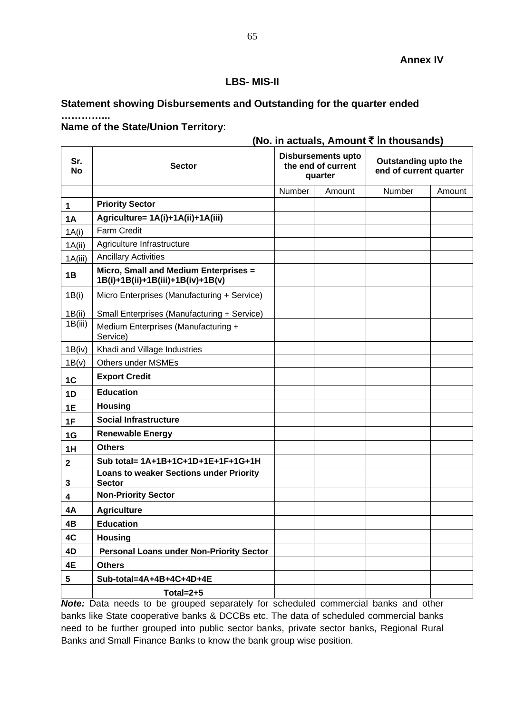#### **Annex IV**

**(No. in actuals, Amount** ` i**n thousands)**

#### **LBS- MIS-II**

## <span id="page-64-0"></span>**Statement showing Disbursements and Outstanding for the quarter ended**

#### **Name of the State/Union Territory**:

**…………...**

| Sr.<br><b>No</b> | <b>Sector</b>                                                              |        | $\cdots$ availed, $\cdots$ and $\cdots$ and $\cdots$<br><b>Disbursements upto</b><br>the end of current<br>quarter | Outstanding upto the<br>end of current quarter |        |  |
|------------------|----------------------------------------------------------------------------|--------|--------------------------------------------------------------------------------------------------------------------|------------------------------------------------|--------|--|
|                  |                                                                            | Number | Amount                                                                                                             | Number                                         | Amount |  |
| 1                | <b>Priority Sector</b>                                                     |        |                                                                                                                    |                                                |        |  |
| <b>1A</b>        | Agriculture= 1A(i)+1A(ii)+1A(iii)                                          |        |                                                                                                                    |                                                |        |  |
| 1A(i)            | <b>Farm Credit</b>                                                         |        |                                                                                                                    |                                                |        |  |
| 1A(ii)           | Agriculture Infrastructure                                                 |        |                                                                                                                    |                                                |        |  |
| 1A(iii)          | <b>Ancillary Activities</b>                                                |        |                                                                                                                    |                                                |        |  |
| 1B               | Micro, Small and Medium Enterprises =<br>1B(i)+1B(ii)+1B(iii)+1B(iv)+1B(v) |        |                                                                                                                    |                                                |        |  |
| 1B(i)            | Micro Enterprises (Manufacturing + Service)                                |        |                                                                                                                    |                                                |        |  |
| 1B(ii)           | Small Enterprises (Manufacturing + Service)                                |        |                                                                                                                    |                                                |        |  |
| 1B(iii)          | Medium Enterprises (Manufacturing +<br>Service)                            |        |                                                                                                                    |                                                |        |  |
| 1B(iv)           | Khadi and Village Industries                                               |        |                                                                                                                    |                                                |        |  |
| 1B(v)            | <b>Others under MSMEs</b>                                                  |        |                                                                                                                    |                                                |        |  |
| 1C               | <b>Export Credit</b>                                                       |        |                                                                                                                    |                                                |        |  |
| 1D               | <b>Education</b>                                                           |        |                                                                                                                    |                                                |        |  |
| 1E               | <b>Housing</b>                                                             |        |                                                                                                                    |                                                |        |  |
| 1F               | <b>Social Infrastructure</b>                                               |        |                                                                                                                    |                                                |        |  |
| 1G               | <b>Renewable Energy</b>                                                    |        |                                                                                                                    |                                                |        |  |
| 1H               | <b>Others</b>                                                              |        |                                                                                                                    |                                                |        |  |
| $\mathbf{2}$     | Sub total= 1A+1B+1C+1D+1E+1F+1G+1H                                         |        |                                                                                                                    |                                                |        |  |
| 3                | <b>Loans to weaker Sections under Priority</b><br><b>Sector</b>            |        |                                                                                                                    |                                                |        |  |
| 4                | <b>Non-Priority Sector</b>                                                 |        |                                                                                                                    |                                                |        |  |
| 4A               | <b>Agriculture</b>                                                         |        |                                                                                                                    |                                                |        |  |
| 4B               | <b>Education</b>                                                           |        |                                                                                                                    |                                                |        |  |
| 4C               | <b>Housing</b>                                                             |        |                                                                                                                    |                                                |        |  |
| 4D               | <b>Personal Loans under Non-Priority Sector</b>                            |        |                                                                                                                    |                                                |        |  |
| 4E               | <b>Others</b>                                                              |        |                                                                                                                    |                                                |        |  |
| 5                | Sub-total=4A+4B+4C+4D+4E                                                   |        |                                                                                                                    |                                                |        |  |
|                  | Total= $2+5$                                                               |        |                                                                                                                    |                                                |        |  |

*Note:* Data needs to be grouped separately for scheduled commercial banks and other banks like State cooperative banks & DCCBs etc. The data of scheduled commercial banks need to be further grouped into public sector banks, private sector banks, Regional Rural Banks and Small Finance Banks to know the bank group wise position.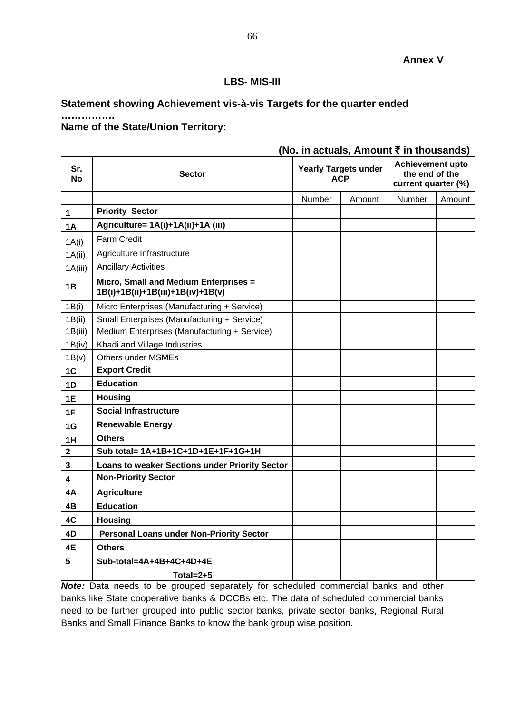## **LBS- MIS-III**

## <span id="page-65-0"></span>**Statement showing Achievement vis-à-vis Targets for the quarter ended**

### **Name of the State/Union Territory:**

**…………….**

### **(No. in actuals, Amount** ` **in thousands)**

| Sr.<br><b>No</b> | <b>Sector</b>                                                              | <b>Yearly Targets under</b><br><b>ACP</b> |        | <b>Achievement upto</b><br>the end of the<br>current quarter (%) |        |
|------------------|----------------------------------------------------------------------------|-------------------------------------------|--------|------------------------------------------------------------------|--------|
|                  |                                                                            | Number                                    | Amount | Number                                                           | Amount |
| $\mathbf 1$      | <b>Priority Sector</b>                                                     |                                           |        |                                                                  |        |
| <b>1A</b>        | Agriculture= 1A(i)+1A(ii)+1A (iii)                                         |                                           |        |                                                                  |        |
| 1A(i)            | <b>Farm Credit</b>                                                         |                                           |        |                                                                  |        |
| 1A(ii)           | Agriculture Infrastructure                                                 |                                           |        |                                                                  |        |
| 1A(iii)          | <b>Ancillary Activities</b>                                                |                                           |        |                                                                  |        |
| 1B               | Micro, Small and Medium Enterprises =<br>1B(i)+1B(ii)+1B(iii)+1B(iv)+1B(v) |                                           |        |                                                                  |        |
| 1B(i)            | Micro Enterprises (Manufacturing + Service)                                |                                           |        |                                                                  |        |
| 1B(ii)           | Small Enterprises (Manufacturing + Service)                                |                                           |        |                                                                  |        |
| 1B(iii)          | Medium Enterprises (Manufacturing + Service)                               |                                           |        |                                                                  |        |
| 1B(iv)           | Khadi and Village Industries                                               |                                           |        |                                                                  |        |
| 1B(v)            | <b>Others under MSMEs</b>                                                  |                                           |        |                                                                  |        |
| 1C               | <b>Export Credit</b>                                                       |                                           |        |                                                                  |        |
| 1D               | <b>Education</b>                                                           |                                           |        |                                                                  |        |
| 1E               | <b>Housing</b>                                                             |                                           |        |                                                                  |        |
| 1F               | <b>Social Infrastructure</b>                                               |                                           |        |                                                                  |        |
| 1G               | <b>Renewable Energy</b>                                                    |                                           |        |                                                                  |        |
| 1H               | <b>Others</b>                                                              |                                           |        |                                                                  |        |
| $\mathbf 2$      | Sub total= 1A+1B+1C+1D+1E+1F+1G+1H                                         |                                           |        |                                                                  |        |
| 3                | Loans to weaker Sections under Priority Sector                             |                                           |        |                                                                  |        |
| 4                | <b>Non-Priority Sector</b>                                                 |                                           |        |                                                                  |        |
| 4A               | <b>Agriculture</b>                                                         |                                           |        |                                                                  |        |
| 4B               | <b>Education</b>                                                           |                                           |        |                                                                  |        |
| 4C               | <b>Housing</b>                                                             |                                           |        |                                                                  |        |
| 4D               | <b>Personal Loans under Non-Priority Sector</b>                            |                                           |        |                                                                  |        |
| 4E               | <b>Others</b>                                                              |                                           |        |                                                                  |        |
| 5                | Sub-total=4A+4B+4C+4D+4E                                                   |                                           |        |                                                                  |        |
|                  | Total= $2+5$                                                               |                                           |        |                                                                  |        |

*Note:* Data needs to be grouped separately for scheduled commercial banks and other banks like State cooperative banks & DCCBs etc. The data of scheduled commercial banks need to be further grouped into public sector banks, private sector banks, Regional Rural Banks and Small Finance Banks to know the bank group wise position.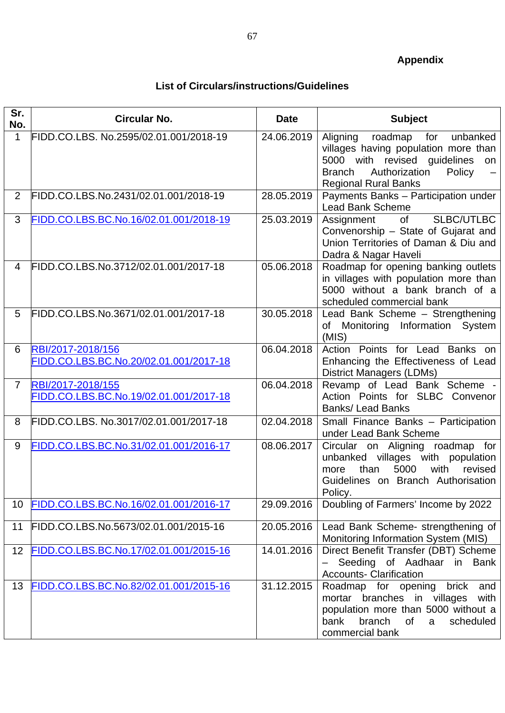# **List of Circulars/instructions/Guidelines**

<span id="page-66-0"></span>

| Sr.<br>No.     | <b>Circular No.</b>                                         | <b>Date</b> | <b>Subject</b>                                                                                                                                                                               |
|----------------|-------------------------------------------------------------|-------------|----------------------------------------------------------------------------------------------------------------------------------------------------------------------------------------------|
| 1              | FIDD.CO.LBS. No.2595/02.01.001/2018-19                      | 24.06.2019  | Aligning roadmap<br>for<br>unbanked<br>villages having population more than<br>5000 with revised guidelines<br>on<br>Authorization<br><b>Branch</b><br>Policy<br><b>Regional Rural Banks</b> |
| 2              | FIDD.CO.LBS.No.2431/02.01.001/2018-19                       | 28.05.2019  | Payments Banks - Participation under<br><b>Lead Bank Scheme</b>                                                                                                                              |
| 3              | FIDD.CO.LBS.BC.No.16/02.01.001/2018-19                      | 25.03.2019  | of<br><b>SLBC/UTLBC</b><br>Assignment<br>Convenorship - State of Gujarat and<br>Union Territories of Daman & Diu and<br>Dadra & Nagar Haveli                                                 |
| 4              | FIDD.CO.LBS.No.3712/02.01.001/2017-18                       | 05.06.2018  | Roadmap for opening banking outlets<br>in villages with population more than<br>5000 without a bank branch of a<br>scheduled commercial bank                                                 |
| 5              | FIDD.CO.LBS.No.3671/02.01.001/2017-18                       | 30.05.2018  | Lead Bank Scheme - Strengthening<br>of Monitoring Information System<br>(MIS)                                                                                                                |
| 6              | RBI/2017-2018/156<br>FIDD.CO.LBS.BC.No.20/02.01.001/2017-18 | 06.04.2018  | Action Points for Lead Banks on<br>Enhancing the Effectiveness of Lead<br><b>District Managers (LDMs)</b>                                                                                    |
| $\overline{7}$ | RBI/2017-2018/155<br>FIDD.CO.LBS.BC.No.19/02.01.001/2017-18 | 06.04.2018  | Revamp of Lead Bank Scheme -<br>Action Points for SLBC Convenor<br><b>Banks/Lead Banks</b>                                                                                                   |
| 8              | FIDD.CO.LBS. No.3017/02.01.001/2017-18                      | 02.04.2018  | Small Finance Banks - Participation<br>under Lead Bank Scheme                                                                                                                                |
| 9              | FIDD.CO.LBS.BC.No.31/02.01.001/2016-17                      | 08.06.2017  | Circular on Aligning roadmap for<br>unbanked villages with population<br>5000<br>with<br>than<br>revised<br>more<br>Guidelines on Branch Authorisation<br>Policy.                            |
| 10             | FIDD.CO.LBS.BC.No.16/02.01.001/2016-17                      | 29.09.2016  | Doubling of Farmers' Income by 2022                                                                                                                                                          |
| 11             | FIDD.CO.LBS.No.5673/02.01.001/2015-16                       | 20.05.2016  | Lead Bank Scheme- strengthening of<br>Monitoring Information System (MIS)                                                                                                                    |
| 12             | FIDD.CO.LBS.BC.No.17/02.01.001/2015-16                      | 14.01.2016  | Direct Benefit Transfer (DBT) Scheme<br>Seeding of Aadhaar in Bank<br><b>Accounts- Clarification</b>                                                                                         |
| 13             | FIDD.CO.LBS.BC.No.82/02.01.001/2015-16                      | 31.12.2015  | Roadmap for opening<br>brick<br>and<br>mortar branches in villages with<br>population more than 5000 without a<br>bank<br>branch<br><b>of</b><br>scheduled<br>a<br>commercial bank           |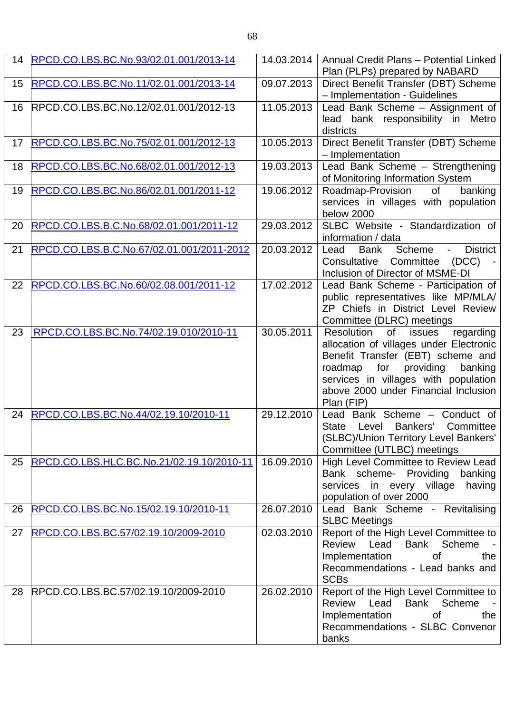| 14 | RPCD.CO.LBS.BC.No.93/02.01.001/2013-14    | 14.03.2014              | Annual Credit Plans - Potential Linked<br>Plan (PLPs) prepared by NABARD                                                                                                                                                                                  |
|----|-------------------------------------------|-------------------------|-----------------------------------------------------------------------------------------------------------------------------------------------------------------------------------------------------------------------------------------------------------|
| 15 | RPCD.CO.LBS.BC.No.11/02.01.001/2013-14    | 09.07.2013              | Direct Benefit Transfer (DBT) Scheme<br>- Implementation - Guidelines                                                                                                                                                                                     |
| 16 | RPCD.CO.LBS.BC.No.12/02.01.001/2012-13    | 11.05.2013              | Lead Bank Scheme - Assignment of<br>lead bank responsibility in Metro<br>districts                                                                                                                                                                        |
| 17 | RPCD.CO.LBS.BC.No.75/02.01.001/2012-13    | 10.05.2013              | Direct Benefit Transfer (DBT) Scheme<br>- Implementation                                                                                                                                                                                                  |
| 18 | RPCD.CO.LBS.BC.No.68/02.01.001/2012-13    | 19.03.2013              | Lead Bank Scheme - Strengthening<br>of Monitoring Information System                                                                                                                                                                                      |
| 19 | RPCD.CO.LBS.BC.No.86/02.01.001/2011-12    | 19.06.2012              | Roadmap-Provision<br>of<br>banking<br>services in villages with population<br>below 2000                                                                                                                                                                  |
| 20 | RPCD.CO.LBS.B.C.No.68/02.01.001/2011-12   | 29.03.2012              | SLBC Website - Standardization of<br>information / data                                                                                                                                                                                                   |
| 21 | RPCD.CO.LBS.B.C.No.67/02.01.001/2011-2012 | 20.03.2012              | Bank Scheme - District<br>Lead<br>Consultative Committee (DCC) -<br>Inclusion of Director of MSME-DI                                                                                                                                                      |
| 22 | RPCD.CO.LBS.BC.No.60/02.08.001/2011-12    | $\overline{17.02.2012}$ | Lead Bank Scheme - Participation of<br>public representatives like MP/MLA/<br>ZP Chiefs in District Level Review<br>Committee (DLRC) meetings                                                                                                             |
| 23 | RPCD.CO.LBS.BC.No.74/02.19.010/2010-11    | 30.05.2011              | Resolution<br>of<br>issues<br>regarding<br>allocation of villages under Electronic<br>Benefit Transfer (EBT) scheme and<br>roadmap for providing<br>banking<br>services in villages with population<br>above 2000 under Financial Inclusion<br>Plan (FIP) |
| 24 | RPCD.CO.LBS.BC.No.44/02.19.10/2010-11     | 29.12.2010              | Lead Bank Scheme - Conduct of<br>State<br>Level<br>Bankers'<br>Committee<br>(SLBC)/Union Territory Level Bankers'<br>Committee (UTLBC) meetings                                                                                                           |
| 25 | RPCD.CO.LBS.HLC.BC.No.21/02.19.10/2010-11 | 16.09.2010              | High Level Committee to Review Lead<br>Bank scheme- Providing banking<br>services in every village having<br>population of over 2000                                                                                                                      |
| 26 | RPCD.CO.LBS.BC.No.15/02.19.10/2010-11     | 26.07.2010              | Lead Bank Scheme - Revitalising<br><b>SLBC Meetings</b>                                                                                                                                                                                                   |
| 27 | RPCD.CO.LBS.BC.57/02.19.10/2009-2010      | 02.03.2010              | Report of the High Level Committee to<br>Lead Bank Scheme -<br>Review<br>Implementation<br><b>of</b><br>the<br>Recommendations - Lead banks and<br><b>SCBs</b>                                                                                            |
| 28 | RPCD.CO.LBS.BC.57/02.19.10/2009-2010      | 26.02.2010              | Report of the High Level Committee to<br>Review Lead Bank Scheme<br>the<br>Implementation<br>of<br>Recommendations - SLBC Convenor<br>banks                                                                                                               |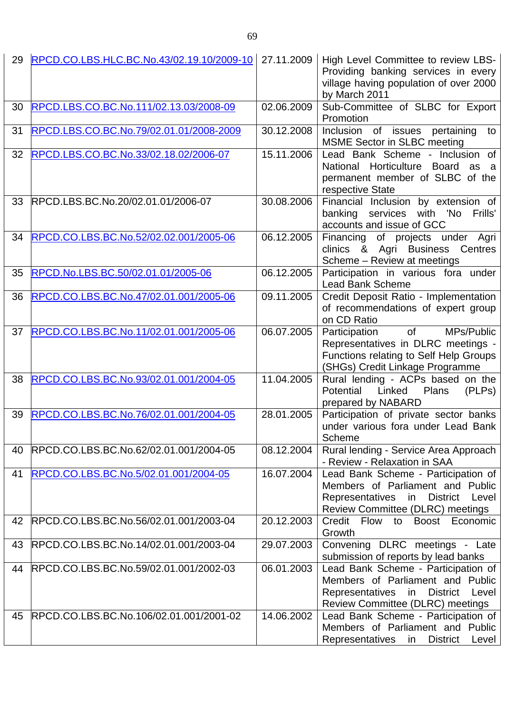| 29 | RPCD.CO.LBS.HLC.BC.No.43/02.19.10/2009-10 | 27.11.2009 | High Level Committee to review LBS-<br>Providing banking services in every<br>village having population of over 2000<br>by March 2011                                     |
|----|-------------------------------------------|------------|---------------------------------------------------------------------------------------------------------------------------------------------------------------------------|
| 30 | RPCD.LBS.CO.BC.No.111/02.13.03/2008-09    | 02.06.2009 | Sub-Committee of SLBC for Export<br>Promotion                                                                                                                             |
| 31 | RPCD.LBS.CO.BC.No.79/02.01.01/2008-2009   | 30.12.2008 | Inclusion of issues pertaining to<br><b>MSME Sector in SLBC meeting</b>                                                                                                   |
| 32 | RPCD.LBS.CO.BC.No.33/02.18.02/2006-07     | 15.11.2006 | Lead Bank Scheme - Inclusion of<br>National Horticulture Board<br>as a<br>permanent member of SLBC of the<br>respective State                                             |
| 33 | RPCD.LBS.BC.No.20/02.01.01/2006-07        | 30.08.2006 | Financial Inclusion by extension of<br>banking services with 'No<br>Frills'<br>accounts and issue of GCC                                                                  |
| 34 | RPCD.CO.LBS.BC.No.52/02.02.001/2005-06    | 06.12.2005 | Financing of projects under Agri<br>clinics & Agri Business Centres<br>Scheme - Review at meetings                                                                        |
| 35 | RPCD.No.LBS.BC.50/02.01.01/2005-06        | 06.12.2005 | Participation in various fora under<br><b>Lead Bank Scheme</b>                                                                                                            |
| 36 | RPCD.CO.LBS.BC.No.47/02.01.001/2005-06    | 09.11.2005 | Credit Deposit Ratio - Implementation<br>of recommendations of expert group<br>on CD Ratio                                                                                |
| 37 | RPCD.CO.LBS.BC.No.11/02.01.001/2005-06    | 06.07.2005 | MPs/Public<br>$of$ and $\overline{a}$<br>Participation<br>Representatives in DLRC meetings -<br>Functions relating to Self Help Groups<br>(SHGs) Credit Linkage Programme |
| 38 | RPCD.CO.LBS.BC.No.93/02.01.001/2004-05    | 11.04.2005 | Rural lending - ACPs based on the<br>Potential Linked Plans<br>(PLPs)<br>prepared by NABARD                                                                               |
| 39 | RPCD.CO.LBS.BC.No.76/02.01.001/2004-05    | 28.01.2005 | Participation of private sector banks<br>under various fora under Lead Bank<br><b>Scheme</b>                                                                              |
| 40 | RPCD.CO.LBS.BC.No.62/02.01.001/2004-05    | 08.12.2004 | Rural lending - Service Area Approach<br>- Review - Relaxation in SAA                                                                                                     |
| 41 | RPCD.CO.LBS.BC.No.5/02.01.001/2004-05     | 16.07.2004 | Lead Bank Scheme - Participation of<br>Members of Parliament and Public<br>Representatives in District Level<br>Review Committee (DLRC) meetings                          |
| 42 | RPCD.CO.LBS.BC.No.56/02.01.001/2003-04    | 20.12.2003 | Credit Flow to<br>Economic<br>Boost<br>Growth                                                                                                                             |
| 43 | RPCD.CO.LBS.BC.No.14/02.01.001/2003-04    | 29.07.2003 | Convening DLRC meetings - Late<br>submission of reports by lead banks                                                                                                     |
| 44 | RPCD.CO.LBS.BC.No.59/02.01.001/2002-03    | 06.01.2003 | Lead Bank Scheme - Participation of<br>Members of Parliament and Public<br>Representatives in District<br>Level<br>Review Committee (DLRC) meetings                       |
| 45 | RPCD.CO.LBS.BC.No.106/02.01.001/2001-02   | 14.06.2002 | Lead Bank Scheme - Participation of<br>Members of Parliament and Public<br><b>Representatives</b><br><b>District</b><br>Level<br>in                                       |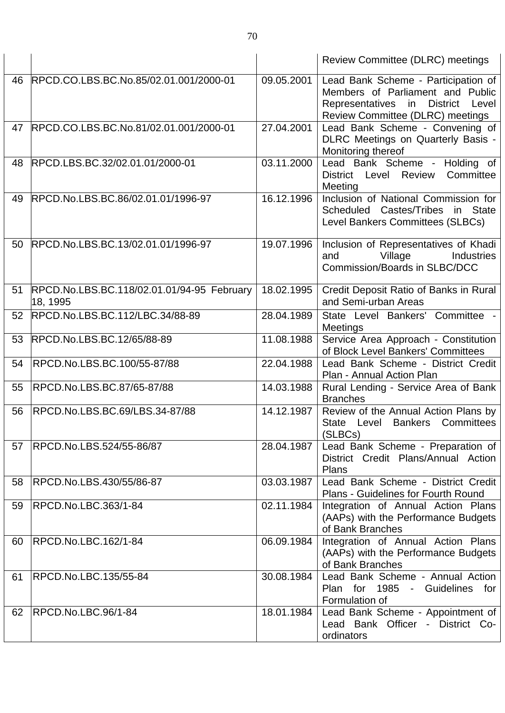|    |                                                        |            | <b>Review Committee (DLRC) meetings</b>                                                                                                             |
|----|--------------------------------------------------------|------------|-----------------------------------------------------------------------------------------------------------------------------------------------------|
| 46 | RPCD.CO.LBS.BC.No.85/02.01.001/2000-01                 | 09.05.2001 | Lead Bank Scheme - Participation of<br>Members of Parliament and Public<br>Representatives in District<br>Level<br>Review Committee (DLRC) meetings |
| 47 | RPCD.CO.LBS.BC.No.81/02.01.001/2000-01                 | 27.04.2001 | Lead Bank Scheme - Convening of<br>DLRC Meetings on Quarterly Basis -<br>Monitoring thereof                                                         |
| 48 | RPCD.LBS.BC.32/02.01.01/2000-01                        | 03.11.2000 | Lead Bank Scheme - Holding of<br>Level<br>Review<br>Committee<br>District<br>Meeting                                                                |
| 49 | RPCD.No.LBS.BC.86/02.01.01/1996-97                     | 16.12.1996 | Inclusion of National Commission for<br>Scheduled Castes/Tribes<br>in State<br>Level Bankers Committees (SLBCs)                                     |
| 50 | RPCD.No.LBS.BC.13/02.01.01/1996-97                     | 19.07.1996 | Inclusion of Representatives of Khadi<br>Village<br>and<br>Industries<br>Commission/Boards in SLBC/DCC                                              |
| 51 | RPCD.No.LBS.BC.118/02.01.01/94-95 February<br>18, 1995 | 18.02.1995 | Credit Deposit Ratio of Banks in Rural<br>and Semi-urban Areas                                                                                      |
| 52 | RPCD.No.LBS.BC.112/LBC.34/88-89                        | 28.04.1989 | State Level Bankers' Committee -<br>Meetings                                                                                                        |
| 53 | RPCD.No.LBS.BC.12/65/88-89                             | 11.08.1988 | Service Area Approach - Constitution<br>of Block Level Bankers' Committees                                                                          |
| 54 | RPCD.No.LBS.BC.100/55-87/88                            | 22.04.1988 | Lead Bank Scheme - District Credit<br>Plan - Annual Action Plan                                                                                     |
| 55 | RPCD.No.LBS.BC.87/65-87/88                             | 14.03.1988 | Rural Lending - Service Area of Bank<br><b>Branches</b>                                                                                             |
| 56 | RPCD.No.LBS.BC.69/LBS.34-87/88                         | 14.12.1987 | Review of the Annual Action Plans by<br>State Level Bankers Committees<br>(SLBCs)                                                                   |
| 57 | RPCD.No.LBS.524/55-86/87                               | 28.04.1987 | Lead Bank Scheme - Preparation of<br>District Credit Plans/Annual Action<br>Plans                                                                   |
| 58 | RPCD.No.LBS.430/55/86-87                               | 03.03.1987 | Lead Bank Scheme - District Credit<br>Plans - Guidelines for Fourth Round                                                                           |
| 59 | <b>RPCD.No.LBC.363/1-84</b>                            | 02.11.1984 | Integration of Annual Action Plans<br>(AAPs) with the Performance Budgets<br>of Bank Branches                                                       |
| 60 | RPCD.No.LBC.162/1-84                                   | 06.09.1984 | Integration of Annual Action Plans<br>(AAPs) with the Performance Budgets<br>of Bank Branches                                                       |
| 61 | RPCD.No.LBC.135/55-84                                  | 30.08.1984 | Lead Bank Scheme - Annual Action<br>Plan for 1985 - Guidelines for<br>Formulation of                                                                |
| 62 | RPCD.No.LBC.96/1-84                                    | 18.01.1984 | Lead Bank Scheme - Appointment of<br>Lead Bank Officer - District Co-<br>ordinators                                                                 |